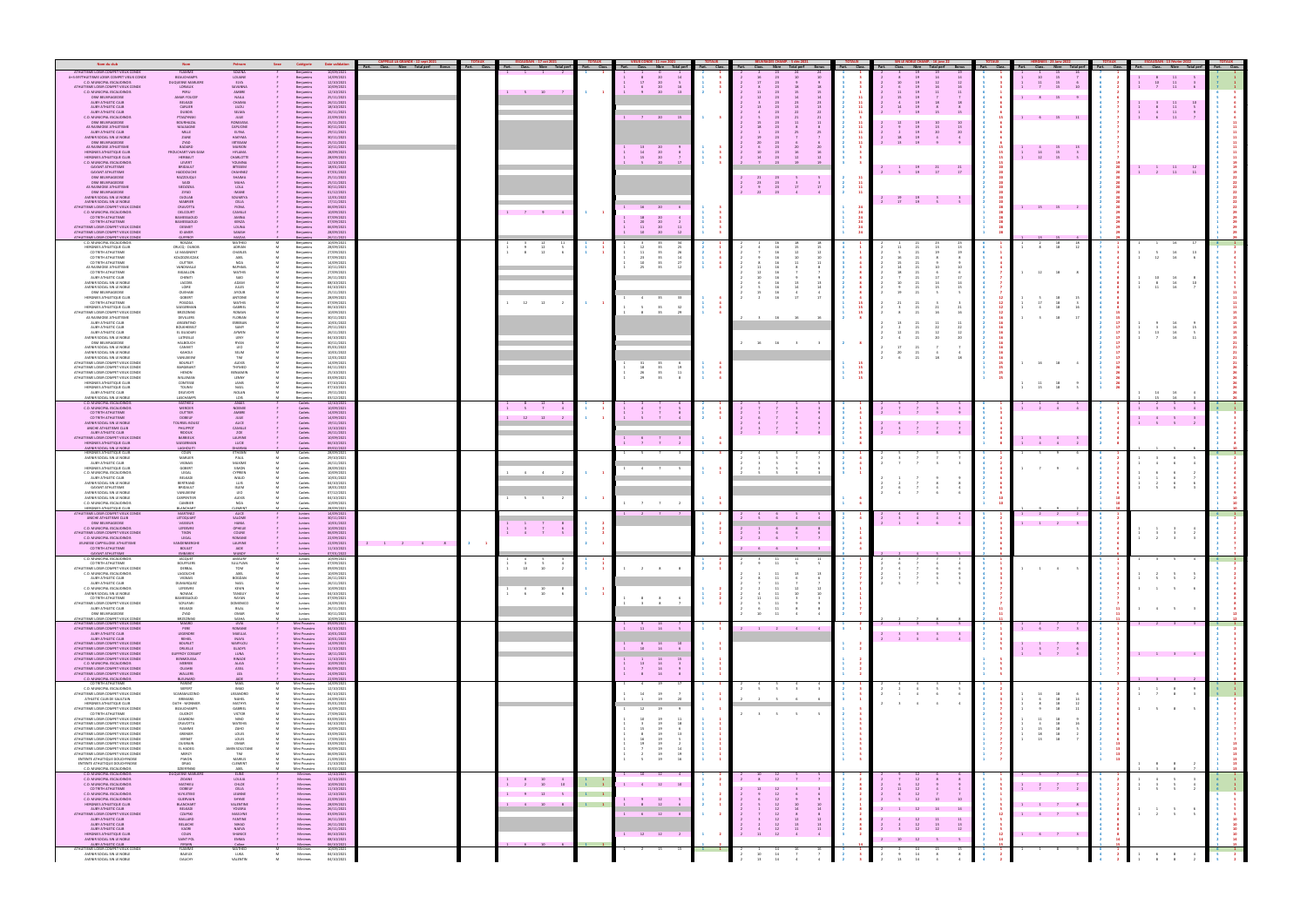| Nom du club                                                                                                          | <b>Nom</b>                                                 | Prénom                                             | <b>Date validation</b><br>Catégorie<br><b>Sexe</b>                                               | <b>CAPPELLE LA GRANDE - 12 sept 2021</b><br>Part. Class. Nbre Total perf Bonus | <b>TOTAUX</b><br>Part. Class. | <b>ESCAUDAIN - 17 oct 2021</b><br>Part.<br><b>Total perf</b><br><b>Class.</b> Nbre | Part. Class. | VIEUX CONDE - 11 nov 2021<br>Nbre Total perf<br><b>Class.</b><br>Part. | ΤΟΤΔΙΙΧ<br>Part. Class. | BEUVRAGES CHAMP. - 5 déc 2021<br>Class. Nbre Total perf Bonus<br>Part. | <b>TOTALIX</b><br>Class.<br>Part. | SIN LE NOBLE CHAMP. - 16 jany 22<br>Total perf<br>Class.<br><b>Nbre</b><br>Part.<br><b>Bonus</b> | Part. Class. | <b>HERGNIES - 23 Jany 2022</b><br>Nbre Total perf<br><b>Class.</b><br>Part. | <b>TOTAUX</b><br>Part. Class. | <b>ESCAUDAIN - 13 Février 2022</b><br>Class. Nbre Total perf<br>Part. | Part. Class.                                                       |
|----------------------------------------------------------------------------------------------------------------------|------------------------------------------------------------|----------------------------------------------------|--------------------------------------------------------------------------------------------------|--------------------------------------------------------------------------------|-------------------------------|------------------------------------------------------------------------------------|--------------|------------------------------------------------------------------------|-------------------------|------------------------------------------------------------------------|-----------------------------------|--------------------------------------------------------------------------------------------------|--------------|-----------------------------------------------------------------------------|-------------------------------|-----------------------------------------------------------------------|--------------------------------------------------------------------|
| ATHLETISME LOISIR COMPET VIEUX CONDE<br>A+3:597THLETISME LOISIR COMPET VIEUX CONDE<br>C.O. MUNICIPAL ESCAUDINOIS     | FLAMME<br><b>BEAUCHAMPS</b><br>DUQUESNE MARLIERE           | SOLENA<br>LOUANE<br>ELYA                           | 10/09/2021<br>Benjamins<br>14/09/202<br>Benjamins<br>12/10/202<br>Benjamins                      |                                                                                |                               |                                                                                    |              |                                                                        |                         |                                                                        |                                   |                                                                                                  |              |                                                                             |                               |                                                                       |                                                                    |
| ATHLETISME LOISIR COMPET VIEUX CONDE<br>C.O. MUNICIPAL ESCAUDINOIS<br><b>OSM BEUVRAGEOISE</b>                        | LORIAUX<br>PERU<br><b>AMAR YOUCEF</b>                      | <b>SAVANNA</b><br>AMBRE<br><b>NAILA</b>            | 10/09/2021<br>Benjamins<br>12/10/202<br>Benjamins<br>25/11/202<br>Benjamir                       |                                                                                |                               |                                                                                    |              |                                                                        |                         |                                                                        |                                   |                                                                                                  |              | 8 15                                                                        |                               |                                                                       |                                                                    |
| <b>AUBY ATHLETIC CLUB</b><br><b>AUBY ATHLETIC CLUB</b>                                                               | <b>BELKADI</b><br>CARLIER                                  | <b>CHAIMA</b><br>LILOU                             | 26/11/202<br>Benjamin:<br>18/10/202<br>Benjamins                                                 |                                                                                |                               |                                                                                    |              |                                                                        |                         |                                                                        |                                   |                                                                                                  |              |                                                                             |                               |                                                                       |                                                                    |
| <b>AUBY ATHLETIC CLUB</b><br>C.O. MUNICIPAL ESCAUDINOIS<br><b>OSM BEUVRAGEOISE</b>                                   | <b>DUBOIS</b><br>PTASZYNSKI<br>BOURHAZAL                   | <b>SELMA</b><br><b>JULIE</b><br>ROMAISSA           | 26/11/2021<br>Benjamins<br>22/09/2021<br>Benjamin:<br>25/11/202<br>Benjamin:                     |                                                                                |                               |                                                                                    |              |                                                                        |                         |                                                                        |                                   |                                                                                                  |              | $6 \qquad \qquad 15$                                                        |                               |                                                                       |                                                                    |
| AS RAISMOISE ATHLETISME<br>AUBY ATHLETIC CLUB<br>AVENIR SOCIAL SIN LE NOBLE                                          | MALSAGNE<br><b>MILLE</b><br><b>ZIANE</b>                   | CAPUCINE<br>ELYNA<br><b>HAKYMA</b>                 | 30/11/2021<br>Benjamin:<br>29/11/2021<br>Benjamins<br>30/11/2021<br>Benjamins                    |                                                                                |                               |                                                                                    |              |                                                                        |                         |                                                                        |                                   |                                                                                                  |              |                                                                             |                               |                                                                       |                                                                    |
| <b>OSM BEUVRAGEOISE</b><br>AS RAISMOISE ATHLETISME                                                                   | ZYAD<br><b>BADARD</b>                                      | <b>IBTISSAM</b><br><b>MARION</b>                   | 25/11/202<br>Benjamin:<br>10/11/202<br>Benjamin:                                                 |                                                                                |                               |                                                                                    |              |                                                                        |                         |                                                                        |                                   |                                                                                                  |              |                                                                             |                               |                                                                       |                                                                    |
| HERGNIES ATHLETIQUE CLUB<br>HERGNIES ATHLETIQUE CLUB<br><b>C.O. MUNICIPAL ESCAUDINOIS</b>                            | FROUCHART VAN-DAM<br>HERBAUT<br>LEVERT                     | HYLAMA<br><b>CHARLOTTE</b><br>YOUMNA               | 28/09/2021<br>Benjamin:<br>28/09/2021<br>Benjamins<br>12/10/2021<br>Benjamins                    |                                                                                |                               |                                                                                    |              |                                                                        |                         |                                                                        |                                   |                                                                                                  |              | 12                                                                          |                               |                                                                       |                                                                    |
| <b>GAYANT ATHLETISME</b><br><b>GAYANT ATHLETISME</b><br><b>OSM BEUVRAGEOISE</b>                                      | <b>BRIDAULT</b><br>HADDOUCHE<br>RAZZOUQUI                  | <b>IBTISSEM</b><br><b>CHAHINEZ</b><br>SHAIMA       | 18/01/2022<br>Benjamins<br>07/01/2022<br>Benjamins<br>25/11/2021<br>Benjamins                    |                                                                                |                               |                                                                                    |              |                                                                        |                         |                                                                        |                                   | 19<br>19<br>17                                                                                   |              |                                                                             |                               |                                                                       |                                                                    |
| <b>OSM BEUVRAGEOISE</b><br>AS RAISMOISE ATHLETISME                                                                   | SAIDI<br>SIEDZIZKA                                         | <b>MAHA</b><br>LOLA                                | 25/11/2021<br>Benjamin:<br>30/11/2021<br>Benjamins                                               |                                                                                |                               |                                                                                    |              |                                                                        |                         |                                                                        |                                   |                                                                                                  |              |                                                                             |                               |                                                                       |                                                                    |
| <b>OSM BEUVRAGEOISE</b><br>AVENIR SOCIAL SIN LE NOBLE<br>AVENIR SOCIAL SIN LE NOBLE                                  | ZIYAD<br><b>DJOUAB</b><br><b>MABRIER</b>                   | <b>IMANE</b><br>SOUMEYA<br><b>CELIA</b>            | 01/12/2021<br>Benjamin:<br>12/01/2022<br>Benjamins<br>17/11/2021<br>Benjamin:                    |                                                                                |                               |                                                                                    |              |                                                                        |                         |                                                                        |                                   | 19<br>17                                                                                         |              |                                                                             |                               |                                                                       |                                                                    |
| ATHLETISME LOISIR COMPET VIEUX CONDE<br>C.O. MUNICIPAL ESCAUDINOIS<br>CO TRITH ATHLETISME                            | CRAVOTTA<br>DELCOURT<br>BAMESSAOUD                         | <b>FIONA</b><br>AMINA                              | 06/09/2021<br>Benjamin:<br>10/09/2021<br>Benjamins<br>07/09/2021<br>Benjamins                    |                                                                                |                               |                                                                                    |              | 1 16 20                                                                |                         |                                                                        |                                   |                                                                                                  |              | $15 \qquad \qquad 15$                                                       |                               |                                                                       |                                                                    |
| CO TRITH ATHLETISME<br>ATHLETISME LOISIR COMPET VIEUX CONDE<br>ATHLETISME LOISIR COMPET VIEUX CONDE                  | BAMESSAOUD<br><b>DESMET</b>                                | KENZA<br>LOUNA                                     | 07/09/2021<br>Benjamins<br>06/09/2021<br>Benjamins<br>28/09/2021                                 |                                                                                |                               |                                                                                    |              |                                                                        |                         |                                                                        |                                   |                                                                                                  |              |                                                                             |                               |                                                                       |                                                                    |
| ATHLETISME LOISIR COMPET VIEUX CONDE<br>C.O. MUNICIPAL ESCAUDINOIS                                                   | <b>ID AMER</b><br><b>GUFFROY</b><br>ROSZAK                 | SAMAH<br><b>MAEVA</b><br>MATHEO                    | Benjamins<br>26/11/202<br>Benjamins<br>10/09/202<br>Benjamin:                                    |                                                                                |                               |                                                                                    |              |                                                                        |                         |                                                                        |                                   |                                                                                                  |              |                                                                             |                               |                                                                       |                                                                    |
| HERGNIES ATHLETIQUE CLUB<br>CO TRITH ATHLETISME<br>CO TRITH ATHLETISME                                               | CRUCQ - DUBOIS<br><b>LE MAIGNENT</b><br>KOLODZIEJCZAK      | ADRIAN<br>CHARLES<br>AXEL                          | 28/09/202<br>Benjamin:<br>27/09/2021<br>Benjamin:<br>07/09/2021<br>Benjamin:                     |                                                                                |                               |                                                                                    |              |                                                                        |                         |                                                                        |                                   |                                                                                                  |              |                                                                             |                               |                                                                       |                                                                    |
| CO TRITH ATHLETISME<br>AS RAISMOISE ATHLETISME<br>CO TRITH ATHLETISME                                                | OUTTIER<br>VANDWALLE<br><b>BIGAILLON</b>                   | <b>NOA</b><br>RAPHAEL<br><b>MATHIS</b>             | 14/09/202<br>Benjamin:<br>10/11/2021<br>Benjamin:<br>27/09/2021<br>Benjamin:                     |                                                                                |                               |                                                                                    |              |                                                                        |                         |                                                                        |                                   |                                                                                                  |              |                                                                             |                               |                                                                       |                                                                    |
| <b>AUBY ATHLETIC CLUB</b><br>AVENIR SOCIAL SIN LE NOBLE                                                              | <b>CHENITI</b><br><b>JACOBS</b>                            | <b>ADAM</b>                                        | 26/11/202<br>Benjamin:<br>08/10/2021<br>Benjamir                                                 |                                                                                |                               |                                                                                    |              |                                                                        |                         |                                                                        |                                   |                                                                                                  |              |                                                                             |                               |                                                                       |                                                                    |
| AVENIR SOCIAL SIN LE NOBLE<br>OSM BEUVRAGEOISE<br>HERGNIES ATHLETIQUE CLUB                                           | LOIRE<br>OUEHABI<br>GOBERT                                 | <b>JULES</b><br>AYOUB<br><b>ANTOINE</b>            | 04/10/202<br>Benjamin:<br>25/11/202<br>Benjamin:<br>28/09/2021<br>Benjamin:                      |                                                                                |                               |                                                                                    |              |                                                                        |                         |                                                                        |                                   |                                                                                                  |              |                                                                             |                               |                                                                       |                                                                    |
| CO TRITH ATHLETISME<br>HERGNIES ATHLETIQUE CLUB<br>ATHLETISME LOISIR COMPET VIEUX CONDE                              | POGODA<br>SAEGERMAN<br>BRZEZINSKI                          | <b>MATHIS</b><br>GABRIEL<br>ROMAN                  | 07/09/2021<br>Benjamin:<br>06/10/202<br>Benjamin:<br>10/09/202<br>Benjamin:                      |                                                                                |                               | 12<br>12                                                                           |              |                                                                        |                         |                                                                        |                                   |                                                                                                  |              |                                                                             |                               |                                                                       |                                                                    |
| AS RAISMOISE ATHLETISME<br><b>AUBY ATHLETIC CLUB</b>                                                                 | <b>DEVILLERS</b><br>ARGENTINO                              | <b>FLORIAN</b><br>ESREBAN                          | 30/11/2021<br>Benjamin:<br>10/01/202<br>Benjamir                                                 |                                                                                |                               |                                                                                    |              |                                                                        |                         |                                                                        |                                   |                                                                                                  |              |                                                                             |                               |                                                                       |                                                                    |
| <b>AUBY ATHLETIC CLUB</b><br><b>AUBY ATHLETIC CLUB</b><br>AVENIR SOCIAL SIN LE NOBLE                                 | <b>BOUKHEBELT</b><br>EL GUADARI<br>LATREILLE               | SAMY<br>AYMEN<br>LENY                              | 29/11/202<br>Benjamin:<br>26/11/202<br>Benjamin:<br>04/10/202<br>Benjamin:                       |                                                                                |                               |                                                                                    |              |                                                                        |                         |                                                                        |                                   |                                                                                                  |              |                                                                             |                               |                                                                       |                                                                    |
| OSM BEUVRAGEOISE<br>AVENIR SOCIAL SIN LE NOBLE<br>AVENIR SOCIAL SIN LE NOBLE                                         | <b>HALBOUCH</b><br>CANIVET<br>KAHOUI                       | <b>RYAN</b><br>SELIM                               | 30/11/202<br>Benjamir<br>05/01/202<br>Benjamin:<br>10/01/202<br>Benjamir                         |                                                                                |                               |                                                                                    |              |                                                                        |                         |                                                                        |                                   |                                                                                                  |              |                                                                             |                               |                                                                       |                                                                    |
| AVENIR SOCIAL SIN LE NOBLE<br>ATHLETISME LOISIR COMPET VIEUX CONDE                                                   | VANUXEEM<br><b>BOURLET</b>                                 |                                                    | 12/01/2022<br>Benjamin<br>14/09/2021<br>Benjamin:                                                |                                                                                |                               |                                                                                    |              |                                                                        |                         |                                                                        |                                   |                                                                                                  |              |                                                                             |                               |                                                                       |                                                                    |
| ATHLETISME LOISIR COMPET VIEUX CONDE<br>ATHLETISME LOISIR COMPET VIEUX CONDE<br>ATHLETISME LOISIR COMPET VIEUX CONDE | BARGIBANT<br>HENON<br>WILLEMAN                             | <b>THYMEC</b><br>BENJAMIN<br>LENN <sup>®</sup>     | 04/11/2021<br>Benjamins<br>Benjamin:<br>25/10/20.<br>03/09/2021<br>Benjamir                      |                                                                                |                               |                                                                                    |              |                                                                        |                         |                                                                        |                                   |                                                                                                  |              |                                                                             |                               |                                                                       |                                                                    |
| HERGNIES ATHLETIQUE CLUB<br>HERGNIES ATHLETIQUE CLUB<br><b>AUBY ATHLETIC CLUB</b>                                    | CONTESSE<br><b>TOUNSI</b><br>DELEVOYE                      | JANIS<br><b>NAEL</b><br><b>NOLAN</b>               | 07/10/2021<br>Benjamir<br>07/10/2021<br>Benjamin:<br>29/11/202<br>Benjamins                      |                                                                                |                               |                                                                                    |              |                                                                        |                         |                                                                        |                                   |                                                                                                  |              |                                                                             |                               |                                                                       |                                                                    |
| AVENIR SOCIAL SIN LE NOBLE<br>C.O. MUNICIPAL ESCAUDINOIS<br>C.O. MUNICIPAL ESCAUDINOIS                               | LASCHAMPS<br>MATHIEU<br><b>MERCIER</b>                     | ANAIS<br><b>NOEMIE</b>                             | 03/12/202<br>Benjamins<br>12/10/2021<br>Cadets<br>10/09/2021<br>Cadets                           |                                                                                |                               |                                                                                    |              |                                                                        |                         |                                                                        |                                   |                                                                                                  |              |                                                                             |                               |                                                                       |                                                                    |
| CO TRITH ATHLETISME<br>CO TRITH ATHLETISME                                                                           | OUTTIER<br><b>DOBEUF</b>                                   | AMBRE<br><b>JULIE</b>                              | 14/09/2021<br>Cadets<br>14/09/2021<br>Cadets                                                     |                                                                                |                               | 12                                                                                 |              |                                                                        |                         |                                                                        |                                   |                                                                                                  |              |                                                                             |                               |                                                                       |                                                                    |
| AVENIR SOCIAL SIN LE NOBLE<br>ANICHE ATHLETISME CLUB<br><b>AUBY ATHLETIC CLUB</b>                                    | TOURSEL-BOUEZ<br>PHILIPPOT<br>RIDOUX                       | <b>ALICE</b><br>CAMILLE                            | 19/11/2021<br>Cadets<br>13/10/2021<br>Cadets<br>26/11/2021<br>Cadets                             |                                                                                |                               |                                                                                    |              |                                                                        |                         |                                                                        |                                   |                                                                                                  |              |                                                                             |                               |                                                                       |                                                                    |
| ATHLETISME LOISIR COMPET VIEUX CONDE<br>HERGNIES ATHLETIQUE CLUB<br>AVENIR SOCIAL SIN LE NOBLE                       | BARBIEUX<br>SAEGERMAN<br>LAGHOUITI                         | LAURINE<br>LUCIE<br><b>DHARMA</b>                  | 10/09/2021<br>Cadets<br>Cadets<br>06/10/2021<br>Cadets<br>09/02/2022                             |                                                                                |                               |                                                                                    |              |                                                                        |                         |                                                                        |                                   |                                                                                                  |              |                                                                             |                               |                                                                       |                                                                    |
| HERGNIES ATHLETIQUE CLUB<br>AVENIR SOCIAL SIN LE NOBLE<br><b>AUBY ATHLETIC CLUB</b>                                  | <b>COLIN</b><br>MARLIER<br>VIGNAIS                         | <b>ETHANN</b><br>PAUL<br><b>MAXIME</b>             | Cadets<br>28/09/20<br>29/10/202<br>Cadets<br>Cadets<br>26/11/202                                 |                                                                                |                               |                                                                                    |              |                                                                        |                         |                                                                        |                                   |                                                                                                  |              |                                                                             |                               |                                                                       |                                                                    |
| HERGNIES ATHLETIQUE CLUB<br>C.O. MUNICIPAL ESCAUDINOIS                                                               | GOBERT<br>LEGAL                                            | SIMON<br><b>CYPRIEN</b>                            | 28/09/2021<br>Cadets<br>Cadets<br>10/09/202                                                      |                                                                                |                               |                                                                                    |              |                                                                        |                         |                                                                        |                                   |                                                                                                  |              |                                                                             |                               |                                                                       |                                                                    |
| <b>AUBY ATHLETIC CLUB</b><br>AVENIR SOCIAL SIN LE NOBLE<br><b>GAYANT ATHLETISME</b>                                  | BELKADI<br>BERTRAND<br><b>BRIDAULT</b>                     | <b>WALID</b>                                       | 10/01/202<br>Cadets<br>Cadets<br>04/10/202<br>Cadets<br>18/01/2022                               |                                                                                |                               |                                                                                    |              |                                                                        |                         |                                                                        |                                   |                                                                                                  |              |                                                                             |                               |                                                                       |                                                                    |
| AVENIR SOCIAL SIN LE NOBLE<br>AVENIR SOCIAL SIN LE NOBLE<br>C.O. MUNICIPAL ESCAUDINOIS                               | VANUXEEM<br>CARPENTIER<br>CAMBIER                          | ALEXI!<br><b>NOA</b>                               | Cadets<br>07/12/2021<br>Cadets<br>04/10/202<br>10/09/2021<br>Cadets                              |                                                                                |                               |                                                                                    |              |                                                                        |                         |                                                                        |                                   |                                                                                                  |              |                                                                             |                               |                                                                       |                                                                    |
| HERGNIES ATHLETIQUE CLUB<br>ATHLETISME LOISIR COMPET VIEUX CONDE<br>ANICHE ATHLETISME CLUB                           | <b>BLANCHART</b><br>MARTINEZ<br>LETOQUART                  | <b>CLEMENT</b><br>ALICE<br>SALOME                  | 28/09/20<br>Cadets<br>14/09/2021<br><b>Juniors</b><br>30/11/2021<br>Juniors                      |                                                                                |                               |                                                                                    |              | $\overline{2}$ 7                                                       |                         |                                                                        |                                   |                                                                                                  |              |                                                                             |                               |                                                                       |                                                                    |
| OSM BEUVRAGEOISE<br>C.O. MUNICIPAL ESCAUDINOIS<br>ATHLETISME LOISIR COMPET VIEUX CONDE                               | VASSEUR<br>LEFEBVRE<br><b>TISON</b>                        | <b>HANIA</b><br>OPHELIE<br>$\sim$<br><b>COLINE</b> | 10/01/2022<br>Junior<br>10/09/2021<br>Juniors<br>10,00,100<br>06/09/2021<br><b>Juniors</b>       |                                                                                |                               |                                                                                    |              |                                                                        |                         | 6                                                                      |                                   |                                                                                                  |              | $1 \qquad \qquad 1 \qquad \qquad 2$                                         |                               |                                                                       |                                                                    |
| C.O. MUNICIPAL ESCAUDINOIS<br>JEUNESSE CAPPELLOISE ATHLETISME                                                        | LEGAL<br>VANDENBERGHE                                      | ROMANE<br>LAURINE                                  | 22/09/2021<br><b>Juniors</b><br>22/09/202<br>Juniors                                             | $1 \t 2$<br>$\overline{4}$                                                     |                               |                                                                                    |              |                                                                        |                         |                                                                        |                                   |                                                                                                  |              |                                                                             |                               |                                                                       |                                                                    |
| CO TRITH ATHLETISME<br><b>GAYANT ATHLETISME</b><br>C.O. MUNICIPAL ESCAUDINOIS                                        | <b>BOULET</b><br>EMBAREK<br>JACQUET                        | JADE<br><b>MANDY</b><br>AMAURY                     | 11/10/2021<br><b>Juniors</b><br>07/01/2022<br>Juniors<br>10/09/2021<br>Juniors                   |                                                                                |                               |                                                                                    |              |                                                                        |                         |                                                                        |                                   |                                                                                                  |              |                                                                             |                               |                                                                       |                                                                    |
| CO TRITH ATHLETISME<br>ATHLETISME LOISIR COMPET VIEUX CONDE<br>C.O. MUNICIPAL ESCAUDINOIS                            | <b>BOUFFLERS</b><br>DERBAL<br>LAGOUCHE                     | SULLYVAN<br><b>TOM</b>                             | 07/09/202<br>Junior<br>09/09/202<br>Junior<br>10/09/2021<br>Junior                               |                                                                                |                               |                                                                                    |              |                                                                        |                         |                                                                        |                                   |                                                                                                  |              |                                                                             |                               |                                                                       |                                                                    |
| AUBY ATHLETIC CLUB<br><b>AUBY ATHLETIC CLUB</b>                                                                      | <b>VIGNAIS</b><br>DUMARQUEZ                                | <b>BOGDAN</b><br><b>NAEL</b>                       | 26/11/202<br>Juniors<br>26/11/202<br>Junior<br>10/09/202                                         |                                                                                |                               |                                                                                    |              |                                                                        |                         |                                                                        |                                   |                                                                                                  |              |                                                                             |                               |                                                                       |                                                                    |
| C.O. MUNICIPAL ESCAUDINOIS<br>AVENIR SOCIAL SIN LE NOBLE<br>CO TRITH ATHLETISME                                      | LEFEBVRE<br><b>NOWAK</b><br>BAMESSAOUD                     | <b>KEVIN</b><br><b>TANGUY</b><br>RAYAN             | Juniors<br>04/10/202<br>Juniors<br>07/09/2021<br>Junior                                          |                                                                                |                               | 10                                                                                 |              |                                                                        |                         |                                                                        |                                   |                                                                                                  |              |                                                                             |                               |                                                                       |                                                                    |
| ATHLETISME LOISIR COMPET VIEUX CONDE<br><b>AUBY ATHLETIC CLUB</b><br>OSM BEUVRAGEOISE                                | <b>SCRUFARI</b><br><b>BELKADI</b><br>ZYAD                  | <b>DOMENICO</b><br><b>BILAL</b>                    | 24/09/202<br>Junior<br>26/11/2021<br>Junior<br>30/11/2021<br>Junior                              |                                                                                |                               |                                                                                    |              |                                                                        |                         |                                                                        |                                   |                                                                                                  |              |                                                                             |                               |                                                                       |                                                                    |
| ATHLETISME LOISIR COMPET VIEUX CONDE<br>ATHLETISME LOISIR COMPET VIEUX CONDE                                         | BRZEZINSKI<br>MAGRO                                        | SASHA<br>LIVIA<br><b>ROMANE</b>                    | 10/09/202<br>Juniors<br>09/09/2021<br>Mini Poussins<br><b>Mini Poussins</b><br>04/10/2021        |                                                                                |                               |                                                                                    |              |                                                                        |                         |                                                                        |                                   |                                                                                                  |              |                                                                             |                               |                                                                       |                                                                    |
| ATHLETISME LOISIR COMPET VIEUX CONDE<br>AUBY ATHLETIC CLUB<br><b>AUBY ATHLETIC CLUB</b>                              | PERE<br>LEGENDRE<br>REHIEL                                 | MAELLIA<br><b>INAYA</b>                            | 10/01/2022<br><b>Mini Poussins</b><br>10/01/2022<br>Mini Poussins                                |                                                                                |                               |                                                                                    |              |                                                                        |                         |                                                                        |                                   |                                                                                                  |              |                                                                             |                               |                                                                       |                                                                    |
| ATHLETISME LOISIR COMPET VIEUX CONDE<br>ATHLETISME LOISIR COMPET VIEUX CONDE<br>ATHLETISME LOISIR COMPET VIEUX CONDE | <b>BOURLET</b><br><b>DRUELLE</b><br><b>GUFFROY COSSART</b> | MARYLOU<br><b>GLADYS</b><br>LUNA                   | 14/09/2021<br>Mini Poussins<br><b>Mini Poussins</b><br>11/10/2021<br>18/11/2021<br>Mini Poussins |                                                                                |                               |                                                                                    |              |                                                                        |                         |                                                                        |                                   |                                                                                                  |              |                                                                             |                               |                                                                       |                                                                    |
| ATHLETISME LOISIR COMPET VIEUX CONDE<br>C.O. MUNICIPAL ESCAUDINOIS<br>ATHLETISME LOISIR COMPET VIEUX CONDE           | BENMOUSSA<br>MEBREK<br><b>OUAHBI</b>                       | RINADE<br><b>ALAIA</b>                             | 11/10/2021<br>Mini Poussins<br>10/09/2021<br>Mini Poussins<br>06/09/2021<br>Mini Poussins        |                                                                                |                               |                                                                                    |              |                                                                        |                         |                                                                        |                                   |                                                                                                  |              |                                                                             |                               |                                                                       |                                                                    |
| ATHLETISME LOISIR COMPET VIEUX CONDE<br>C.O. MUNICIPAL ESCAUDINOIS<br>CO TRITH ATHLETISME                            | WALLERS<br>BLEUNARD<br>PARENT                              | MAEL                                               | 24/09/2021<br>Mini Poussins<br>22/09/2021<br><b>Mini Poussins</b><br>14/09/2021<br>Mini Poussins |                                                                                |                               |                                                                                    |              | $\overline{4}$                                                         |                         |                                                                        |                                   |                                                                                                  |              |                                                                             |                               |                                                                       |                                                                    |
| C.O. MUNICIPAL ESCAUDINOIS<br>ATHLETISME LOISIR COMPET VIEUX CONDE                                                   | <b>SIEFERT</b><br>SCARAMUZZINO                             | IMAD<br>LISSANDRO                                  | Mini Poussins<br>12/10/202<br>04/10/202<br>Mini Poussins                                         |                                                                                |                               |                                                                                    |              |                                                                        |                         |                                                                        |                                   |                                                                                                  |              |                                                                             |                               |                                                                       |                                                                    |
| ATHLETIC CLUB DE SAULTAIN<br>HERGNIES ATHLETIQUE CLUB<br>ATHLETISME LOISIR COMPET VIEUX CONDE                        | <b>BRIMANS</b><br>DATH - MONNIER<br><b>BEAUCHAMPS</b>      | <b>NAHEL</b><br><b>MATHYS</b><br><b>GABRIEL</b>    | 24/09/2021<br>Mini Poussins<br>05/01/2022<br>Mini Poussins<br>14/09/202<br>Mini Poussins         |                                                                                |                               |                                                                                    |              |                                                                        |                         |                                                                        |                                   |                                                                                                  |              |                                                                             |                               |                                                                       |                                                                    |
| CO TRITH ATHLETISME<br>ATHLETISME LOISIR COMPET VIEUX CONDE<br>ATHLETISME LOISIR COMPET VIEUX CONDE                  | <b>DUCROT</b><br>CAMBONI<br>CRAVOTTA                       | <b>VICTOR</b><br><b>NINO</b><br><b>MATEHIS</b>     | Mini Poussins<br>27/09/202:<br>03/09/202<br>Mini Poussins<br>Mini Poussins<br>04/10/202          |                                                                                |                               |                                                                                    |              |                                                                        |                         |                                                                        |                                   |                                                                                                  |              |                                                                             |                               |                                                                       |                                                                    |
| ATHLETISME LOISIR COMPET VIEUX CONDE<br>ATHLETISME LOISIR COMPET VIEUX CONDE<br>ATHLETISME LOISIR COMPET VIEUX CONDE | FLAMME<br>GRENIER<br>VERNET                                | ZAHO<br><b>LOUIS</b><br>LOUIS                      | Mini Poussins<br>10/09/202<br>03/09/20<br>Mini Poussins<br>17/09/2021<br>Mini Poussins           |                                                                                |                               |                                                                                    |              |                                                                        |                         |                                                                        |                                   |                                                                                                  |              |                                                                             |                               |                                                                       |                                                                    |
| ATHLETISME LOISIR COMPET VIEUX CONDE<br>ATHLETISME LOISIR COMPET VIEUX CONDE                                         | <b>DUGRAIN</b><br><b>EL HADEG</b>                          | <b>OMAR</b><br><b>AMIN SOULTANE</b>                | 03/09/202<br>Mini Poussins<br>Mini Poussins<br>30/09/20                                          |                                                                                |                               |                                                                                    |              |                                                                        |                         |                                                                        |                                   |                                                                                                  |              |                                                                             |                               |                                                                       |                                                                    |
| ATHLETISME LOISIR COMPET VIEUX CONDE<br>ENTENTE ATHLETIQUE DOUCHYNOISE<br>ENTENTE ATHLETIQUE DOUCHYNOISE             | <b>MERCY</b><br>PIWON<br><b>DRAG</b>                       | <b>MARIUS</b><br><b>CLEMENT</b>                    | 06/09/20<br>Mini Poussins<br>21/09/2021<br>Mini Poussins<br>21/10/202<br>Mini Poussins           |                                                                                |                               |                                                                                    |              |                                                                        |                         |                                                                        |                                   |                                                                                                  |              |                                                                             | - 13                          |                                                                       |                                                                    |
| C.O. MUNICIPAL ESCAUDINOIS<br>C.O. MUNICIPAL ESCAUDINOIS<br>C.O. MUNICIPAL ESCAUDINOIS                               | DZIERYNSKI<br><b>DUQUESNE MARLIERE</b><br>ZIDANE           | AXEL<br><b>ELINE</b><br>LOULIA                     | 03/02/20<br>Mini Poussins<br>Minimes<br>12/10/2021<br>12/10/2021<br><b>Minimes</b>               |                                                                                |                               |                                                                                    |              | $10$ $12$                                                              |                         |                                                                        |                                   |                                                                                                  |              | 55                                                                          |                               |                                                                       |                                                                    |
| C.O. MUNICIPAL ESCAUDINOIS<br>CO TRITH ATHLETISME<br>C.O. MUNICIPAL ESCAUDINOIS                                      | MATHIEU<br><b>DOBEUF</b><br>VUYLSTEKE                      | CHLOE<br><b>CELIA</b><br>LEANNE                    | 10/09/2021<br>Minimes<br>11/10/2021<br>Minimes<br>12/10/2021<br><b>Minimes</b>                   |                                                                                |                               | $\sim$ 5                                                                           |              | 1 4 12 10                                                              |                         |                                                                        |                                   |                                                                                                  |              |                                                                             |                               |                                                                       |                                                                    |
| C.O. MUNICIPAL ESCAUDINOIS<br>HERGNIES ATHLETIQUE CLUB<br><b>AUBY ATHLETIC CLUB</b>                                  | <b>GUERVAIN</b><br><b>BLANCHART</b><br>BELKADI             | SHYME<br>VALENTINE<br>YOUSRA                       | 22/09/2021<br>Minimes<br>28/09/2021<br>Minimes<br>26/11/2021<br><b>Minimes</b>                   |                                                                                |                               |                                                                                    |              |                                                                        |                         |                                                                        |                                   | $1$ $12$<br>14                                                                                   |              | $1 \qquad \qquad 7$                                                         |                               |                                                                       |                                                                    |
| ATHLETISME LOISIR COMPET VIEUX CONDE<br><b>AUBY ATHLETIC CLUB</b>                                                    | <b>CZAPSKI</b><br><b>BAILLARD</b>                          | <b>MAELYNE</b><br><b>FANTINE</b>                   | 03/09/2021<br>Minimes<br>26/11/2021<br><b>Minimes</b>                                            |                                                                                |                               |                                                                                    |              | $\sqrt{12}$<br>$6\overline{6}$                                         |                         |                                                                        |                                   |                                                                                                  |              | $1 \t 4 \t 7$                                                               |                               |                                                                       |                                                                    |
| <b>AUBY ATHLETIC CLUB</b><br><b>AUBY ATHLETIC CLUB</b><br><b>HERGNIES ATHLETIQUE CLUB</b>                            | <b>BELAICHE</b><br>KADRI<br><b>COLIN</b>                   | <b>NIHAD</b><br><b>NAEVA</b><br><b>SHANICE</b>     | 26/11/2021<br>Minimes<br>26/11/2021<br>Minimes<br>06/10/2021<br><b>Minimes</b>                   |                                                                                |                               |                                                                                    |              | $1$ $12$ $12$                                                          |                         | 11                                                                     |                                   |                                                                                                  | 12           | $\begin{array}{ccc} & & 6 & & 7 & \ \end{array}$                            |                               |                                                                       |                                                                    |
| AVENIR SOCIAL SIN LE NOBLE<br>AUBY ATHLETIC CLUB<br>ATHLETISME LOISIR COMPET VIEUX CONDE                             | SAINT POL<br><b>FIRMIN</b><br>FLAMME                       | <b>EMMA</b><br>Coline<br><b>MATHEO</b>             | 08/10/2021<br>Minimes<br>06/10/2021<br><b>Minimes</b><br>10/09/2021<br>Minimes                   |                                                                                |                               | $6 \t 10 \t 6$                                                                     |              |                                                                        |                         |                                                                        |                                   | $10$ $12$ $5$                                                                                    |              |                                                                             |                               |                                                                       | $\begin{array}{ c c c c c }\n\hline\n6 & 1 \\ \hline\n\end{array}$ |
| AVENIR SOCIAL SIN LE NOBLE<br>AVENIR SOCIAL SIN LE NOBLE                                                             | BAJEUX<br><b>DAUCHY</b>                                    | LUKA<br>VALENTIN                                   | 04/10/2021<br>Minimes<br>04/10/2021<br><b>Minimes</b><br>M                                       |                                                                                |                               |                                                                                    |              |                                                                        |                         |                                                                        |                                   |                                                                                                  |              |                                                                             |                               |                                                                       |                                                                    |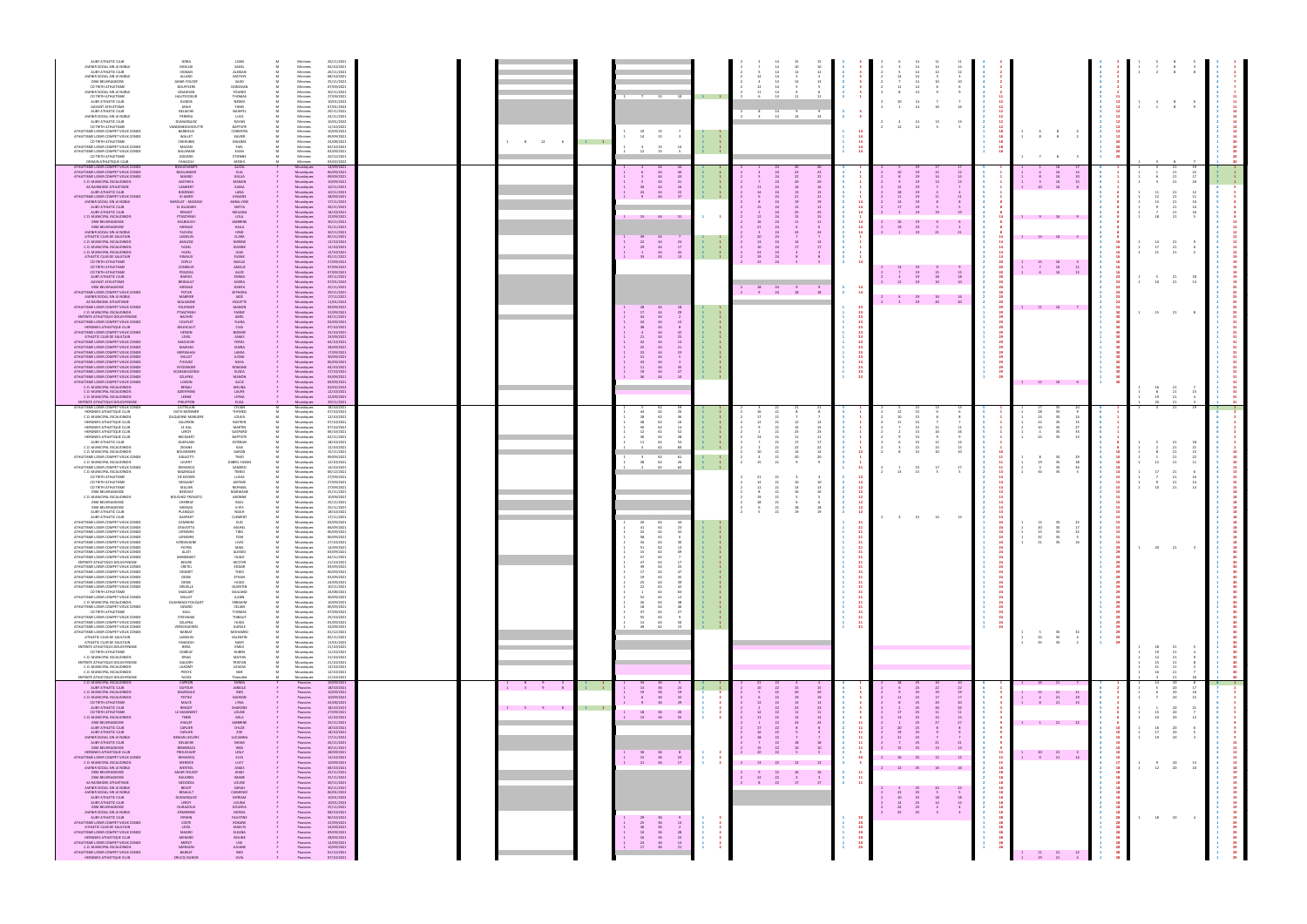| 1/10/2021<br>2/10/2021<br>2/10/2021<br>1/10/2021<br>0/09/2021<br>8/10/2021<br>0/09/2021<br>0/09/2021<br>4/08/2021<br>8/10/2021<br>7/09/2021<br>2/10/2021<br>5/11/2021<br>8/10/2021<br>8/10/2021<br>7/11/2021<br>6/11/2021<br>0/11/2021<br>8/09/2021<br>4/10/2021<br>0/09/2021<br>8/10/2021<br>5/11/2021<br>5/11/2021<br>0/11/2021<br>0/11/2021<br>6/01/2022<br>0/01/2022<br>0/01/2022<br>5/11/2021<br>8/10/2021<br>6/10/2021<br>2/09/2021<br>4/09/2021<br>9/09/2021<br>8/09/2021<br>4/09/2021<br>0/09/2021<br>1/12/2021<br>7/10/2021 | 5/11/2021<br>5/11/2021<br>8/10/2021<br>7/11/2021<br>3/09/2021<br>6/09/2021<br>6/09/2021<br>6/09/2021<br>7/10/2021<br>4/09/2021<br>3/09/2021<br>4/11/2021<br>1/10/2021<br>3/09/2021<br>6/09/2021<br>3/09/2021<br>4/09/2021<br>0/11/2021<br>4/08/2021<br>0/09/2021<br>0/09/2021<br>6/09/2021<br>7/09/2021<br>5/10/2021<br>3/09/2021<br>4/09/2021<br>1/12/2021<br>5/11/2021<br>1/01/2022<br>1/10/2021<br>1/10/2021<br>1/10/2021 | 2/09/2021<br>9/11/2021<br>8/10/2021<br>7/10/2021<br>2/10/2021<br>7/10/2021<br>7/10/2021<br>6/10/2021<br>2/11/2021<br>8/10/2021<br>2/10/2021<br>5/11/2021<br>9/09/2021<br>2/10/2021<br>4/10/2021<br>6/12/2021<br>7/09/2021<br>7/09/2021<br>7/09/2021<br>5/11/2021<br>0/09/2021 | 7/09/2021<br>9/11/2021<br>7/01/2022<br>5/11/2021<br>9/11/2021<br>7/11/2021<br>1/01/2022<br>9/09/2021<br>2/09/2021<br>3/11/2021<br>3/09/2021<br>7/10/2021<br>5/10/2021<br>4/09/2021<br>4/10/2021<br>8/09/2021<br>7/09/2021<br>0/09/2021<br>6/09/2021<br>4/10/2021<br>7/10/2021<br>3/09/2021<br>9/09/2021<br>3/02/2022<br>2/10/2021 | 4/09/2021<br>6/09/2021<br>9/09/2021<br>0/09/2021<br>0/11/2021<br>0/11/2021<br>8/09/2021<br>7/11/2021<br>6/11/2021<br>8/10/2021<br>2/09/2021<br>0/11/2021<br>5/11/2021<br>0/11/2021<br>5/11/2021<br>2/10/2021<br>2/10/2021<br>2/10/2021<br>5/11/2021<br>7/09/2021<br>7/09/2021 | 6/11/2021<br>4/10/2021<br>6/11/2021<br>8/10/2021<br>5/11/2021<br>7/09/2021<br>0/11/2021<br>7/09/2021<br>0/01/2022<br>7/01/2022<br>9/11/2021<br>4/11/2021<br>0/01/2022<br>1/10/2021<br>0/09/2021<br>9/09/2021<br>4/08/2021<br>4/10/2021<br>3/09/2021<br>0/12/2021<br>3/02/2022 |
|--------------------------------------------------------------------------------------------------------------------------------------------------------------------------------------------------------------------------------------------------------------------------------------------------------------------------------------------------------------------------------------------------------------------------------------------------------------------------------------------------------------------------------------|------------------------------------------------------------------------------------------------------------------------------------------------------------------------------------------------------------------------------------------------------------------------------------------------------------------------------------------------------------------------------------------------------------------------------|-------------------------------------------------------------------------------------------------------------------------------------------------------------------------------------------------------------------------------------------------------------------------------|-----------------------------------------------------------------------------------------------------------------------------------------------------------------------------------------------------------------------------------------------------------------------------------------------------------------------------------|-------------------------------------------------------------------------------------------------------------------------------------------------------------------------------------------------------------------------------------------------------------------------------|-------------------------------------------------------------------------------------------------------------------------------------------------------------------------------------------------------------------------------------------------------------------------------|
|                                                                                                                                                                                                                                                                                                                                                                                                                                                                                                                                      |                                                                                                                                                                                                                                                                                                                                                                                                                              |                                                                                                                                                                                                                                                                               |                                                                                                                                                                                                                                                                                                                                   |                                                                                                                                                                                                                                                                               |                                                                                                                                                                                                                                                                               |
|                                                                                                                                                                                                                                                                                                                                                                                                                                                                                                                                      |                                                                                                                                                                                                                                                                                                                                                                                                                              |                                                                                                                                                                                                                                                                               |                                                                                                                                                                                                                                                                                                                                   |                                                                                                                                                                                                                                                                               |                                                                                                                                                                                                                                                                               |
| 8<br>$\blacksquare$ 1<br>9<br>$\overline{\mathbf{3}}$<br>9<br>$\overline{5}$                                                                                                                                                                                                                                                                                                                                                                                                                                                         |                                                                                                                                                                                                                                                                                                                                                                                                                              |                                                                                                                                                                                                                                                                               |                                                                                                                                                                                                                                                                                                                                   |                                                                                                                                                                                                                                                                               | 12                                                                                                                                                                                                                                                                            |
| 3 <sup>2</sup><br>$\blacksquare$<br>$\mathbf{1}$<br>8<br>$6\overline{6}$                                                                                                                                                                                                                                                                                                                                                                                                                                                             |                                                                                                                                                                                                                                                                                                                                                                                                                              |                                                                                                                                                                                                                                                                               |                                                                                                                                                                                                                                                                                                                                   |                                                                                                                                                                                                                                                                               | - 6                                                                                                                                                                                                                                                                           |
| 33<br>$\blacksquare$ 1<br>14<br>19<br>18<br>13<br>30<br>15<br>21<br>29<br>25<br>$36\,$<br>10<br>16<br>17                                                                                                                                                                                                                                                                                                                                                                                                                             | 20<br>41<br>32<br>58<br>34<br>51<br>15<br>57<br>47<br>39<br>$17$<br>19<br>25<br>22<br>52<br>26<br>18<br>37<br>55<br>14<br>49                                                                                                                                                                                                                                                                                                 | 44<br>28<br>48<br>50<br>12<br>36<br>11<br>38                                                                                                                                                                                                                                  | 28<br>17<br>44<br>34<br>38<br>21<br>32<br>$25\,$<br>23<br>41<br>43<br>11<br>19<br>36                                                                                                                                                                                                                                              | 30<br>24<br>15<br>39<br>22<br>29<br>33                                                                                                                                                                                                                                        | 10<br>14<br>12                                                                                                                                                                                                                                                                |
| 36<br>36<br>$36\,$<br>36<br>36<br>36<br>36<br>36<br>36<br>36<br>36<br>36<br>36<br>36<br>36<br>36                                                                                                                                                                                                                                                                                                                                                                                                                                     | 62<br>62<br>62<br>62<br>62<br>62<br>62<br>62<br>62<br>62<br>62<br>62<br>62<br>62<br>62<br>62<br>62<br>62<br>62<br>62<br>62<br>62                                                                                                                                                                                                                                                                                             | 62<br>62<br>62<br>62<br>62<br>62<br>62<br>62<br>62<br>62<br>62<br>62                                                                                                                                                                                                          | 44<br>44<br>44<br>44<br>44<br>44<br>44<br>44<br>44<br>44<br>44<br>44<br>44<br>44<br>44                                                                                                                                                                                                                                            | 44<br>44<br>44<br>44<br>44<br>44<br>44<br>44<br>44<br>44<br>44<br>44<br>44                                                                                                                                                                                                    | 15<br>15<br>15<br>15<br>15                                                                                                                                                                                                                                                    |
| $-5$<br>24<br>19<br>32<br>29<br>20<br>25<br>23<br>17<br>13<br>28<br>22<br>14<br>21                                                                                                                                                                                                                                                                                                                                                                                                                                                   | 44<br>23<br>32<br>30<br>13<br>49<br>17<br>25<br>47<br>45<br>39<br>42<br>63<br>12<br>38<br>46<br>27<br>50<br>15                                                                                                                                                                                                                                                                                                               | 59<br>20<br>36<br>16<br>14<br>52<br>28<br>53<br>60<br>61<br>26<br>62                                                                                                                                                                                                          | 18<br>29<br>12<br>42<br>25<br>14<br>21<br>23<br>35<br>27<br>10                                                                                                                                                                                                                                                                    | 44<br>40<br>43<br>41<br><b>16</b><br>22<br>37<br>31<br>24<br>17<br>45<br>13                                                                                                                                                                                                   | 10<br>14                                                                                                                                                                                                                                                                      |
| $\overline{\mathbf{z}}$<br>$\blacksquare$                                                                                                                                                                                                                                                                                                                                                                                                                                                                                            |                                                                                                                                                                                                                                                                                                                                                                                                                              |                                                                                                                                                                                                                                                                               |                                                                                                                                                                                                                                                                                                                                   |                                                                                                                                                                                                                                                                               |                                                                                                                                                                                                                                                                               |
| $\overline{2}$                                                                                                                                                                                                                                                                                                                                                                                                                                                                                                                       |                                                                                                                                                                                                                                                                                                                                                                                                                              |                                                                                                                                                                                                                                                                               |                                                                                                                                                                                                                                                                                                                                   |                                                                                                                                                                                                                                                                               |                                                                                                                                                                                                                                                                               |
| 21<br>10<br>12<br>14<br>11<br>17<br><b>16</b><br>18<br><b>15</b><br>20<br>13<br>22                                                                                                                                                                                                                                                                                                                                                                                                                                                   | 18                                                                                                                                                                                                                                                                                                                                                                                                                           | 16<br>17<br>12<br>13<br>10<br>15<br>21<br>14<br>11<br>19                                                                                                                                                                                                                      | 18<br>$\Omega$                                                                                                                                                                                                                                                                                                                    | 11<br>14<br>15<br>12<br>16<br>21<br>20<br>13<br>10<br>23<br>19<br>22                                                                                                                                                                                                          | 14<br>12<br>11                                                                                                                                                                                                                                                                |
| 22<br>$\Delta$<br>22<br>22<br>22<br>22<br>22<br>22<br>22<br>22<br>22<br>22<br>22<br>22<br>22<br>22<br>22<br>22<br>22<br>22                                                                                                                                                                                                                                                                                                                                                                                                           | 21<br>21<br>21                                                                                                                                                                                                                                                                                                                                                                                                               | 21<br>21<br>୍ଧ<br>21<br>21<br>21<br>21<br>21<br>21<br>21<br>21<br>21<br>21<br>21<br>21<br>21<br>21<br>21                                                                                                                                                                      | 24<br>- 9<br>24                                                                                                                                                                                                                                                                                                                   | 24<br>24<br>24<br>24<br>24<br>24<br>24<br>24<br>24<br>24<br>24<br>24<br>24<br>-6<br>24<br>24<br>24<br>24<br>24<br>24<br>24                                                                                                                                                    | 14<br>14<br>14<br>14<br>14<br>14<br>14                                                                                                                                                                                                                                        |
| $\overline{a}$<br>15<br>15<br>$20\,$<br>20<br>19<br>19<br>13<br>13<br>23<br>23<br>11<br>11<br>14<br>14<br>24<br>24<br>18<br>18<br>10<br>10 <sub>1</sub><br>12<br>12<br>16<br>16<br>17<br>17                                                                                                                                                                                                                                                                                                                                          | 18<br>18<br>19<br>19                                                                                                                                                                                                                                                                                                                                                                                                         | 21<br>21<br>8<br>12<br>12<br>15<br>15<br>23<br>23<br>11<br>11<br>17<br>17<br>22<br>22<br>14<br>14<br>$20\,$<br>20<br>-9<br>$\Omega$<br>10<br>10<br>13<br>13<br>16<br>16                                                                                                       | 9<br>18<br>18                                                                                                                                                                                                                                                                                                                     | 26<br>26<br>23<br>23<br>22<br>22<br>20<br>20 <sub>2</sub><br>16<br>16<br>13<br>13<br>21<br>21<br>19<br>19<br>12<br>12<br>25<br>25<br>15<br>15<br>11<br>11<br>24<br>24<br>14<br>14<br>17<br>17                                                                                 | 15<br>15<br>10<br>10<br>12<br>12<br>13<br>13<br>11<br>11<br>9<br>14<br>14                                                                                                                                                                                                     |
|                                                                                                                                                                                                                                                                                                                                                                                                                                                                                                                                      |                                                                                                                                                                                                                                                                                                                                                                                                                              |                                                                                                                                                                                                                                                                               |                                                                                                                                                                                                                                                                                                                                   |                                                                                                                                                                                                                                                                               |                                                                                                                                                                                                                                                                               |
| $\blacksquare$<br>11<br><b>11</b><br>11<br>11<br>11<br>11<br>20<br>11<br>11<br>11<br>20<br>20<br>20<br>20<br>20<br>20<br>20                                                                                                                                                                                                                                                                                                                                                                                                          | 12<br>12<br>12<br>21<br>21<br>21<br>21<br>21<br>21<br>21<br>21<br>21<br>21<br>21<br>21<br>21<br>21<br>21<br>21<br>21<br>21<br>21<br>21<br>21<br>21                                                                                                                                                                                                                                                                           | 12<br>21<br>12<br>12<br>12<br>12<br>12                                                                                                                                                                                                                                        | 14<br>14<br>23<br>23<br>23<br>23<br>23<br>23<br>23<br>23<br>23<br>23<br>23<br>23<br>23<br>23<br>23                                                                                                                                                                                                                                | 14<br>14<br>14<br>14<br>14<br>14<br>14                                                                                                                                                                                                                                        | 14<br>14<br>14<br>14<br>14                                                                                                                                                                                                                                                    |
| $\overline{2}$                                                                                                                                                                                                                                                                                                                                                                                                                                                                                                                       |                                                                                                                                                                                                                                                                                                                                                                                                                              |                                                                                                                                                                                                                                                                               |                                                                                                                                                                                                                                                                                                                                   |                                                                                                                                                                                                                                                                               |                                                                                                                                                                                                                                                                               |
| 18<br>$\overline{11}$<br>17<br>13<br>20<br>19<br>21<br>15<br>16<br>12<br>23<br>10<br>-14<br>24<br>25                                                                                                                                                                                                                                                                                                                                                                                                                                 |                                                                                                                                                                                                                                                                                                                                                                                                                              | 12<br>10<br>ᆠᆚ<br>13                                                                                                                                                                                                                                                          | 12                                                                                                                                                                                                                                                                                                                                | 10<br><b>15</b><br>18<br>11<br>-14<br>17<br>$\overline{\mathbf{3}}$<br>16<br>19<br>13                                                                                                                                                                                         | - 6<br>11<br>10<br>12                                                                                                                                                                                                                                                         |
| 25<br>25<br>25<br>25<br>25<br>25<br>25<br>25<br>25<br>25<br>25<br>25<br>25<br>25<br>25<br>25<br>25<br>25<br>25<br>25<br>25<br>25                                                                                                                                                                                                                                                                                                                                                                                                     | 15                                                                                                                                                                                                                                                                                                                                                                                                                           | 15<br>15<br>15<br>15<br>15<br>15<br>15<br>15<br>15<br>15<br>15<br>15                                                                                                                                                                                                          | 19<br>19<br>19<br>19<br>19                                                                                                                                                                                                                                                                                                        | 19<br>19/<br>19<br>19<br>19<br>19<br>19<br>19<br>19<br>19<br>19<br>19<br>19<br>19                                                                                                                                                                                             | 14<br>14<br>14<br>14<br>14<br>14<br>14<br>14<br>14<br>14<br>14                                                                                                                                                                                                                |
| 10<br>22<br>19<br>17<br>20<br>26<br>11<br>15<br>27<br>21<br>13<br>12<br>16<br>24<br>18<br>14                                                                                                                                                                                                                                                                                                                                                                                                                                         | 14                                                                                                                                                                                                                                                                                                                                                                                                                           | 13<br>11<br>16<br>12<br>15<br>10<br>17<br>-5                                                                                                                                                                                                                                  | 15<br>18<br>10<br>16<br>20 <sub>2</sub>                                                                                                                                                                                                                                                                                           | 17<br>12<br>14<br>13<br>11<br>19<br>21                                                                                                                                                                                                                                        | 11<br>14<br>12<br>10<br>16<br>13                                                                                                                                                                                                                                              |
| 10<br>22<br>19<br>17<br>20<br>26<br>11<br>15<br>27<br>21<br>13<br>12<br>16<br>24<br>18<br>14                                                                                                                                                                                                                                                                                                                                                                                                                                         | 14                                                                                                                                                                                                                                                                                                                                                                                                                           | 13<br>11<br>16<br>12<br>15<br>10<br>17<br>$5\overline{5}$                                                                                                                                                                                                                     | 15<br>18<br>10<br>16<br>20                                                                                                                                                                                                                                                                                                        | 17<br>12<br>14<br>13<br>11<br>19<br>21                                                                                                                                                                                                                                        | 11<br>14<br>12<br>10<br>16<br>13<br>$5\overline{5}$                                                                                                                                                                                                                           |

| AUBY ATHLETIC CLUB                                                                                  | GORA                                              | LOAN                                              | M           | <b>Minimes</b>                         | 26/11/2021                             |
|-----------------------------------------------------------------------------------------------------|---------------------------------------------------|---------------------------------------------------|-------------|----------------------------------------|----------------------------------------|
| AVENIR SOCIAL SIN LE NOBLE                                                                          | <b>MOULDI</b>                                     | SAHEL                                             | M           | <b>Minimes</b>                         | 04/10/2021                             |
| <b>AUBY ATHLETIC CLUB</b>                                                                           | <b>VIGNAIS</b>                                    | <b>ALEXIAN</b>                                    | M           | <b>Minimes</b>                         | 26/11/2021                             |
| AVENIR SOCIAL SIN LE NOBLE                                                                          | ALLARD                                            | <b>MATHYS</b>                                     | M           | <b>Minimes</b>                         | 08/10/2021                             |
| OSM BEUVRAGEOISE                                                                                    | <b>AMAR YOUCEF</b>                                | SAJID                                             | M           | <b>Minimes</b>                         | 25/11/2021                             |
| CO TRITH ATHLETISME                                                                                 | <b>BOUFFLERS</b>                                  | <b>DONOVAN</b>                                    | M           | Minimes                                | 07/09/2021                             |
| AVENIR SOCIAL SIN LE NOBLE                                                                          | <b>IZGAGHAN</b>                                   | <b>YOUNES</b>                                     | M           | <b>Minimes</b>                         | 30/11/2021                             |
| CO TRITH ATHLETISME                                                                                 | <b>HAUTECOEUR</b>                                 | <b>THOMAS</b>                                     | M           | <b>Minimes</b>                         | 27/09/2021                             |
| AUBY ATHLETIC CLUB                                                                                  | <b>DUBOIS</b>                                     | <b>NEDIM</b>                                      | M           | <b>Minimes</b>                         | 10/01/2022                             |
| <b>GAYANT ATHLETISME</b>                                                                            | <b>MAHI</b>                                       | YANIS                                             | M           | Minimes                                | 07/01/2022                             |
| <b>AUBY ATHLETIC CLUB</b>                                                                           | <b>BELAICHE</b>                                   | <b>NAWFEL</b>                                     | M           | <b>Minimes</b>                         | 29/11/2021                             |
| AVENIR SOCIAL SIN LE NOBLE                                                                          | PEREIRA                                           | <b>LUCA</b>                                       | M           | <b>Minimes</b>                         | 24/11/2021                             |
| AUBY ATHLETIC CLUB                                                                                  | <b>DUMARQUEZ</b>                                  | <b>RAYAN</b>                                      | M           | <b>Minimes</b>                         | 10/01/2022                             |
| CO TRITH ATHLETISME                                                                                 | VANDENEECKHOUTTE                                  | <b>BAPTISTE</b>                                   | M           | Minimes                                | 11/10/2021                             |
| ATHLETISME LOISIR COMPET VIEUX CONDE                                                                | <b>BARBIEUX</b>                                   | <b>CORENTIN</b>                                   | M           | Minimes                                | 10/09/2021                             |
| ATHLETISME LOISIR COMPET VIEUX CONDE                                                                | <b>WALLET</b>                                     | <b>XAVIER</b>                                     | M           | <b>Minimes</b>                         | 09/09/2021                             |
| CO TRITH ATHLETISME                                                                                 | <b>CHERUBIN</b>                                   | <b>MAXIME</b>                                     | M           | <b>Minimes</b>                         | 24/08/2021                             |
| ATHLETISME LOISIR COMPET VIEUX CONDE                                                                | MAZARI                                            | <b>FAEL</b>                                       | M           | <b>Minimes</b>                         | 04/10/2021                             |
| ATHLETISME LOISIR COMPET VIEUX CONDE                                                                | WILLEMAN                                          | <b>EVAN</b>                                       | M           | <b>Minimes</b>                         | 03/09/2021                             |
| CO TRITH ATHLETISME                                                                                 | GODARD                                            | <b>ETIENNE</b>                                    | M           | <b>Minimes</b>                         | 20/12/2021                             |
| DENAIN ATHLETIQUE CLUB                                                                              | YAHIAOUI                                          | <b>MEDHI</b>                                      | M           | <b>Minimes</b>                         | 03/02/2022                             |
| ATHLETISME LOISIR COMPET VIEUX CONDE                                                                | <b>BEAUCHAMPS</b>                                 | <b>ALICIA</b>                                     | F.          | Moustiques                             | 14/09/2021                             |
| ATHLETISME LOISIR COMPET VIEUX CONDE                                                                | <b>BOULANGER</b>                                  | <b>ELIA</b>                                       | F           | Moustiques                             | 06/09/2021                             |
| ATHLETISME LOISIR COMPET VIEUX CONDE                                                                | <b>MAGRO</b>                                      | <b>GIULIA</b>                                     | F           | Moustiques                             | 09/09/2021                             |
| C.O. MUNICIPAL ESCAUDINOIS                                                                          | <b>MATHIEU</b>                                    | <b>MANON</b>                                      | F           | Moustiques                             | 10/09/2021                             |
| AS RAISMOISE ATHLETISME                                                                             | <b>LAMBERT</b>                                    | <b>KAINA</b>                                      | F           | Moustiques                             | 10/11/2021                             |
| <b>AUBY ATHLETIC CLUB</b>                                                                           | <b>BIDZINSKI</b>                                  | LANA                                              |             | Moustiques                             | 10/11/2021                             |
| ATHLETISME LOISIR COMPET VIEUX CONDE                                                                | <b>ID AMER</b>                                    | <b>IHSSANE</b>                                    | F.          | Moustiques                             | 28/09/2021                             |
| AVENIR SOCIAL SIN LE NOBLE                                                                          | <b>BAROLAT - MASSOLE</b>                          | <b>ANNA-LYNE</b>                                  |             | Moustiques                             | 17/11/2021                             |
| <b>AUBY ATHLETIC CLUB</b>                                                                           | <b>EL GUADARI</b>                                 | <b>SAFIYA</b>                                     |             | Moustiques                             | 26/11/2021                             |
| <b>AUBY ATHLETIC CLUB</b>                                                                           | <b>RINGOT</b>                                     | <b>MELIANA</b>                                    |             | Moustiques                             | 18/10/2021                             |
| C.O. MUNICIPAL ESCAUDINOIS                                                                          | PTASZYNSKI                                        | <b>LOLA</b>                                       | F.          | <b>Moustiques</b>                      | 22/09/2021                             |
| <b>OSM BEUVRAGEOISE</b>                                                                             | <b>HALBOUCH</b>                                   | <b>AMBRINE</b>                                    | F.          | Moustiques                             | 30/11/2021                             |
| OSM BEUVRAGEOISE                                                                                    | <b>MESSAD</b>                                     | <b>HAILA</b>                                      | F           | Moustiques                             | 25/11/2021                             |
| AVENIR SOCIAL SIN LE NOBLE                                                                          | YACHOU                                            | <b>HIND</b>                                       | F           | Moustiques                             | 30/11/2021                             |
| ATHLETIC CLUB DE SAULTAIN                                                                           | LASSELIN                                          | <b>CLARA</b>                                      | F.          | Moustiques                             | 05/11/2021                             |
| C.O. MUNICIPAL ESCAUDINOIS                                                                          | AMAZOZ                                            | <b>NISRINE</b>                                    | F           | Moustiques                             | 12/10/2021                             |
| C.O. MUNICIPAL ESCAUDINOIS                                                                          | <b>FADEL</b>                                      | <b>JEANNE</b>                                     | F           | Moustiques                             | 12/10/2021                             |
| C.O. MUNICIPAL ESCAUDINOIS                                                                          | <b>FADEL</b>                                      | <b>JULIE</b>                                      | F           | Moustiques                             | 12/10/2021                             |
| ATHLETIC CLUB DE SAULTAIN                                                                           | <b>RIMAUX</b>                                     | <b>EVANE</b>                                      | F           | Moustiques                             | 05/11/2021                             |
| CO TRITH ATHLETISME                                                                                 | <b>COPLO</b>                                      | <b>NAELLE</b>                                     | F.          | Moustiques                             | 27/09/2021                             |
| CO TRITH ATHLETISME                                                                                 | <b>CONREUR</b>                                    | AMELIE                                            | F           | Moustiques                             | 07/09/2021                             |
| CO TRITH ATHLETISME                                                                                 | <b>POGODA</b>                                     | ALIZE                                             | F           | Moustiques                             | 07/09/2021                             |
| <b>AUBY ATHLETIC CLUB</b>                                                                           | <b>BAROIS</b>                                     | <b>EMMA</b>                                       | F           | Moustiques                             | 29/11/2021                             |
| <b>GAYANT ATHLETISME</b>                                                                            | <b>BRIDAULT</b>                                   | <b>AMIRA</b>                                      | F           | Moustiques                             | 07/01/2022                             |
| OSM BEUVRAGEOISE                                                                                    | <b>MESSAD</b>                                     | <b>DANYA</b>                                      | F           | Moustiques                             | 25/11/2021                             |
| ATHLETISME LOISIR COMPET VIEUX CONDE                                                                | <b>POTAR</b>                                      | <b>SEPHORA</b>                                    | F.          | Moustiques                             | 29/11/2021                             |
| AVENIR SOCIAL SIN LE NOBLE                                                                          | <b>MABRIER</b>                                    | <b>JADE</b>                                       | F           | Moustiques                             | 17/11/2021                             |
| AS RAISMOISE ATHLETISME                                                                             | <b>MALSAGNE</b>                                   | <b>VIOLETTE</b>                                   | F           | Moustiques                             | 11/01/2022                             |
| ATHLETISME LOISIR COMPET VIEUX CONDE                                                                | <b>FOURNIER</b>                                   | <b>MANON</b>                                      | F           | Moustiques                             | 09/09/2021                             |
| C.O. MUNICIPAL ESCAUDINOIS                                                                          | PTASZYNSKI                                        | <b>FANNY</b>                                      | F           | Moustiques                             | 22/09/2021                             |
| ENTENTE ATHLETIQUE DOUCHYNOISE                                                                      | <b>BACHIRI</b>                                    | AMEL                                              | F           | Moustiques                             | 03/11/2021                             |
| ATHLETISME LOISIR COMPET VIEUX CONDE                                                                | <b>COUPLET</b>                                    | <b>YLANA</b>                                      | F           | Moustiques                             | 03/09/2021                             |
| HERGNIES ATHLETIQUE CLUB                                                                            | DELESCAUT                                         | <b>CLEA</b>                                       | F           | Moustiques                             | 07/10/2021                             |
| ATHLETISME LOISIR COMPET VIEUX CONDE                                                                | <b>HENON</b>                                      | <b>NOEMIE</b>                                     | F           | Moustiques                             | 25/10/2021                             |
| ATHLETIC CLUB DE SAULTAIN                                                                           | <b>LEVEL</b>                                      | <b>ANAIS</b>                                      | F           | Moustiques                             | 24/09/2021                             |
| ATHLETISME LOISIR COMPET VIEUX CONDE                                                                | <b>MAOUCHE</b>                                    | <b>FERIEL</b>                                     | F.          | Moustiques                             | 04/10/2021                             |
| ATHLETISME LOISIR COMPET VIEUX CONDE                                                                | <b>MAZIANI</b>                                    | <b>JANNA</b>                                      | F.          | Moustiques                             | 28/09/2021                             |
| ATHLETISME LOISIR COMPET VIEUX CONDE                                                                | MERSAHALI                                         | LAMIA                                             | F           | Moustiques                             | 17/09/2021                             |
| ATHLETISME LOISIR COMPET VIEUX CONDE                                                                | <b>MILLOT</b>                                     | <b>ILONA</b>                                      | F           | Moustiques                             | 30/09/2021                             |
| ATHLETISME LOISIR COMPET VIEUX CONDE                                                                | <b>PICAVEZ</b>                                    | <b>NAYA</b>                                       | F.          | Moustiques                             | 06/09/2021                             |
| ATHLETISME LOISIR COMPET VIEUX CONDE                                                                | <b>RYCKEBOER</b>                                  | <b>ROMANE</b>                                     | F.          | Moustiques                             | 04/10/2021                             |
| ATHLETISME LOISIR COMPET VIEUX CONDE                                                                | SCARAMUZZINO                                      | <b>ELISEA</b>                                     | F.          | Moustiques                             | 27/10/2021                             |
| ATHLETISME LOISIR COMPET VIEUX CONDE                                                                | <b>SZLAPKA</b>                                    | <b>MANON</b>                                      |             | Moustiques                             | 03/09/2021                             |
| ATHLETISME LOISIR COMPET VIEUX CONDE                                                                | <b>LOISON</b>                                     | <b>ALICE</b>                                      | F.          | Moustiques                             | 09/09/2021                             |
| C.O. MUNICIPAL ESCAUDINOIS                                                                          | <b>BENALI</b>                                     | <b>MELINA</b>                                     |             | Moustiques                             | 03/02/2022                             |
| C.O. MUNICIPAL ESCAUDINOIS                                                                          | <b>DZIERYNSKI</b>                                 | LAURE                                             | F           | Moustiques                             | 12/10/2021                             |
| C.O. MUNICIPAL ESCAUDINOIS                                                                          | <b>LENNE</b>                                      | <b>LEYNA</b>                                      | F           | Moustiques                             | 22/09/2021                             |
| ENTENTE ATHLETIQUE DOUCHYNOISE                                                                      | <b>PHILIPPON</b>                                  | <b>ELISA</b>                                      | F           | Moustiques                             | 29/11/2021                             |
| ATHLETISME LOISIR COMPET VIEUX CONDE                                                                | CATTELAIN                                         | <b>CYLIAN</b>                                     | M           | Moustiques                             | 18/10/2021                             |
| HERGNIES ATHLETIQUE CLUB                                                                            | <b>DATH MONNIER</b>                               | <b>THYMEO</b>                                     | M           | Moustiques                             | 07/10/2021                             |
| <b>C.O. MUNICIPAL ESCAUDINOIS</b>                                                                   | <b>DUQUESNE MARLIERE</b>                          | LOUKA                                             | M           | Moustiques                             | 12/10/2021                             |
| HERGNIES ATHLETIQUE CLUB                                                                            | <b>GILLERON</b>                                   | <b>BASTIEN</b>                                    | M           | Moustiques                             | 07/10/2021                             |
| HERGNIES ATHLETIQUE CLUB                                                                            | LE GAL                                            | <b>MARTIN</b>                                     | M           | Moustiques                             | 07/10/2021                             |
| HERGNIES ATHLETIQUE CLUB                                                                            | <b>LEROY</b>                                      | GASPARD                                           | M           | Moustiques                             | 06/10/2021                             |
| HERGNIES ATHLETIQUE CLUB                                                                            | <b>WICKAERT</b>                                   | <b>BAPTISTE</b>                                   | M           | Moustiques                             | 02/11/2021                             |
| <b>AUBY ATHLETIC CLUB</b>                                                                           | <b>GUERLAIN</b>                                   | <b>ESTEBAN</b>                                    | M           | Moustiques                             | 18/10/2021                             |
| C.O. MUNICIPAL ESCAUDINOIS                                                                          | ZIDANE                                            | KAIS                                              | M           | Moustiques                             | 12/10/2021                             |
| C.O. MUNICIPAL ESCAUDINOIS                                                                          | <b>BOUSINIERE</b>                                 | <b>AARON</b>                                      | M           | Moustiques                             | 15/11/2021                             |
| ATHLETISME LOISIR COMPET VIEUX CONDE                                                                | <b>GIGLIOTTI</b>                                  | <b>TIMO</b>                                       | M           | Moustiques                             | 09/09/2021                             |
| C.O. MUNICIPAL ESCAUDINOIS                                                                          | <b>LEVERT</b>                                     | <b>DJIBRIL YASSIN</b>                             | M           | Moustiques                             | 12/10/2021                             |
| ATHLETISME LOISIR COMPET VIEUX CONDE                                                                | <b>DEMARCQ</b>                                    | SANDRO                                            | M           | Moustiques                             | 14/10/2021                             |
| C.O. MUNICIPAL ESCAUDINOIS                                                                          | <b>MAZINGUE</b>                                   | <b>TIMEO</b>                                      | M           | Moustiques                             | 06/12/2021                             |
| CO TRITH ATHLETISME                                                                                 | DE DECKER                                         | <b>LUCAS</b>                                      | M           | Moustiques                             | 27/09/2021                             |
| CO TRITH ATHLETISME                                                                                 | <b>DESSAINT</b>                                   | <b>ANTIME</b>                                     | M           | Moustiques                             | 27/09/2021                             |
| CO TRITH ATHLETISME                                                                                 | <b>SEILLIER</b>                                   | RAPHAEL                                           | M           | Moustiques                             | 27/09/2021                             |
| OSM BEUVRAGEOISE                                                                                    | <b>BEDDIAF</b>                                    | <b>MARWANE</b>                                    | M           | Moustiques                             | 25/11/2021                             |
| C.O. MUNICIPAL ESCAUDINOIS                                                                          | BOUCHEZ-TROVATO                                   | <b>ARONNE</b>                                     | M           | Moustiques                             | 10/09/2021                             |
| OSM BEUVRAGEOISE                                                                                    | <b>CHERRAF</b>                                    | <b>BILEL</b>                                      | M           | Moustiques                             | 25/11/2021                             |
| OSM BEUVRAGEOISE                                                                                    | MESSAD                                            | <b>ILYES</b>                                      | M           | Moustiques                             | 25/11/2021                             |
| AUBY ATHLETIC CLUB                                                                                  | PLANQUE                                           | <b>NOAH</b>                                       | M           | Moustiques                             | 18/10/2021                             |
| AUBY ATHLETIC CLUB                                                                                  | <b>GASPART</b>                                    | <b>CLEMENT</b>                                    | M           | Moustiques                             | 17/11/2021                             |
| ATHLETISME LOISIR COMPET VIEUX CONDE                                                                | CAMBONI                                           | <b>ELIO</b>                                       | M           | Moustiques                             | 03/09/2021                             |
| ATHLETISME LOISIR COMPET VIEUX CONDE                                                                | <b>CRAVOTTA</b>                                   | <b>MAHEL</b>                                      | М           | Moustiques                             | 06/09/2021                             |
| ATHLETISME LOISIR COMPET VIEUX CONDE                                                                | LEFEBVRE                                          | <b>TIBO</b>                                       | M           | Moustiques                             | 06/09/2021                             |
| ATHLETISME LOISIR COMPET VIEUX CONDE                                                                | LEFEBVRE                                          | <b>TOM</b>                                        | M           | Moustiques                             | 06/09/2021                             |
| ATHLETISME LOISIR COMPET VIEUX CONDE                                                                | VERDAVAINE                                        | LIVIO                                             | M           | Moustiques                             | 27/10/2021                             |
| ATHLETISME LOISIR COMPET VIEUX CONDE                                                                | <b>PATRIS</b>                                     | <b>MAEL</b>                                       | M           | Moustiques                             | 14/09/2021                             |
| ATHLETISME LOISIR COMPET VIEUX CONDE                                                                | <b>ALATI</b>                                      | <b>ALESSIO</b>                                    | M           | Moustiques                             | 03/09/2021                             |
| ATHLETISME LOISIR COMPET VIEUX CONDE                                                                | <b>BARGIBANT</b>                                  | <b>HUGO</b>                                       | M           | Moustiques                             | 04/11/2021                             |
| ENTENTE ATHLETIQUE DOUCHYNOISE                                                                      | <b>BOURE</b>                                      | <b>HECTOR</b>                                     | ${\sf M}$   | Moustiques                             | 21/10/2021                             |
| ATHLETISME LOISIR COMPET VIEUX CONDE                                                                | <b>CRETEL</b>                                     | EDGAR                                             | M           | Moustiques                             | 03/09/2021                             |
| ATHLETISME LOISIR COMPET VIEUX CONDE                                                                | <b>DESMET</b>                                     | <b>THEO</b>                                       | M           | Moustiques                             | 06/09/2021                             |
| ATHLETISME LOISIR COMPET VIEUX CONDE                                                                | <b>DESSE</b>                                      | <b>ETHAN</b>                                      | M           | Moustiques                             | 03/09/2021                             |
| ATHLETISME LOISIR COMPET VIEUX CONDE                                                                | <b>DESSE</b>                                      | <b>HUGO</b>                                       | M           | Moustiques                             | 24/09/2021                             |
| ATHLETISME LOISIR COMPET VIEUX CONDE<br>CO TRITH ATHLETISME<br>ATHLETISME LOISIR COMPET VIEUX CONDE | <b>DRUELLE</b><br><b>MASCART</b><br><b>MILLOT</b> | <b>QUENTIN</b><br><b>GIULIANO</b><br><b>ILANN</b> | M<br>M      | Moustiques<br>Moustiques               | 10/11/2021<br>24/08/2021               |
| C.O. MUNICIPAL ESCAUDINOIS<br>ATHLETISME LOISIR COMPET VIEUX CONDE                                  | <b>OUAHMADI FOUQUET</b><br><b>OZIARD</b>          | <b>YBRAHIM</b><br>CELIAN                          | M<br>M<br>M | Moustiques<br>Moustiques               | 30/09/2021<br>10/09/2021<br>06/09/2021 |
| CO TRITH ATHLETISME<br>ATHLETISME LOISIR COMPET VIEUX CONDE                                         | SAUL<br><b>STEFANIAK</b>                          | <b>THOMAS</b><br><b>THIBAUT</b>                   | M<br>M      | Moustiques<br>Moustiques<br>Moustiques | 07/09/2021<br>25/10/2021               |
| ATHLETISME LOISIR COMPET VIEUX CONDE                                                                | SZLAPKA                                           | <b>HUGO</b>                                       | M           | Moustiques                             | 03/09/2021                             |
| ATHLETISME LOISIR COMPET VIEUX CONDE                                                                | VERSCHUEREN                                       | <b>AURELE</b>                                     | M           | Moustiques                             | 24/09/2021                             |
| ATHLETISME LOISIR COMPET VIEUX CONDE                                                                | <b>BARKAT</b>                                     | <b>MOHAMED</b>                                    | M           | Moustiques                             | 01/12/2021                             |
| ATHLETIC CLUB DE SAULTAIN                                                                           | LASSELIN                                          | VALENTIN                                          | M           | Moustiques                             | 05/11/2021                             |
| ATHLETIC CLUB DE SAULTAIN                                                                           | YAHIAOUI                                          | SAMY                                              | ${\sf M}$   | Moustiques                             | 11/01/2022                             |
| ENTENTE ATHLETIQUE DOUCHYNOISE                                                                      | <b>BERA</b>                                       | <b>EMILE</b>                                      | M           | Moustiques                             | 21/10/2021                             |
| CO TRITH ATHLETISME                                                                                 | <b>DOBEUF</b>                                     | <b>RUBEN</b>                                      | M           | Moustiques                             | 11/10/2021                             |
| C.O. MUNICIPAL ESCAUDINOIS                                                                          | <b>DRAG</b>                                       | <b>MATHIS</b>                                     | M           | Moustiques                             | 21/10/2021                             |
| ENTENTE ATHLETIQUE DOUCHYNOISE                                                                      | <b>GAUDRY</b>                                     | <b>TRISTAN</b>                                    | M           | Moustiques                             | 21/10/2021                             |
| C.O. MUNICIPAL ESCAUDINOIS                                                                          | LAKOMY                                            | <b>LOUKAS</b>                                     | M           | Moustiques                             | 12/10/2021                             |
| C.O. MUNICIPAL ESCAUDINOIS                                                                          | <b>PIESYK</b>                                     | <b>NOE</b>                                        | M           | Moustiques                             | 12/10/2021                             |
| ENTENTE ATHLETIQUE DOUCHYNOISE                                                                      | <b>YACKX</b>                                      | Thimothé                                          | M           | Moustiques                             | 21/10/2021                             |
| C.O. MUNICIPAL ESCAUDINOIS                                                                          | <b>CAPRON</b>                                     | <b>EMMA</b>                                       | F.          | Poussins                               | 10/09/2021                             |
| <b>AUBY ATHLETIC CLUB</b>                                                                           | <b>DUFOUR</b>                                     | <b>JANELLE</b>                                    | F           | <b>Poussins</b>                        | 18/10/2021                             |
| <b>C.O. MUNICIPAL ESCAUDINOIS</b>                                                                   | <b>MAZINGUE</b>                                   | <b>INES</b>                                       | F           | Poussins                               | 10/09/2021                             |
| <b>C.O. MUNICIPAL ESCAUDINOIS</b>                                                                   | <b>POTIEZ</b>                                     | <b>MARION</b>                                     |             | Poussins                               | 10/09/2021                             |
| CO TRITH ATHLETISME                                                                                 | <b>MILICE</b>                                     | <b>LYNA</b>                                       |             | <b>Poussins</b>                        | 24/08/2021                             |
| <b>AUBY ATHLETIC CLUB</b>                                                                           | <b>RINGOT</b>                                     | <b>SHARONE</b>                                    |             | Poussins                               | 18/10/2021                             |
| CO TRITH ATHLETISME                                                                                 | LE MAIGNENT                                       | <b>LOUISE</b>                                     |             | Poussins                               | 27/09/2021                             |
| <b>C.O. MUNICIPAL ESCAUDINOIS</b>                                                                   | <b>TEBBI</b>                                      | <b>MILA</b>                                       |             | <b>Poussins</b>                        | 12/10/2021                             |
| OSM BEUVRAGEOISE                                                                                    | <b>KHALEF</b>                                     | <b>AMBRINE</b>                                    |             | Poussins                               | 25/11/2021                             |
| <b>AUBY ATHLETIC CLUB</b>                                                                           | <b>CARLIER</b>                                    | <b>CHLOE</b>                                      |             | <b>Poussins</b>                        | 18/10/2021                             |
| <b>AUBY ATHLETIC CLUB</b>                                                                           | <b>CARLIER</b>                                    | <b>ZOE</b>                                        |             | Poussins                               | 18/10/2021                             |
| AVENIR SOCIAL SIN LE NOBLE                                                                          | <b>DEMAN LECLERC</b>                              | <b>LUCIANNA</b>                                   |             | Poussins                               | 17/11/2021                             |
| <b>AUBY ATHLETIC CLUB</b>                                                                           | <b>BELAICHE</b>                                   | <b>SIHAM</b>                                      |             | <b>Poussins</b>                        | 26/11/2021                             |
| OSM BEUVRAGEOISE                                                                                    | <b>BENSERADJ</b>                                  | <b>HIBA</b>                                       | F           | Poussins                               | 30/11/2021                             |
| HERGNIES ATHLETIQUE CLUB                                                                            | <b>FROUCHART</b>                                  | <b>LESLY</b>                                      |             | Poussins                               | 28/09/2021                             |
| ATHLETISME LOISIR COMPET VIEUX CONDE                                                                | <b>DEMARCQ</b>                                    | <b>ELYA</b>                                       |             | <b>Poussins</b>                        | 14/10/2021                             |
| C.O. MUNICIPAL ESCAUDINOIS                                                                          | <b>MERCIER</b>                                    | <b>LUCY</b>                                       |             | Poussins                               | 10/09/2021                             |
| AVENIR SOCIAL SIN LE NOBLE                                                                          | <b>WESTEEL</b>                                    | <b>ANAIS</b>                                      |             | <b>Poussins</b>                        | 08/10/2021                             |
| <b>OSM BEUVRAGEOISE</b>                                                                             | AMAR-YOUCEF                                       | <b>JIHAD</b>                                      |             | Poussins                               | 25/11/2021                             |
| OSM BEUVRAGEOISE                                                                                    | <b>BAUDRIN</b>                                    | <b>IMANE</b>                                      |             | Poussins                               | 25/11/2021                             |
| AS RAISMOISE ATHLETISME                                                                             | SIEDZIZKA                                         | <b>LOUISE</b>                                     |             | <b>Poussins</b>                        | 30/11/2021                             |
| AVENIR SOCIAL SIN LE NOBLE                                                                          | <b>BEGOT</b>                                      | SARAH                                             |             | Poussins                               | 30/11/2021                             |
| AVENIR SOCIAL SIN LE NOBLE                                                                          | <b>BENAULT</b>                                    | <b>CLEMENCE</b>                                   |             | Poussins                               | 06/01/2022                             |
| <b>AUBY ATHLETIC CLUB</b>                                                                           | <b>DUMARQUEZ</b>                                  | <b>MYRIAM</b>                                     |             | <b>Poussins</b>                        | 10/01/2022                             |
| <b>AUBY ATHLETIC CLUB</b>                                                                           | <b>LEROY</b>                                      | <b>LOUNA</b>                                      |             | Poussins                               | 10/01/2022                             |
| OSM BEUVRAGEOISE                                                                                    | <b>OURAZOUK</b>                                   | <b>DOUNYA</b>                                     | F           | <b>Poussins</b>                        | 25/11/2021                             |
| AVENIR SOCIAL SIN LE NOBLE                                                                          | ZIEMBINSKI                                        | <b>MONIA</b>                                      |             | Poussins                               | 08/10/2021                             |
| <b>AUBY ATHLETIC CLUB</b>                                                                           | <b>FIRMIN</b>                                     | <b>FAUSTINE</b>                                   |             | Poussins                               | 06/10/2021                             |
| ATHLETISME LOISIR COMPET VIEUX CONDE                                                                | <b>COSTE</b>                                      | <b>ROXANE</b>                                     |             | <b>Poussins</b>                        | 22/09/2021                             |
| ATHLETIC CLUB DE SAULTAIN                                                                           | <b>LEVEL</b>                                      | <b>MAELYS</b>                                     |             | Poussins                               | 24/09/2021                             |
| ATHLETISME LOISIR COMPET VIEUX CONDE                                                                | <b>MAGRO</b>                                      | <b>ELEANA</b>                                     |             | Poussins                               | 09/09/2021                             |
| HERGNIES ATHLETIQUE CLUB                                                                            | <b>MENARD</b>                                     | <b>ISOLINE</b>                                    |             | Poussins                               | 28/09/2021                             |
| ATHLETISME LOISIR COMPET VIEUX CONDE                                                                | <b>MERCY</b>                                      | <b>LISE</b>                                       |             | Poussins                               | 14/09/2021                             |
| <b>C.O. MUNICIPAL ESCAUDINOIS</b>                                                                   | SARRAZIN                                          | <b>JULIANE</b>                                    | F           | Poussins                               | 10/09/2021                             |
| ATHLETISME LOISIR COMPET VIEUX CONDE                                                                | <b>BARKAT</b>                                     | <b>INES</b>                                       |             | Poussins                               | 01/12/2021                             |
| HERGNIES ATHLETIQUE CLUB                                                                            | <b>CRUCQ-DUBOIS</b>                               | <b>LIVIA</b>                                      | F.          | Poussins                               | 07/10/2021                             |

| 4<br>4<br>4<br>4<br>4<br>4<br>4<br>3<br>2<br>$\overline{\mathbf{2}}$<br>$\overline{\mathbf{2}}$<br>$\overline{\mathbf{2}}$<br>$\overline{\mathbf{2}}$<br>$\overline{\mathbf{2}}$<br>1<br>1<br>1                                           | $\frac{2}{2}$<br>$\overline{\mathbf{2}}$<br>$\overline{\mathbf{2}}$<br>$\overline{\mathbf{2}}$<br>$\overline{\mathbf{2}}$<br>$\overline{2}$<br>${\bf 11}$<br>$\mathbf{12}$<br>12<br>12<br>12<br>12<br>12<br>18<br>18<br>18<br><b>18</b> | $\mathbf{1}$<br>$\mathbf 1$                                                                                                                                          | 6<br>$\bf 8$                                                                                                                                          | $\,8$<br>$\bf 8$                                                  | 4<br>$\overline{2}$                                                                                                     | 4<br>4<br>4<br>4<br>4<br>4<br>4<br>3<br>$\overline{\mathbf{2}}$<br>$\overline{\mathbf{2}}$<br>2<br>$\overline{\mathbf{2}}$<br>$\overline{\mathbf{2}}$<br>$\overline{\mathbf{2}}$<br>$\overline{\mathbf{2}}$<br>$\overline{\mathbf{2}}$<br>$\mathbf{1}$<br>$\mathbf{1}$                                                                                                                                                                         | $\frac{2}{2}$<br>$\overline{\mathbf{2}}$<br>$\overline{\mathbf{c}}$<br>$\overline{\mathbf{c}}$<br>$\overline{\mathbf{c}}$<br>$\overline{\mathbf{2}}$<br>$\bf{11}$<br>12<br>12<br>12<br>${\bf 12}$<br>${\bf 12}$<br>${\bf 12}$<br>${\bf 12}$<br>12<br>20<br>20 | $\begin{array}{c} 1 \\ 1 \\ 1 \end{array}$<br>$\begin{array}{c} 1 \\ 1 \end{array}$                                                                                                                                            | 5<br>$\overline{\mathcal{I}}$<br>$\overline{2}$<br>4<br>$\mathbf 1$                                                                  | 8<br>8<br>8<br>8<br>8                                                                                                                 | 5<br>$\overline{\mathbf{3}}$<br>8<br>6<br>$\mathsf{g}\,$                                                                    | 5<br>5<br>5<br>4<br>4<br>4<br>4<br>3<br>3<br>3<br>$\overline{\mathbf{2}}$<br>$\overline{\mathbf{2}}$<br>$\overline{\mathbf{2}}$<br>$\overline{\mathbf{2}}$<br>$\overline{\mathbf{2}}$<br>$\overline{\mathbf{2}}$<br>$\mathbf{1}$<br>$\mathbf{1}$                                                                                                                                                                                                                 | $\frac{2}{2}$<br>$\overline{\mathbf{2}}$<br>$\overline{\mathbf{7}}$<br>$\overline{\mathbf{z}}$<br>$\overline{\mathbf{z}}$<br>$\overline{\mathbf{z}}$<br>11<br>11<br>11<br>14<br>14<br>14<br>14<br>14<br>14<br>20<br>20                                                  |
|-------------------------------------------------------------------------------------------------------------------------------------------------------------------------------------------------------------------------------------------|-----------------------------------------------------------------------------------------------------------------------------------------------------------------------------------------------------------------------------------------|----------------------------------------------------------------------------------------------------------------------------------------------------------------------|-------------------------------------------------------------------------------------------------------------------------------------------------------|-------------------------------------------------------------------|-------------------------------------------------------------------------------------------------------------------------|------------------------------------------------------------------------------------------------------------------------------------------------------------------------------------------------------------------------------------------------------------------------------------------------------------------------------------------------------------------------------------------------------------------------------------------------|---------------------------------------------------------------------------------------------------------------------------------------------------------------------------------------------------------------------------------------------------------------|--------------------------------------------------------------------------------------------------------------------------------------------------------------------------------------------------------------------------------|--------------------------------------------------------------------------------------------------------------------------------------|---------------------------------------------------------------------------------------------------------------------------------------|-----------------------------------------------------------------------------------------------------------------------------|------------------------------------------------------------------------------------------------------------------------------------------------------------------------------------------------------------------------------------------------------------------------------------------------------------------------------------------------------------------------------------------------------------------------------------------------------------------|-------------------------------------------------------------------------------------------------------------------------------------------------------------------------------------------------------------------------------------------------------------------------|
| 1<br>1<br>5<br>5<br>5<br>5<br>5<br>5<br>5<br>4<br>4<br>4<br>3<br>4<br>4<br>4<br>3<br>3<br>3<br>3<br>3<br>$\overline{\mathbf{2}}$<br>$\overline{\mathbf{2}}$                                                                               | 18<br>$\mathbf{1}$<br>${\bf 1}$<br>$\mathbf{1}$<br>$\mathbf{1}$<br>$\mathbf{1}$<br>$\mathbf{1}$<br>$\mathbf{1}$<br>8<br>$\bf{8}$<br>8<br>14<br>8<br>8<br>$\pmb{8}$<br>14<br>14<br>14<br>14<br>14<br>20<br>20                            | $\mathbf{1}$<br>$\mathbf 1$<br>$\mathbf 1$<br>$\mathbf 1$<br>$\mathbf 1$<br>$\mathbf 1$<br>$\mathbf 1$<br>$\mathbf{1}$<br>$\mathbf{1}$<br>$\mathbf 1$                | $\overline{7}$<br>$\mathbf 1$<br>$\overline{a}$<br>$\bf 8$<br>$\overline{\mathbf{3}}$<br>$10\,$<br>$\boldsymbol{9}$<br>$14\,$<br>15<br>$\overline{7}$ | $\,$ 8 $\,$<br>16<br>16<br>16<br>16<br>16<br>16<br>16<br>16<br>16 | $\mathbf{3}$<br>$17\,$<br>$14\,$<br>$10\,$<br>$15\,$<br>$8\phantom{.}$<br>$9\,$<br>$\overline{4}$<br>$\mathbf{3}$<br>11 | $\mathbf{1}$<br>${\bf 1}$<br>$6\phantom{1}6$<br>6<br>6<br>6<br>6<br>5<br>5<br>4<br>4<br>4<br>4<br>4<br>4<br>4<br>4<br>3<br>3<br>3<br>3<br>3<br>3                                                                                                                                                                                                                                                                                               | 20<br>20<br>$\mathbf{1}$<br>$\mathbf{1}$<br>$\mathbf{1}$<br>$\mathbf{1}$<br>$\mathbf{1}$<br>$\boldsymbol{6}$<br>$\overline{\mathbf{6}}$<br>8<br>8<br>8<br>8888<br>8<br><b>16</b><br>16<br><b>16</b><br><b>16</b><br>${\bf 16}$<br>${\bf 16}$                  | $\mathbf{1}$<br>$\mathbf 1$<br>$\mathbf 1$<br>$\mathbf{1}$<br>$\mathbf 1$<br>$\mathbf 1$<br>$\mathbf 1$<br>$\mathbf{1}$<br>$\mathbf 1$<br>$\mathbf{1}$<br>$\mathbf 1$<br>$\mathbf{1}$<br>$\begin{array}{c} 1 \\ 1 \end{array}$ | 3<br>4<br>$\mathbf{1}$<br>6<br>3<br>$11\,$<br>$12\,$<br>13<br>$\boldsymbol{9}$<br>$\overline{7}$<br>$18\,$<br>14<br>$17\,$<br>$21\,$ | $\,8\,$<br>$21\,$<br>$21\,$<br>$21\,$<br>$21\,$<br>$21\,$<br>$21\,$<br>$21\,$<br>$21\,$<br>21<br>$21\,$<br>${\bf 21}$<br>21<br>$21\,$ | $\overline{7}$<br>19<br>$22\,$<br>17<br>$20\,$<br>12<br>11<br>10<br>14<br>16<br>5<br>9<br>$\overline{6}$<br>$\overline{2}$  | $\mathbf{1}$<br>$\mathbf{1}$<br>$\mathbf{1}$<br>$\overline{7}$<br>$\overline{7}$<br>$\overline{7}$<br>$\overline{7}$<br>$6\phantom{a}$<br>6<br>6<br>5<br>5<br>5<br>5<br>4<br>4<br>4<br>4<br>4<br>4<br>4<br>3<br>3<br>3                                                                                                                                                                                                                                           | 20<br>20<br>20<br>$\mathbf{1}$<br>$\mathbf{1}$<br>$\mathbf{1}$<br>$\mathbf{1}$<br>5<br>5<br>5<br>8<br>${\bf 8}$<br>8<br>$\boldsymbol{8}$<br>$\mathbf{12}$<br>$\mathbf{12}$<br>$\mathbf{12}$<br>$\bf 12$<br>$\bf 12$<br>$\mathbf{12}$<br>$\mathbf{12}$<br>19<br>19<br>19 |
| $\overline{\mathbf{2}}$<br>$\overline{\mathbf{2}}$<br>2<br>$\overline{\mathbf{2}}$<br>$\overline{\mathbf{2}}$<br>$\overline{\mathbf{2}}$<br>$\overline{\mathbf{2}}$<br>1<br>1<br>1<br>1<br>1<br>1<br>1<br>1<br>1<br>1<br>1<br>1<br>1<br>1 | 20<br>20<br>20<br>20<br>20<br>20<br>20<br>29<br>29<br>29<br>29<br>29<br>29<br>29<br>29<br>29<br>29<br>29<br>29<br>29<br>29<br>29                                                                                                        | $\mathbf 1$<br>$\mathbf{1}$<br>$\mathbf{1}$                                                                                                                          | $\boldsymbol{6}$<br>$11\,$<br>$12\,$                                                                                                                  | 16<br>$16\,$<br>16                                                | 12<br>7 <sup>7</sup><br>$\boldsymbol{6}$                                                                                | 3<br>$\overline{\mathbf{2}}$<br>$\overline{\mathbf{2}}$<br>$\overline{\mathbf{2}}$<br>$\overline{\mathbf{2}}$<br>$\overline{\mathbf{2}}$<br>$\overline{\mathbf{2}}$<br>$\overline{\mathbf{2}}$<br>$\mathbf{1}$<br>$\mathbf{1}$<br>$\mathbf{1}$<br>$\mathbf{1}$<br>$\mathbf{1}$<br>$\mathbf{1}$<br>$\mathbf{1}$<br>$\mathbf{1}$<br>$\mathbf{1}$<br>$\mathbf{1}$<br>$\mathbf{1}$<br>$\mathbf{1}$<br>$\mathbf{1}$<br>$\mathbf{1}$<br>$\mathbf{1}$ | ${\bf 16}$<br>23<br>23<br>23<br>23<br>23<br>23<br>23<br>30<br>30<br>30<br>30<br>30<br>30<br>30<br>30<br>30<br>30<br>30<br>30<br>30<br>30<br>30                                                                                                                | $\mathbf{1}$<br>$\mathbf 1$<br>$\mathbf 1$<br>$\mathbf{1}$<br>$\mathbf 1$                                                                                                                                                      | $\mathsf S$<br>$10\,$<br>$15\,$<br>16<br>8                                                                                           | ${\bf 21}$<br>$21\,$<br>$21\,$<br>21<br>21                                                                                            | $18\,$<br>13<br>$\bf 8$<br>$\overline{7}$<br>15                                                                             | 3<br>3<br>3<br>$\overline{\mathbf{2}}$<br>$\overline{\mathbf{2}}$<br>$\overline{\mathbf{2}}$<br>$\overline{\mathbf{2}}$<br>$\overline{\mathbf{2}}$<br>$\overline{\mathbf{2}}$<br>$\mathbf{1}$<br>$\mathbf{1}$<br>$\mathbf{1}$<br>$\mathbf{1}$<br>$\mathbf{1}$<br>$\mathbf{1}$<br>$\mathbf{1}$<br>$\mathbf{1}$<br>$\mathbf{1}$<br>$\mathbf{1}$<br>$\mathbf{1}$<br>$\mathbf{1}$<br>$\mathbf{1}$<br>$\mathbf{1}$<br>$\mathbf{1}$<br>$\mathbf{1}$                    | 19<br>19<br>19<br>25<br>25<br>25<br>25<br>25<br>25<br>31<br>31<br>31<br>31<br>31<br>31<br>31<br>31<br>31<br>31<br>31<br>31<br>31<br>31<br>31<br>31                                                                                                                      |
| 5<br>5<br>5<br>5<br>5<br>5<br>5<br>5<br>5<br>4<br>3<br>3<br>3<br>2<br>2<br>2<br>$\overline{\mathbf{2}}$<br>2<br>2<br>2<br>2<br>$\overline{\mathbf{2}}$                                                                                    | $\mathbf{1}$<br>$\mathbf{1}$<br>$\mathbf{1}$<br>$\mathbf{1}$<br>$\mathbf{1}$<br>$\mathbf{1}$<br>$\mathbf{1}$<br>$\mathbf{1}$<br>$\mathbf{1}$<br>10<br>11<br>11<br>11<br>13<br>13<br>13<br>13<br>13<br>13<br>13<br>13<br>13              | $\mathbf{1}$<br>$\mathbf 1$<br>$\mathbf 1$<br>$\mathbf{1}$<br>$\mathbf 1$<br>$\mathbf 1$<br>$\mathbf 1$<br>$\mathbf{1}$<br>$\mathbf 1$<br>$\mathbf 1$<br>$\mathbf 1$ | $17\,$<br>${\bf 28}$<br>23<br>$22\,$<br>$10\,$<br>$\overline{a}$<br>$24\,$<br>$\bf 8$<br>19<br>$\mathbf{3}$<br>34                                     | 35<br>35<br>35<br>35<br>35<br>35<br>35<br>35<br>35<br>35<br>35    | $20\,$<br>9<br>$14\,$<br>$15\,$<br>$27\,$<br>33<br>$13\,$<br>29<br>18<br>$34\,$<br>$\mathbf{3}$                         | 6<br>6<br>6<br>6<br>6<br>6<br>6<br>5<br>5<br>4<br>4<br>4<br>4<br>3<br>$\overline{\mathbf{2}}$<br>$\overline{\mathbf{2}}$<br>$\overline{\mathbf{2}}$<br>$\overline{\mathbf{2}}$<br>$\overline{\mathbf{2}}$<br>$\overline{\mathbf{2}}$<br>$\overline{\mathbf{2}}$<br>$\overline{\mathbf{2}}$                                                                                                                                                     | $\mathbf{1}$<br>$\mathbf{1}$<br>$\mathbf{1}$<br>$\mathbf{1}$<br>$\mathbf{1}$<br>$\mathbf{1}$<br>$\mathbf 1$<br>8<br>8<br>10<br>${\bf 10}$<br>${\bf 10}$<br>10<br>14<br>15<br>15<br>15<br>15<br>15<br>15<br>15<br>15                                           | $\mathbf 1$<br>$\mathbf 1$<br>$\mathbf 1$<br>$\mathbf{1}$<br>$\mathbf 1$<br>$\mathbf 1$<br>$\mathbf{1}$<br>$\mathbf 1$<br>$\mathbf 1$<br>$\mathbf 1$<br>$\mathbf{1}$<br>$\mathbf 1$                                            | 19<br>20<br>$\overline{4}$<br>5<br>$\overline{2}$<br>8<br>$\mathbf 1$<br>$12\,$<br>$17\,$<br>$\overline{7}$<br>9<br>10               | 21<br>$21\,$<br>21<br>$21\,$<br>21<br>21<br>21<br>${\bf 21}$<br>$21\,$<br>$21\,$<br>$21\,$<br>21                                      | $\overline{\mathbf{r}}$<br>$\mathbf{3}$<br>19<br>18<br>21<br>15<br>$22\,$<br>11<br>6<br>16<br>14<br>13                      | $\mathbf{1}$<br>$\mathbf{1}$<br>$\overline{7}$<br>$6\phantom{a}$<br>$6\phantom{a}$<br>$6\phantom{a}$<br>6<br>6<br>$6\phantom{a}$<br>6<br>$\boldsymbol{6}$<br>5<br>5<br>5<br>4<br>4<br>3<br>3<br>$\overline{\mathbf{3}}$<br>$\overline{\mathbf{2}}$<br>$\overline{\mathbf{2}}$<br>$\overline{\mathbf{2}}$<br>$\overline{\mathbf{2}}$<br>$\overline{\mathbf{2}}$                                                                                                   | 31<br>31<br>$\mathbf{1}$<br>$\overline{\mathbf{2}}$<br>$\overline{\mathbf{2}}$<br>$\frac{2}{2}$<br>$\overline{\mathbf{2}}$<br>$\frac{2}{2}$<br>$\overline{\mathbf{2}}$<br>10<br>10<br>${\bf 10}$<br>13<br>13<br>15<br><b>15</b><br>15<br>18<br>18<br>18<br>18<br>18     |
| $\overline{\mathbf{2}}$<br>1<br>1<br>1<br>1<br>1<br>1<br>1<br>1<br>1<br>1<br>1<br>1<br>1<br>1<br>1<br>1<br>1<br>1<br>1<br>1<br>1<br>1                                                                                                     | 13<br>24<br>24<br>24<br>24<br>24<br>24<br>24<br>24<br>24<br>24<br>24<br>24<br>24<br>24<br>24<br>24<br>24<br>24<br>24<br>24<br>24<br>24                                                                                                  | $\mathbf{1}$<br>$\mathbf 1$<br>$\mathbf{1}$<br>$\mathbf 1$<br>$\mathbf{1}$<br>$\mathbf{1}$                                                                           | 12<br>$20\,$<br>15<br>32<br>$21\,$<br>$\mathsf S$                                                                                                     | 35<br>35<br>35<br>35<br>35<br>35                                  | $25\,$<br>17<br>22<br>5<br>16<br>$32\,$                                                                                 | $\overline{\mathbf{2}}$<br>2<br>$\overline{2}$<br>$\overline{\mathbf{2}}$<br>$\overline{\mathbf{2}}$<br>$\overline{\mathbf{2}}$<br>$\mathbf{1}$<br>$\mathbf{1}$<br>$\mathbf{1}$<br>$\mathbf{1}$<br>$\mathbf{1}$<br>$\mathbf{1}$<br>$\mathbf{1}$<br>$\mathbf{1}$<br>$\mathbf{1}$<br>$\mathbf{1}$<br>$\mathbf{1}$<br>$\mathbf{1}$<br>$\mathbf{1}$<br>$\mathbf{1}$<br>$\mathbf{1}$<br>$\mathbf{1}$<br>$\mathbf{1}$<br>$\mathbf{1}$                | 15<br>${\bf 15}$<br>15<br><b>15</b><br>15<br>15<br>29<br>29<br>29<br>29<br>29<br>29<br>29<br>29<br>29<br>29<br>29<br>29<br>29<br>29<br>29<br>29<br>29<br>29                                                                                                   | $\mathbf 1$                                                                                                                                                                                                                    | $20\,$                                                                                                                               | $21\,$                                                                                                                                | $\mathbf{3}$                                                                                                                | $\overline{\mathbf{2}}$<br>$\overline{\mathbf{2}}$<br>$\overline{2}$<br>$\overline{\mathbf{2}}$<br>$\overline{\mathbf{2}}$<br>$\overline{\mathbf{2}}$<br>$\overline{\mathbf{2}}$<br>$\mathbf{1}$<br>$\mathbf{1}$<br>$\mathbf{1}$<br>$\mathbf{1}$<br>$\mathbf{1}$<br>$\mathbf{1}$<br>$\mathbf{1}$<br>$\mathbf{1}$<br>$\mathbf{1}$<br>$\mathbf{1}$<br>$\mathbf{1}$<br>$\mathbf{1}$<br>$\mathbf{1}$<br>$\mathbf{1}$<br>$\mathbf{1}$<br>$\mathbf{1}$<br>$\mathbf{1}$ | 18<br><b>18</b><br>18<br>18<br>18<br><b>18</b><br>18<br>30<br>30<br>30<br>30<br>30<br>30<br>30<br>30<br>30<br>30<br>30<br>30<br>30<br>30<br>30<br>30<br>30                                                                                                              |
| 6<br>6<br>5                                                                                                                                                                                                                               | 1<br>1<br>3                                                                                                                                                                                                                             | $\mathbf 1$<br>$\mathbf 1$<br>$\mathbf{1}$<br>$\mathbf{1}$                                                                                                           | 33<br>35<br>$16\,$<br>12                                                                                                                              | 35<br>35<br>$21\,$<br>21                                          | $\overline{\mathbf{r}}$<br>$\overline{2}$<br>7 <sup>7</sup><br>$11\,$                                                   | $\mathbf{1}$<br>$\mathbf{1}$<br>$\overline{\mathbf{z}}$<br>6<br>6                                                                                                                                                                                                                                                                                                                                                                              | 29<br>29<br>$\mathbf{1}$<br>$\mathbf{z}$<br>$\overline{\mathbf{c}}$                                                                                                                                                                                           | $\mathbf{1}$<br>$\mathbf{1}$<br>$\mathbf 1$<br>$\mathbf 1$<br>$\mathbf{1}$<br>$\mathbf 1$<br>$\mathbf 1$<br>$\mathbf{1}$<br>$\mathbf{1}$<br>$\mathbf{1}$                                                                       | 18<br>19<br>14<br>15<br>$21\,$<br>16<br>$\mathbf{3}$<br>$14\,$<br>5<br>$\,$ 6 $\,$                                                   | $21\,$<br>$21\,$<br>21<br>$21\,$<br>$21\,$<br>${\bf 21}$<br>21<br>$20\,$<br>20<br>$20\,$                                              | 5<br>$\overline{\mathbf{r}}$<br>9<br>$\begin{array}{c} 8 \\ 2 \end{array}$<br>$\boldsymbol{7}$<br>20<br>$\bf 8$<br>17<br>16 | $\mathbf{1}$<br>$\mathbf{1}$<br>$\mathbf{1}$<br>$\mathbf{1}$<br>$\mathbf{1}$<br>$\mathbf{1}$<br>$\mathbf{1}$<br>$\mathbf{1}$<br>$\mathbf{1}$<br>$\bf{8}$<br>7<br>$\overline{\mathbf{z}}$                                                                                                                                                                                                                                                                         | 30<br>30<br>30<br>30<br>30<br>30<br>30<br>30<br>30<br>$\mathbf{1}$<br>2<br>$\overline{\mathbf{2}}$                                                                                                                                                                      |
| 5<br>5<br>5<br>5<br>5<br>4<br>4<br>4<br>4<br>4<br>4<br>3                                                                                                                                                                                  | 3<br>3<br>3<br>3<br>3<br>$\boldsymbol{9}$<br>$\overline{9}$<br>9<br>$\boldsymbol{9}$<br>9<br>$\boldsymbol{9}$<br>15                                                                                                                     | $\mathbf 1$<br>$\mathbf{1}$<br>$\mathbf{1}$<br>$\mathbf{1}$                                                                                                          | $\overline{\mathbf{4}}$<br>$\bf 8$<br>$\mathbf 1$<br>$20\,$                                                                                           | $21\,$<br>21<br>$21\,$<br>$21\,$                                  | 19<br>$15\,$<br>$22\,$<br>$\mathbf{3}$                                                                                  | 6<br>6<br>5<br>5<br>5<br>5<br>4<br>4<br>4<br>4<br>4<br>4                                                                                                                                                                                                                                                                                                                                                                                       | $\overline{\mathbf{2}}$<br>$\overline{\mathbf{2}}$<br>$\boldsymbol{6}$<br>$\boldsymbol{6}$<br>$\boldsymbol{6}$<br>$\boldsymbol{6}$<br>${\bf 10}$<br>10<br>${\bf 10}$<br>10<br>10<br>${\bf 10}$                                                                | $\mathbf 1$<br>$\mathbf{1}$<br>$\mathbf 1$<br>$\mathbf 1$<br>$\mathbf 1$<br>$\mathbf{1}$<br>$\mathbf 1$                                                                                                                        | $\boldsymbol{7}$<br>$\mathbf{1}$<br>15<br>$10\,$<br>16<br>$17\,$<br>19                                                               | $20\,$<br>$20\,$<br>$20\,$<br>$20\,$<br>$20\,$<br>$20\,$<br>$20\,$                                                                    | 15<br>21<br>$\overline{7}$<br>$12\,$<br>6<br>5<br>3                                                                         | $\overline{\mathbf{z}}$<br>6<br>6<br>$6\phantom{a}$<br>6<br>5<br>5<br>5<br>5<br>4<br>4<br>4                                                                                                                                                                                                                                                                                                                                                                      | $\overline{\mathbf{2}}$<br>5<br>5<br>5<br>5<br>9<br>9<br>9<br>9<br>13<br>13<br>13                                                                                                                                                                                       |
| 3<br>3<br>$\overline{\mathbf{2}}$<br>$\overline{\mathbf{2}}$<br>$\overline{\mathbf{2}}$<br>$\overline{\mathbf{2}}$<br>2<br>$\overline{\mathbf{2}}$<br>2<br>$\overline{\mathbf{2}}$<br>$\overline{\mathbf{2}}$                             | <b>15</b><br>15<br>18<br>18<br>18<br><b>18</b><br><b>18</b><br>18<br>18<br>18<br>18                                                                                                                                                     | $\mathbf{1}$                                                                                                                                                         | $\overline{9}$                                                                                                                                        | $21\,$                                                            | 14                                                                                                                      | 4<br>3<br>$\overline{\mathbf{2}}$<br>$\overline{\mathbf{2}}$<br>$\overline{\mathbf{2}}$<br>$\overline{\mathbf{2}}$<br>2<br>$\overline{\mathbf{2}}$<br>$\overline{\mathbf{2}}$<br>$\overline{\mathbf{2}}$<br>$\overline{\mathbf{2}}$                                                                                                                                                                                                            | 10<br>${\bf 17}$<br>18<br>18<br>18<br>18<br>18<br>18<br>18<br>18<br>18                                                                                                                                                                                        | $\mathbf{1}$<br>$\mathbf 1$                                                                                                                                                                                                    | 9<br>$12\,$                                                                                                                          | $20\,$<br>$20\,$                                                                                                                      | $13\,$<br>$10\,$                                                                                                            | 4<br>4<br>3<br>$\overline{\mathbf{2}}$<br>$\overline{\mathbf{2}}$<br>$\overline{\mathbf{2}}$<br>$\overline{\mathbf{2}}$<br>$\overline{\mathbf{2}}$<br>$\overline{\mathbf{2}}$<br>$\overline{\mathbf{2}}$<br>$\overline{\mathbf{2}}$                                                                                                                                                                                                                              | 13<br>13<br>18<br>19<br>19<br>19<br>19<br>19<br>19<br>19<br>19                                                                                                                                                                                                          |
| $\overline{\mathbf{2}}$<br>1<br>1<br>1<br>1<br>1<br>1<br>1                                                                                                                                                                                | 18<br>28<br>28<br>28<br>28<br>28<br>28<br>28                                                                                                                                                                                            | $\mathbf{1}$<br>$\mathbf 1$                                                                                                                                          | 11<br>19                                                                                                                                              | 21<br>21                                                          | 12<br>$\overline{a}$                                                                                                    | $\overline{\mathbf{2}}$<br>$\mathbf{1}$<br>$\mathbf{1}$<br>$\mathbf{1}$<br>$\mathbf{1}$<br>$\mathbf{1}$<br>$\mathbf{1}$<br>1<br>1<br>$\mathbf{1}$                                                                                                                                                                                                                                                                                              | 18<br>28<br>28<br>28<br>28<br>28<br>28<br>28<br>28<br>28                                                                                                                                                                                                      | $\mathbf{1}$                                                                                                                                                                                                                   | $18\,$                                                                                                                               | $20\,$                                                                                                                                | $\overline{\mathbf{r}}$                                                                                                     | $\overline{\mathbf{2}}$<br>$\overline{\mathbf{2}}$<br>$\mathbf{1}$<br>$\mathbf{1}$<br>$\mathbf{1}$<br>$\mathbf{1}$<br>$\mathbf{1}$<br>1<br>$\mathbf{1}$<br>$\mathbf{1}$                                                                                                                                                                                                                                                                                          | 19<br>19<br>29<br>29<br>29<br>29<br>29<br>29<br>29<br>29                                                                                                                                                                                                                |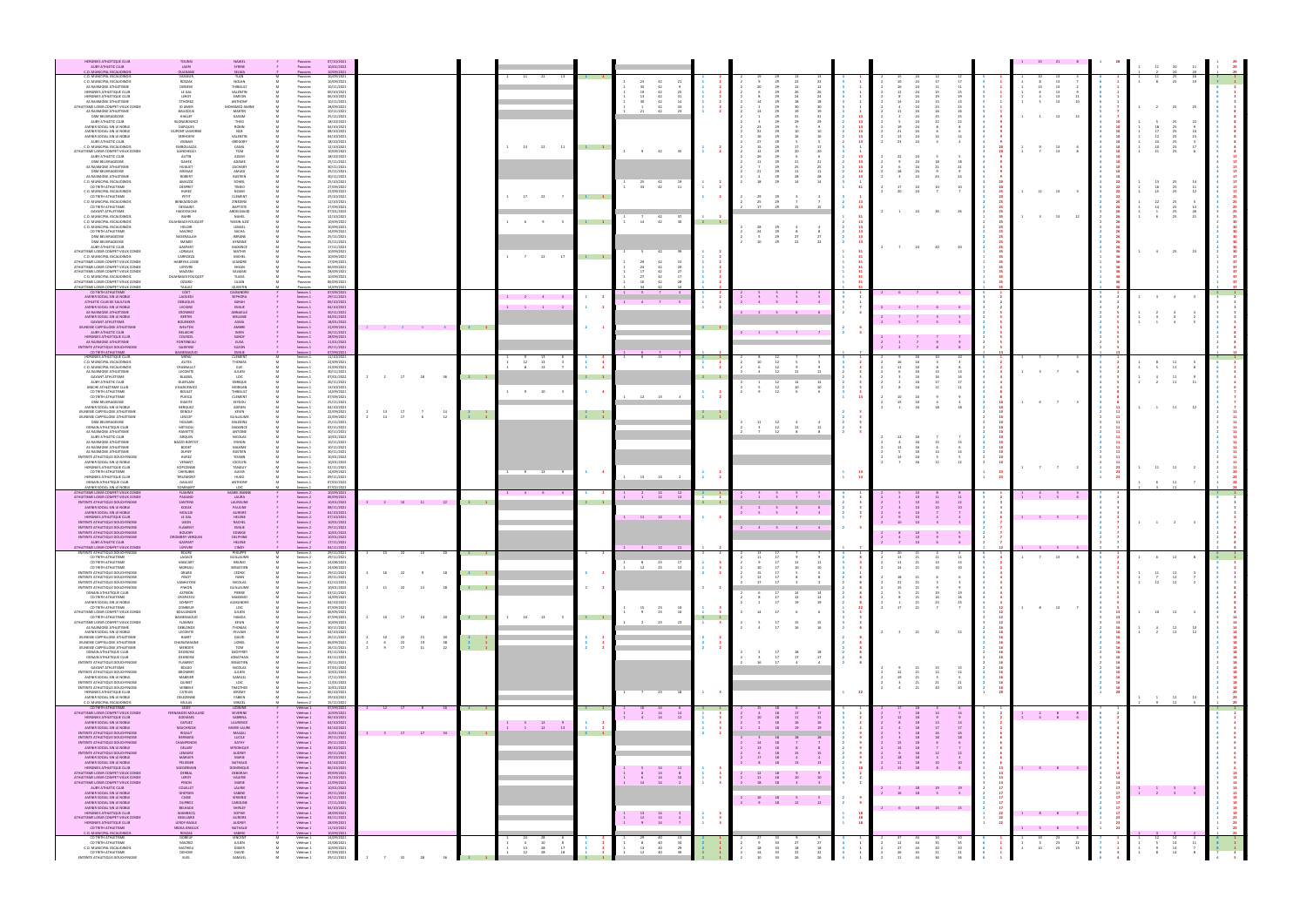| <b>HERGNIES ATHLETIQUE CLUB</b><br><b>AUBY ATHLETIC CLUB</b>                 |                                           | <b>NAWEL</b>                       | F       | Poussins               |                                                                                                                                                                                                                                                                                                                                                                                                                                                                                          |
|------------------------------------------------------------------------------|-------------------------------------------|------------------------------------|---------|------------------------|------------------------------------------------------------------------------------------------------------------------------------------------------------------------------------------------------------------------------------------------------------------------------------------------------------------------------------------------------------------------------------------------------------------------------------------------------------------------------------------|
|                                                                              | <b>TOUNSI</b><br><b>LAKRI</b>             | <b>SYRINE</b>                      | F       | <b>Poussins</b>        | 07/10/2021<br>10/02/2022                                                                                                                                                                                                                                                                                                                                                                                                                                                                 |
| <b>C.O. MUNICIPAL ESCAUDINOIS</b><br>C.O. MUNICIPAL ESCAUDINOIS              | <b>OUANANE</b><br>VASSEUR                 | <b>SELMA</b><br><b>YLAN</b>        | F<br>M  | Poussins<br>Poussins   | 10/09/2021<br>10/09/2021                                                                                                                                                                                                                                                                                                                                                                                                                                                                 |
| C.O. MUNICIPAL ESCAUDINOIS                                                   | <b>ROSZAK</b>                             | <b>NOLAN</b>                       | M       | Poussins               | 10/09/2021                                                                                                                                                                                                                                                                                                                                                                                                                                                                               |
| AS RAISMOISE ATHLETISME<br>HERGNIES ATHLETIQUE CLUB                          | <b>DEBIEVE</b><br>LE GAL                  | <b>THIBAULT</b><br>VALENTIN        | M<br>M  | Poussins<br>Poussins   | 10/11/2021<br>06/10/2021                                                                                                                                                                                                                                                                                                                                                                                                                                                                 |
| HERGNIES ATHLETIQUE CLUB                                                     | LEROY                                     | <b>SIMEON</b>                      | M       | Poussins               | 06/10/2021                                                                                                                                                                                                                                                                                                                                                                                                                                                                               |
| AS RAISMOISE ATHLETISME<br>ATHLETISME LOISIR COMPET VIEUX CONDE              | <b>STHOREZ</b><br><b>ID AMER</b>          | <b>ANTHONY</b><br>MOHAMED AMINE    | M<br>M  | Poussins<br>Poussins   | 10/11/2021<br>28/09/2021                                                                                                                                                                                                                                                                                                                                                                                                                                                                 |
| AS RAISMOISE ATHLETISME                                                      | <b>BAUDOUX</b>                            | <b>MARTIN</b>                      | M       | Poussins               | 10/11/2021                                                                                                                                                                                                                                                                                                                                                                                                                                                                               |
| OSM BEUVRAGEOISE<br><b>AUBY ATHLETIC CLUB</b>                                | <b>KHALEF</b><br><b>BLONAROWICZ</b>       | <b>KASSIM</b><br><b>THEO</b>       | M<br>M  | Poussins<br>Poussins   | 25/11/2021<br>18/10/2021                                                                                                                                                                                                                                                                                                                                                                                                                                                                 |
| AVENIR SOCIAL SIN LE NOBLE                                                   | <b>DARQUES</b>                            | <b>ROBIN</b>                       | M       | Poussins               | 04/10/2021                                                                                                                                                                                                                                                                                                                                                                                                                                                                               |
| AVENIR SOCIAL SIN LE NOBLE<br>AVENIR SOCIAL SIN LE NOBLE                     | <b>DUPONT JAWORSKI</b><br><b>VERHOEYE</b> | <b>NOE</b><br>VALENTIN             | M<br>M  | Poussins<br>Poussins   | 08/10/2021<br>04/10/2021                                                                                                                                                                                                                                                                                                                                                                                                                                                                 |
| <b>AUBY ATHLETIC CLUB</b>                                                    | <b>VIGNAIS</b>                            | <b>GREGORY</b>                     | M       | Poussins               | 18/10/2021                                                                                                                                                                                                                                                                                                                                                                                                                                                                               |
| C.O. MUNICIPAL ESCAUDINOIS<br>ATHLETISME LOISIR COMPET VIEUX CONDE           | <b>EMBOUAZZA</b><br><b>GANCHEGUI</b>      | CAMIL<br><b>TOM</b>                | M<br>M  | Poussins<br>Poussins   | 12/10/2021<br>10/09/2021                                                                                                                                                                                                                                                                                                                                                                                                                                                                 |
| <b>AUBY ATHLETIC CLUB</b>                                                    | <b>AUTIN</b>                              | ADAM                               | M       | Poussins               | 18/10/2021                                                                                                                                                                                                                                                                                                                                                                                                                                                                               |
| OSM BEUVRAGEOISE<br>AS RAISMOISE ATHLETISME                                  | <b>DAHEK</b><br><b>HUGUET</b>             | ADAME<br>ZACHARY                   | M<br>M  | Poussins<br>Poussins   | 25/11/2021<br>30/11/2021                                                                                                                                                                                                                                                                                                                                                                                                                                                                 |
| OSM BEUVRAGEOISE                                                             | MESSAD                                    | AMJAD                              | M       | Poussins               | 25/11/2021                                                                                                                                                                                                                                                                                                                                                                                                                                                                               |
| AS RAISMOISE ATHLETISME<br>C.O. MUNICIPAL ESCAUDINOIS                        | <b>ROBERT</b><br><b>AMAZOZ</b>            | <b>BASTIEN</b><br>SOHEIL           | M<br>M  | Poussins<br>Poussins   | 30/11/2021<br>25/10/2021                                                                                                                                                                                                                                                                                                                                                                                                                                                                 |
| CO TRITH ATHLETISME                                                          | <b>DESPRET</b>                            | <b>TIMEO</b>                       | M       | Poussins               | 27/09/2021                                                                                                                                                                                                                                                                                                                                                                                                                                                                               |
| C.O. MUNICIPAL ESCAUDINOIS<br>CO TRITH ATHLETISME                            | <b>HUREZ</b><br>PETIT                     | <b>NOAM</b><br><b>CLEMENT</b>      | M<br>M  | Poussins<br>Poussins   | 22/09/2021<br>25/10/2021                                                                                                                                                                                                                                                                                                                                                                                                                                                                 |
| C.O. MUNICIPAL ESCAUDINOIS                                                   | <b>BENKADDOUR</b>                         | ZINEDINE                           | M       | Poussins               | 12/10/2021                                                                                                                                                                                                                                                                                                                                                                                                                                                                               |
| CO TRITH ATHLETISME<br><b>GAYANT ATHLETISME</b>                              | <b>DESSAINT</b><br><b>HADDOUCHE</b>       | <b>BAPTISTE</b><br>ABDELMAJID      | M<br>M  | Poussins<br>Poussins   | 27/09/2021<br>07/01/2022                                                                                                                                                                                                                                                                                                                                                                                                                                                                 |
| C.O. MUNICIPAL ESCAUDINOIS                                                   | <b>BAHRI</b>                              | <b>NAHEL</b>                       | M       | Poussins               | 12/10/2021                                                                                                                                                                                                                                                                                                                                                                                                                                                                               |
| C.O. MUNICIPAL ESCAUDINOIS<br>C.O. MUNICIPAL ESCAUDINOIS                     | OUAHMADI-FOUQUET<br><b>HELOIR</b>         | YASSIN-AZIZ<br>LENAEL              | M<br>M  | Poussins<br>Poussins   | 10/09/2021<br>10/09/2021                                                                                                                                                                                                                                                                                                                                                                                                                                                                 |
| CO TRITH ATHLETISME                                                          | <b>MACREZ</b>                             | <b>SACHA</b>                       | M       | Poussins               | 14/09/2021                                                                                                                                                                                                                                                                                                                                                                                                                                                                               |
| OSM BEUVRAGEOISE<br>OSM BEUVRAGEOISE                                         | NASSRALLAH<br>SMIMID                      | <b>IMRANE</b><br>AYMANE            | M<br>M  | Poussins<br>Poussins   | 25/11/2021<br>25/11/2021                                                                                                                                                                                                                                                                                                                                                                                                                                                                 |
| <b>AUBY ATHLETIC CLUB</b>                                                    | <b>GASPART</b>                            | <b>MAXENCE</b>                     | M       | Poussins               | 17/11/2021                                                                                                                                                                                                                                                                                                                                                                                                                                                                               |
| ATHLETISME LOISIR COMPET VIEUX CONDE<br>C.O. MUNICIPAL ESCAUDINOIS           | LORIAUX<br>CARROZZA                       | <b>MATHIS</b><br><b>MICHEL</b>     | M       | Poussins               | 10/09/2021<br>10/09/2021                                                                                                                                                                                                                                                                                                                                                                                                                                                                 |
| ATHLETISME LOISIR COMPET VIEUX CONDE                                         | <b>HABRYKA LOSSE</b>                      | LEANDRE                            | M<br>M  | Poussins<br>Poussins   | 17/09/2021                                                                                                                                                                                                                                                                                                                                                                                                                                                                               |
| ATHLETISME LOISIR COMPET VIEUX CONDE                                         | <b>LEFEVRE</b>                            | SHEAN                              | M       | Poussins               | 06/09/2021                                                                                                                                                                                                                                                                                                                                                                                                                                                                               |
| ATHLETISME LOISIR COMPET VIEUX CONDE<br>C.O. MUNICIPAL ESCAUDINOIS           | MAZIANI<br><b>OUAHMADI FOUQUET</b>        | SALMAN<br><b>YLIASS</b>            | M<br>M  | Poussins<br>Poussins   | 28/09/2021<br>10/09/2021                                                                                                                                                                                                                                                                                                                                                                                                                                                                 |
| ATHLETISME LOISIR COMPET VIEUX CONDE<br>ATHLETISME LOISIR COMPET VIEUX CONDE | <b>OZIARD</b><br><b>TAILLEZ</b>           | LILIAN<br><b>QUENTIN</b>           | M       | Poussins               | 06/09/2021<br>14/09/2021                                                                                                                                                                                                                                                                                                                                                                                                                                                                 |
| CO TRITH ATHLETISME                                                          | <b>COET</b>                               | CASSANDRE                          | M<br>F. | Poussins<br>Seniors 1  | 07/09/2021                                                                                                                                                                                                                                                                                                                                                                                                                                                                               |
| AVENIR SOCIAL SIN LE NOBLE                                                   | <b>LAOUEDJ</b>                            | <b>SEPHORA</b>                     |         | Seniors 1              | 29/11/2021                                                                                                                                                                                                                                                                                                                                                                                                                                                                               |
| ATHLETIC CLUB DE SAULTAIN<br>AVENIR SOCIAL SIN LE NOBLE                      | <b>DEBLIQUIS</b><br><b>LECIGNE</b>        | <b>SARAH</b><br><b>EMILIE</b>      |         | Seniors 1<br>Seniors 1 | 06/10/2021<br>04/10/2021                                                                                                                                                                                                                                                                                                                                                                                                                                                                 |
| AS RAISMOISE ATHLETISME                                                      | <b>CROMBEZ</b>                            | <b>ANNAELLE</b>                    |         | Seniors 1              | 30/11/2021                                                                                                                                                                                                                                                                                                                                                                                                                                                                               |
| AVENIR SOCIAL SIN LE NOBLE<br><b>GAYANT ATHLETISME</b>                       | <b>BERTIN</b><br><b>BOUBEKER</b>          | <b>MELANIE</b><br><b>ASMA</b>      |         | Seniors 1<br>Seniors 1 | 04/01/2022<br>18/01/2022                                                                                                                                                                                                                                                                                                                                                                                                                                                                 |
| JEUNESSE CAPPELLOISE ATHLETISME                                              | <b>WEUTEN</b>                             | <b>AMBRE</b>                       |         | Seniors 1              | 22/09/2021                                                                                                                                                                                                                                                                                                                                                                                                                                                                               |
| <b>AUBY ATHLETIC CLUB</b><br><b>HERGNIES ATHLETIQUE CLUB</b>                 | <b>BELAICHE</b><br><b>COURCEL</b>         | <b>IMEN</b><br>SANDY               |         | Seniors 1<br>Seniors 1 | 26/11/2021<br>28/09/2021                                                                                                                                                                                                                                                                                                                                                                                                                                                                 |
| AS RAISMOISE ATHLETISME                                                      | <b>FONTENEAU</b>                          | <b>ELISA</b>                       |         | Seniors 1              | 11/01/2022                                                                                                                                                                                                                                                                                                                                                                                                                                                                               |
| <b>ENTENTE ATHLETIQUE DOUCHYNOISE</b><br>CO TRITH ATHLETISME                 | <b>GADEYNE</b><br><b>BAMESSAOUD</b>       | <b>SUZON</b><br><b>EMILIE</b>      | F       | Seniors 1<br>Seniors 1 | 29/11/2021<br>07/09/2021                                                                                                                                                                                                                                                                                                                                                                                                                                                                 |
| HERGNIES ATHLETIQUE CLUB<br>C.O. MUNICIPAL ESCAUDINOIS                       | <b>MENU</b><br><b>AUTES</b>               | <b>CLEMENT</b><br><b>THOMAS</b>    | M       | Seniors 1              | 11/10/2021<br>22/09/2021                                                                                                                                                                                                                                                                                                                                                                                                                                                                 |
| C.O. MUNICIPAL ESCAUDINOIS                                                   | CRASNAULT                                 | <b>ELIE</b>                        | M<br>M  | Seniors 1<br>Seniors 1 | 22/09/2021                                                                                                                                                                                                                                                                                                                                                                                                                                                                               |
| AS RAISMOISE ATHLETISME                                                      | LECOMTE                                   | <b>JULIEN</b>                      | M       | Seniors 1              | 30/11/2021                                                                                                                                                                                                                                                                                                                                                                                                                                                                               |
| <b>GAYANT ATHLETISME</b><br><b>AUBY ATHLETIC CLUB</b>                        | <b>BLASSEL</b><br><b>GUERLAIN</b>         | <b>LOIC</b><br><b>ENRIQUE</b>      | M<br>M  | Seniors 1<br>Seniors 1 | 07/01/2022<br>26/11/2021                                                                                                                                                                                                                                                                                                                                                                                                                                                                 |
| ANICHE ATHLETISME CLUB                                                       | KSIAZKIEWICZ                              | <b>MORGAN</b>                      | M       | Seniors 1              | 13/10/2021                                                                                                                                                                                                                                                                                                                                                                                                                                                                               |
| CO TRITH ATHLETISME<br>CO TRITH ATHLETISME                                   | <b>BOULET</b><br><b>PUKICA</b>            | <b>THIBAULT</b><br><b>CLEMENT</b>  | M<br>M  | Seniors 1<br>Seniors 1 | 14/09/2021<br>07/09/2021                                                                                                                                                                                                                                                                                                                                                                                                                                                                 |
| OSM BEUVRAGEOISE                                                             | <b>DIAKITE</b>                            | SEYDOU                             | M       | Seniors 1              | 25/11/2021                                                                                                                                                                                                                                                                                                                                                                                                                                                                               |
| AVENIR SOCIAL SIN LE NOBLE<br>JEUNESSE CAPPELLOISE ATHLETISME                | <b>BERQUEZ</b><br><b>DENOLF</b>           | <b>ADRIEN</b><br><b>KEVIN</b>      | M<br>M  | Seniors 1<br>Seniors 1 | 04/10/2021<br>22/09/2021                                                                                                                                                                                                                                                                                                                                                                                                                                                                 |
| JEUNESSE CAPPELLOISE ATHLETISME                                              | <b>LESCOP</b>                             | <b>GUILLAUME</b>                   | M       | Seniors 1              | 22/09/2021                                                                                                                                                                                                                                                                                                                                                                                                                                                                               |
| OSM BEUVRAGEOISE<br>DENAIN ATHLETIQUE CLUB                                   | <b>HOUAIRI</b><br><b>METAOUI</b>          | <b>MILEDINE</b><br><b>MAXENCE</b>  | M<br>M  | Seniors 1<br>Seniors 1 | 25/11/2021<br>03/11/2021                                                                                                                                                                                                                                                                                                                                                                                                                                                                 |
| AS RAISMOISE ATHLETISME                                                      | RAMETTE                                   | <b>ANTOINE</b>                     | M       | Seniors 1              | 30/11/2021                                                                                                                                                                                                                                                                                                                                                                                                                                                                               |
| <b>AUBY ATHLETIC CLUB</b><br>AS RAISMOISE ATHLETISME                         | <b>ARQUIN</b><br><b>BAZZO BORTOT</b>      | <b>NICOLAS</b><br>SYMON            | M<br>M  | Seniors 1<br>Seniors 1 | 10/01/2022<br>10/11/2021                                                                                                                                                                                                                                                                                                                                                                                                                                                                 |
| AS RAISMOISE ATHLETISME                                                      | <b>BODET</b>                              | <b>MAXIME</b>                      | M       | Seniors 1              | 10/11/2021                                                                                                                                                                                                                                                                                                                                                                                                                                                                               |
| AS RAISMOISE ATHLETISME<br>ENTENTE ATHLETIQUE DOUCHYNOISE                    | <b>DUFIEF</b><br><b>HUREZ</b>             | <b>BASTIEN</b><br><b>YOANN</b>     | M<br>M  | Seniors 1<br>Seniors 1 | 30/11/2021<br>10/01/2022                                                                                                                                                                                                                                                                                                                                                                                                                                                                 |
| AVENIR SOCIAL SIN LE NOBLE                                                   | <b>VENANT</b>                             | <b>JOCELYN</b>                     | M       | Seniors 1              | 10/01/2022                                                                                                                                                                                                                                                                                                                                                                                                                                                                               |
| HERGNIES ATHLETIQUE CLUB<br>CO TRITH ATHLETISME                              | <b>KOPCZINSKI</b><br><b>CHERUBIN</b>      | <b>TANGUY</b><br><b>ALEXIS</b>     | M<br>M  | Seniors 1<br>Seniors 1 | 02/11/2021<br>14/09/2021                                                                                                                                                                                                                                                                                                                                                                                                                                                                 |
|                                                                              |                                           |                                    |         |                        | 09/11/2021                                                                                                                                                                                                                                                                                                                                                                                                                                                                               |
| HERGNIES ATHLETIQUE CLUB                                                     | <b>TIRLEMONT</b>                          | <b>HUGO</b>                        | M       | Seniors 1              |                                                                                                                                                                                                                                                                                                                                                                                                                                                                                          |
| DENAIN ATHLETIQUE CLUB<br>AVENIR SOCIAL SIN LE NOBLE                         | <b>GAILLIEZ</b><br>SOMBAERT               | <b>ANTHONY</b><br><b>LOIC</b>      | M       | Seniors 1              |                                                                                                                                                                                                                                                                                                                                                                                                                                                                                          |
| ATHLETISME LOISIR COMPET VIEUX CONDE                                         | <b>FLAMME</b>                             | <b>MARIE JEANNE</b>                | M<br>F. | Seniors 1<br>Seniors 2 |                                                                                                                                                                                                                                                                                                                                                                                                                                                                                          |
| ATHLETISME LOISIR COMPET VIEUX CONDE                                         | <b>PAGANO</b>                             | LAURA                              | F       | Seniors 2              |                                                                                                                                                                                                                                                                                                                                                                                                                                                                                          |
| ENTENTE ATHLETIQUE DOUCHYNOISE<br>AVENIR SOCIAL SIN LE NOBLE                 | <b>SANTENS</b><br><b>KOZAK</b>            | <b>LAURELINE</b><br><b>PAULINE</b> |         | Seniors 2<br>Seniors 2 |                                                                                                                                                                                                                                                                                                                                                                                                                                                                                          |
| AVENIR SOCIAL SIN LE NOBLE<br>HERGNIES ATHLETIQUE CLUB                       | <b>MOULDI</b><br>LE GAL                   | <b>AURORE</b><br><b>HELENE</b>     |         | Seniors 2<br>Seniors 2 |                                                                                                                                                                                                                                                                                                                                                                                                                                                                                          |
| ENTENTE ATHLETIQUE DOUCHYNOISE                                               | <b>LISON</b>                              | <b>RACHEL</b>                      |         | Seniors 2              |                                                                                                                                                                                                                                                                                                                                                                                                                                                                                          |
| ENTENTE ATHLETIQUE DOUCHYNOISE<br>ENTENTE ATHLETIQUE DOUCHYNOISE             | <b>FLAMENT</b><br><b>BOUDRY</b>           | <b>EMILIE</b><br><b>EDWIGE</b>     | F       | Seniors 2<br>Seniors 2 |                                                                                                                                                                                                                                                                                                                                                                                                                                                                                          |
| ENTENTE ATHLETIQUE DOUCHYNOISE                                               | DROMBRY-VERQUIN                           | <b>DELPHINE</b>                    | F       | Seniors 2              |                                                                                                                                                                                                                                                                                                                                                                                                                                                                                          |
| <b>AUBY ATHLETIC CLUB</b><br>ATHLETISME LOISIR COMPET VIEUX CONDE            | <b>GASPART</b><br><b>LEFEVRE</b>          | <b>HELENE</b><br><b>CINDY</b>      | F       | Seniors 2<br>Seniors 2 |                                                                                                                                                                                                                                                                                                                                                                                                                                                                                          |
| ENTENTE ATHLETIQUE DOUCHYNOISE                                               | <b>BOURE</b>                              | PHILIPPE                           | M       | Seniors 2              |                                                                                                                                                                                                                                                                                                                                                                                                                                                                                          |
| CO TRITH ATHLETISME<br>CO TRITH ATHLETISME                                   | LAGACE<br><b>MASCART</b>                  | <b>GUILLAUME</b><br><b>BRUNO</b>   | M<br>M  | Seniors 2<br>Seniors 2 |                                                                                                                                                                                                                                                                                                                                                                                                                                                                                          |
| CO TRITH ATHLETISME                                                          | <b>MOREAU</b>                             | SEBASTIEN                          | M       | Seniors 2              |                                                                                                                                                                                                                                                                                                                                                                                                                                                                                          |
| ENTENTE ATHLETIQUE DOUCHYNOISE<br>ENTENTE ATHLETIQUE DOUCHYNOISE             | GRARD<br><b>FINOT</b>                     | <b>CEDRIC</b><br>YANN              | M<br>M  | Seniors 2<br>Seniors 2 |                                                                                                                                                                                                                                                                                                                                                                                                                                                                                          |
| ENTENTE ATHLETIQUE DOUCHYNOISE                                               | VANHUYSSE                                 | <b>NICOLAS</b>                     | M       | Seniors 2              |                                                                                                                                                                                                                                                                                                                                                                                                                                                                                          |
| ENTENTE ATHLETIQUE DOUCHYNOISE<br>DENAIN ATHLETIQUE CLUB                     | PIWON<br><b>ASTRION</b>                   | <b>GUILLAUME</b><br><b>PIERRE</b>  | M<br>M  | Seniors 2<br>Seniors 2 |                                                                                                                                                                                                                                                                                                                                                                                                                                                                                          |
| CO TRITH ATHLETISME                                                          | CRISPATZU                                 | <b>MASSIMO</b>                     | M       | Seniors 2              |                                                                                                                                                                                                                                                                                                                                                                                                                                                                                          |
| AVENIR SOCIAL SIN LE NOBLE<br>CO TRITH ATHLETISME                            | <b>SCHMITT</b><br><b>CONREUR</b>          | ALEXANDRE<br><b>LOIC</b>           | M<br>M  | Seniors 2<br>Seniors 2 |                                                                                                                                                                                                                                                                                                                                                                                                                                                                                          |
| ATHLETISME LOISIR COMPET VIEUX CONDE                                         | <b>BOULANGER</b>                          | <b>JULIEN</b>                      | M       | Seniors 2              |                                                                                                                                                                                                                                                                                                                                                                                                                                                                                          |
| CO TRITH ATHLETISME<br>ATHLETISME LOISIR COMPET VIEUX CONDE                  | BAMESSAOUD<br><b>FLAMME</b>               | HAMZA<br><b>KEVIN</b>              | M<br>M  | Seniors 2<br>Seniors 2 |                                                                                                                                                                                                                                                                                                                                                                                                                                                                                          |
| AS RAISMOISE ATHLETISME<br>AVENIR SOCIAL SIN LE NOBLE                        | <b>DEBLONDE</b><br><b>LECOMTE</b>         | <b>THOMAS</b><br>SYLVAIN           | M<br>M  | Seniors 2<br>Seniors 2 |                                                                                                                                                                                                                                                                                                                                                                                                                                                                                          |
| JEUNESSE CAPPELLOISE ATHLETISME                                              | <b>BAERT</b>                              | <b>DAVID</b>                       | M       | Seniors 2              |                                                                                                                                                                                                                                                                                                                                                                                                                                                                                          |
| JEUNESSE CAPPELLOISE ATHLETISME<br>JEUNESSE CAPPELLOISE ATHLETISME           | CHARLEMAGNE<br><b>MERCIER</b>             | <b>LIONEL</b><br><b>TOM</b>        | M<br>M  | Seniors 2<br>Seniors 2 | 07/02/2022<br>07/02/2022<br>10/09/2021<br>06/09/2021<br>10/01/2022<br>08/11/2021<br>04/10/2021<br>07/10/2021<br>10/01/2022<br>29/11/2021<br>10/01/2022<br>10/01/2022<br>17/11/2021<br>04/11/2021<br>29/11/2021<br>29/11/2021<br>24/08/2021<br>24/08/2021<br>29/11/2021<br>29/11/2021<br>01/12/2021<br>10/01/2022<br>03/11/2021<br>14/09/2021<br>04/10/2021<br>07/09/2021<br>06/09/2021<br>07/09/2021<br>10/09/2021<br>30/11/2021<br>04/10/2021<br>26/11/2021<br>06/09/2021<br>26/11/2021 |
| DENAIN ATHLETIQUE CLUB                                                       | <b>DEGROISE</b>                           | <b>GEOFFREY</b>                    | M       | Seniors 2              |                                                                                                                                                                                                                                                                                                                                                                                                                                                                                          |
| DENAIN ATHLETIQUE CLUB<br>ENTENTE ATHLETIQUE DOUCHYNOISE                     | <b>DEGROISE</b><br><b>FLAMENT</b>         | <b>JONATHAN</b><br>SEBASTIEN       | M<br>M  | Seniors 2<br>Seniors 2 |                                                                                                                                                                                                                                                                                                                                                                                                                                                                                          |
| <b>GAYANT ATHLETISME</b>                                                     | <b>BOLDO</b>                              | <b>NICOLAS</b>                     | M       | Seniors 2              | 03/11/2021<br>03/11/2021<br>29/11/2021<br>07/01/2022                                                                                                                                                                                                                                                                                                                                                                                                                                     |
| ENTENTE ATHLETIQUE DOUCHYNOISE<br>AVENIR SOCIAL SIN LE NOBLE                 | <b>DROMBRY</b><br><b>MABRIER</b>          | JULIEN<br>SAMUEL                   | M<br>M  | Seniors 2<br>Seniors 2 |                                                                                                                                                                                                                                                                                                                                                                                                                                                                                          |
| ENTENTE ATHLETIQUE DOUCHYNOISE                                               | <b>QUINET</b>                             | <b>LOIC</b>                        | M       | Seniors 2              |                                                                                                                                                                                                                                                                                                                                                                                                                                                                                          |
| ENTENTE ATHLETIQUE DOUCHYNOISE<br>HERGNIES ATHLETIQUE CLUB                   | <b>VERBEKE</b><br><b>CATELIN</b>          | <b>TIMOTHEE</b><br><b>JEREMY</b>   | M<br>M  | Seniors 2<br>Seniors 2 |                                                                                                                                                                                                                                                                                                                                                                                                                                                                                          |
| AVENIR SOCIAL SIN LE NOBLE                                                   | DELEZENNE                                 | <b>FABIEN</b>                      | M       | Seniors 2              |                                                                                                                                                                                                                                                                                                                                                                                                                                                                                          |
| C.O. MUNICIPAL ESCAUDINOIS<br>CO TRITH ATHLETISME                            | <b>MULAS</b><br>LEJAY                     | <b>MIKAEL</b><br><b>LIDWINE</b>    | M<br>F. | Seniors 2<br>Vétéran 1 |                                                                                                                                                                                                                                                                                                                                                                                                                                                                                          |
| ATHLETISME LOISIR COMPET VIEUX CONDE                                         | <b>FERNANDES MOULARD</b>                  | <b>SEVERINE</b>                    |         | Vétéran 1              |                                                                                                                                                                                                                                                                                                                                                                                                                                                                                          |
| HERGNIES ATHLETIQUE CLUB<br>AVENIR SOCIAL SIN LE NOBLE                       | <b>GOEMAES</b><br><b>CAPLIEZ</b>          | <b>SABRINA</b><br><b>LAURENCE</b>  |         | Vétéran 1<br>Vétéran 1 | 10/01/2022<br>17/11/2021<br>11/01/2022<br>10/01/2022<br>06/10/2021<br>29/10/2021<br>15/11/2021<br>07/09/2021<br>10/09/2021<br>06/10/2021<br>04/10/2021                                                                                                                                                                                                                                                                                                                                   |
| AVENIR SOCIAL SIN LE NOBLE<br>ENTENTE ATHLETIQUE DOUCHYNOISE                 | <b>MAJCHRZAK</b><br><b>RIGAUT</b>         | MARIE-LAURE<br><b>MAGALI</b>       |         | Vétéran 1<br>Vétéran 1 | 04/10/2021                                                                                                                                                                                                                                                                                                                                                                                                                                                                               |
| ENTENTE ATHLETIQUE DOUCHYNOISE                                               | <b>BERNARD</b>                            | <b>LUCILE</b>                      |         | Vétéran 1              | 10/01/2022<br>29/11/2021                                                                                                                                                                                                                                                                                                                                                                                                                                                                 |
| <b>ENTENTE ATHLETIQUE DOUCHYNOISE</b><br>AVENIR SOCIAL SIN LE NOBLE          | <b>CHAMPENOIS</b><br><b>DELABY</b>        | <b>KATHY</b><br><b>VERONIQUE</b>   |         | Vétéran 1<br>Vétéran 1 | 29/11/2021<br>08/10/2021                                                                                                                                                                                                                                                                                                                                                                                                                                                                 |
| <b>ENTENTE ATHLETIQUE DOUCHYNOISE</b>                                        | <b>LEMAIRE</b>                            | <b>AUDREY</b>                      |         | Vétéran 1              | 29/11/2021                                                                                                                                                                                                                                                                                                                                                                                                                                                                               |
| AVENIR SOCIAL SIN LE NOBLE<br>AVENIR SOCIAL SIN LE NOBLE                     | <b>MARLIER</b><br><b>PELISSIER</b>        | <b>MARIE</b><br><b>NATHALIE</b>    |         | Vétéran 1<br>Vétéran 1 | 29/10/2021<br>04/10/2021                                                                                                                                                                                                                                                                                                                                                                                                                                                                 |
| <b>HERGNIES ATHLETIQUE CLUB</b>                                              | SAEGERMAN                                 | <b>DOMINIQUE</b>                   |         | Vétéran 1              | 06/10/2021                                                                                                                                                                                                                                                                                                                                                                                                                                                                               |
| ATHLETISME LOISIR COMPET VIEUX CONDE<br>ATHLETISME LOISIR COMPET VIEUX CONDE | <b>DERBAL</b><br><b>LEROY</b>             | <b>DEBORAH</b><br><b>VALERIE</b>   |         | Vétéran 1<br>Vétéran 1 | 09/09/2021<br>25/10/2021                                                                                                                                                                                                                                                                                                                                                                                                                                                                 |
| ATHLETISME LOISIR COMPET VIEUX CONDE                                         | <b>PINON</b>                              | <b>MARIE</b>                       |         | Vétéran 1              |                                                                                                                                                                                                                                                                                                                                                                                                                                                                                          |
| <b>AUBY ATHLETIC CLUB</b><br>AVENIR SOCIAL SIN LE NOBLE                      | <b>COUILLET</b><br><b>GHEYSEN</b>         | <b>LAURIE</b><br><b>SABINE</b>     |         | Vétéran 1<br>Vétéran 1 | 22/09/2021<br>10/01/2022<br>29/11/2021                                                                                                                                                                                                                                                                                                                                                                                                                                                   |
| AVENIR SOCIAL SIN LE NOBLE                                                   | CASSE                                     | <b>VIRGINIE</b>                    |         | Vétéran 1              | 24/11/2021                                                                                                                                                                                                                                                                                                                                                                                                                                                                               |
| AVENIR SOCIAL SIN LE NOBLE<br>AVENIR SOCIAL SIN LE NOBLE                     | <b>DUPRIEZ</b><br><b>BELHADJI</b>         | <b>CAROLINE</b><br><b>SHIRLEY</b>  |         | Vétéran 1<br>Vétéran 1 | 17/11/2021<br>04/10/2021                                                                                                                                                                                                                                                                                                                                                                                                                                                                 |
| HERGNIES ATHLETIQUE CLUB                                                     | <b>WAMBECQ</b>                            | <b>SOPHIE</b>                      |         | Vétéran 1              | 28/09/2021                                                                                                                                                                                                                                                                                                                                                                                                                                                                               |
| ATHLETISME LOISIR COMPET VIEUX CONDE<br>HERGNIES ATHLETIQUE CLUB             | <b>BEAUJARD</b><br>LEROY-BASILE           | <b>AURORE</b><br><b>AUDREY</b>     |         | Vétéran 1<br>Vétéran 1 |                                                                                                                                                                                                                                                                                                                                                                                                                                                                                          |
| CO TRITH ATHLETISME                                                          | <b>SROKA GREAUX</b>                       | <b>NATHALIE</b>                    |         | Vétéran 1              |                                                                                                                                                                                                                                                                                                                                                                                                                                                                                          |
| C.O. MUNICIPAL ESCAUDINOIS<br>CO TRITH ATHLETISME                            | <b>ROSZAK</b><br><b>DOBEUF</b>            | <b>SABINE</b><br><b>VINCENT</b>    | F<br>M  | Vétéran 1<br>Vétéran 1 |                                                                                                                                                                                                                                                                                                                                                                                                                                                                                          |
| CO TRITH ATHLETISME                                                          | <b>MACREZ</b>                             | <b>JULIEN</b>                      | M       | Vétéran 1              |                                                                                                                                                                                                                                                                                                                                                                                                                                                                                          |
| C.O. MUNICIPAL ESCAUDINOIS<br>CO TRITH ATHLETISME                            | MATHIEU<br><b>DEHOVE</b>                  | <b>DIDIER</b><br><b>DAVID</b>      | M<br>M  | Vétéran 1<br>Vétéran 1 | 04/11/2021<br>28/09/2021<br>11/10/2021<br>10/09/2021<br>14/09/2021<br>24/08/2021<br>10/09/2021<br>07/09/2021                                                                                                                                                                                                                                                                                                                                                                             |

| 022<br>021<br>021<br>021<br>021<br>021<br>021<br>021<br>.021<br>022<br>$\sim$ 1<br>021<br>021<br>021<br>021                                                                                                                                                                                                                                                                                                                                                                                                                                  | 11<br>$\begin{array}{ccc} & 1 & \cdot & 1 \end{array}$<br>$7$ 22 17 1 1<br>$\begin{array}{ccc} & 4 & \end{array}$<br>$\sim$ $\sim$ 1 | $\begin{array}{ c c c c c }\n\hline\n\text{A} & \text{7} \\\hline\n\end{array}$ |                                                                                                                                                                                                               |                                                                                                                      | 13                                                                                                                  | 22<br>17                                                                                                                                                                                                                                                                                                |
|----------------------------------------------------------------------------------------------------------------------------------------------------------------------------------------------------------------------------------------------------------------------------------------------------------------------------------------------------------------------------------------------------------------------------------------------------------------------------------------------------------------------------------------------|--------------------------------------------------------------------------------------------------------------------------------------|---------------------------------------------------------------------------------|---------------------------------------------------------------------------------------------------------------------------------------------------------------------------------------------------------------|----------------------------------------------------------------------------------------------------------------------|---------------------------------------------------------------------------------------------------------------------|---------------------------------------------------------------------------------------------------------------------------------------------------------------------------------------------------------------------------------------------------------------------------------------------------------|
|                                                                                                                                                                                                                                                                                                                                                                                                                                                                                                                                              |                                                                                                                                      |                                                                                 | 12                                                                                                                                                                                                            |                                                                                                                      |                                                                                                                     |                                                                                                                                                                                                                                                                                                         |
| $.021$ $\blacksquare$<br>18<br>022<br>14 28<br>:021<br>10 20 2 1<br>021<br>22<br>19<br>11<br>22<br>17<br>$\begin{array}{cccc} \textbf{2} & \textbf{1} & \textbf{1} & \textbf{1} & \textbf{1} & \textbf{1} & \textbf{1} & \textbf{1} & \textbf{1} & \textbf{1} & \textbf{1} & \textbf{1} & \textbf{1} & \textbf{1} & \textbf{1} & \textbf{1} & \textbf{1} & \textbf{1} & \textbf{1} & \textbf{1} & \textbf{1} & \textbf{1} & \textbf{1} & \textbf{1} & \textbf{1} & \textbf{1} & \textbf{1} & \textbf{1} & \textbf{1} & \textbf{1} & \textbf$ | $\overline{\mathbf{2}}$<br>$\begin{array}{ccc} & 3 & & 1 \end{array}$                                                                | 23<br>$2 \t 2$<br>$\begin{array}{c} 23 \\ 23 \end{array}$<br>$1 \quad 3 \quad$  | $\overline{\mathbf{3}}$<br>17<br>17<br>19<br>19<br>$\overline{\mathbf{8}}$<br>22<br>17<br>15<br>15<br>$\begin{array}{cccccccc}\n2 & 4 & 17 & 16\n\end{array}$<br>$16$ 2<br>17<br>17<br>$16$ $17$ $4$ $4$ $12$ | 21<br>14<br>10<br>10<br>21<br>23<br>$\begin{array}{ccccccccccccc}\n2 & 17 & 21 & 7 & 7\n\end{array}$<br>2 2 21 22 22 | 13 8<br>$\begin{array}{ccc} & 4 & & 4 \end{array}$<br>$\begin{array}{cccccccc}\n 12 & 1 & 8 & 13 & 7\n \end{array}$ | $\begin{array}{ccccccc}\n5 & 1 & 12 & 12\n\end{array}$<br>13<br>10 12 /<br>12<br>$1$ 2  12  12<br>16                                                                                                                                                                                                    |
| 022                                                                                                                                                                                                                                                                                                                                                                                                                                                                                                                                          | 12                                                                                                                                   | 14<br>14                                                                        | $9$ 18<br>12<br>12                                                                                                                                                                                            |                                                                                                                      |                                                                                                                     | $1 \t3 \t2 \t3 \t3 \t3 \t5 \t5 \t6 \t7 \t1 \t1 \t1 \t2 \t2 \t8 \t3 \t8 \t1 \t2 \t1 \t1 \t2 \t1 \t1 \t2 \t4 \t0 \t3 \t0 \t2 \t1 \t2 \t1 \t2 \t1 \t2 \t1 \t2 \t1 \t2 \t1 \t2 \t1 \t2 \t1 \t2 \t1 \t2 \t1 \t2 \t1 \t2 \t1 \t2 \t1 \t2 \t1 \t2 \t1 \t2 \t1 \t2 \t1 \t2 \t1 \t2 \t1 \t2 \t1 \t2 \t1 \t2 \t1$ |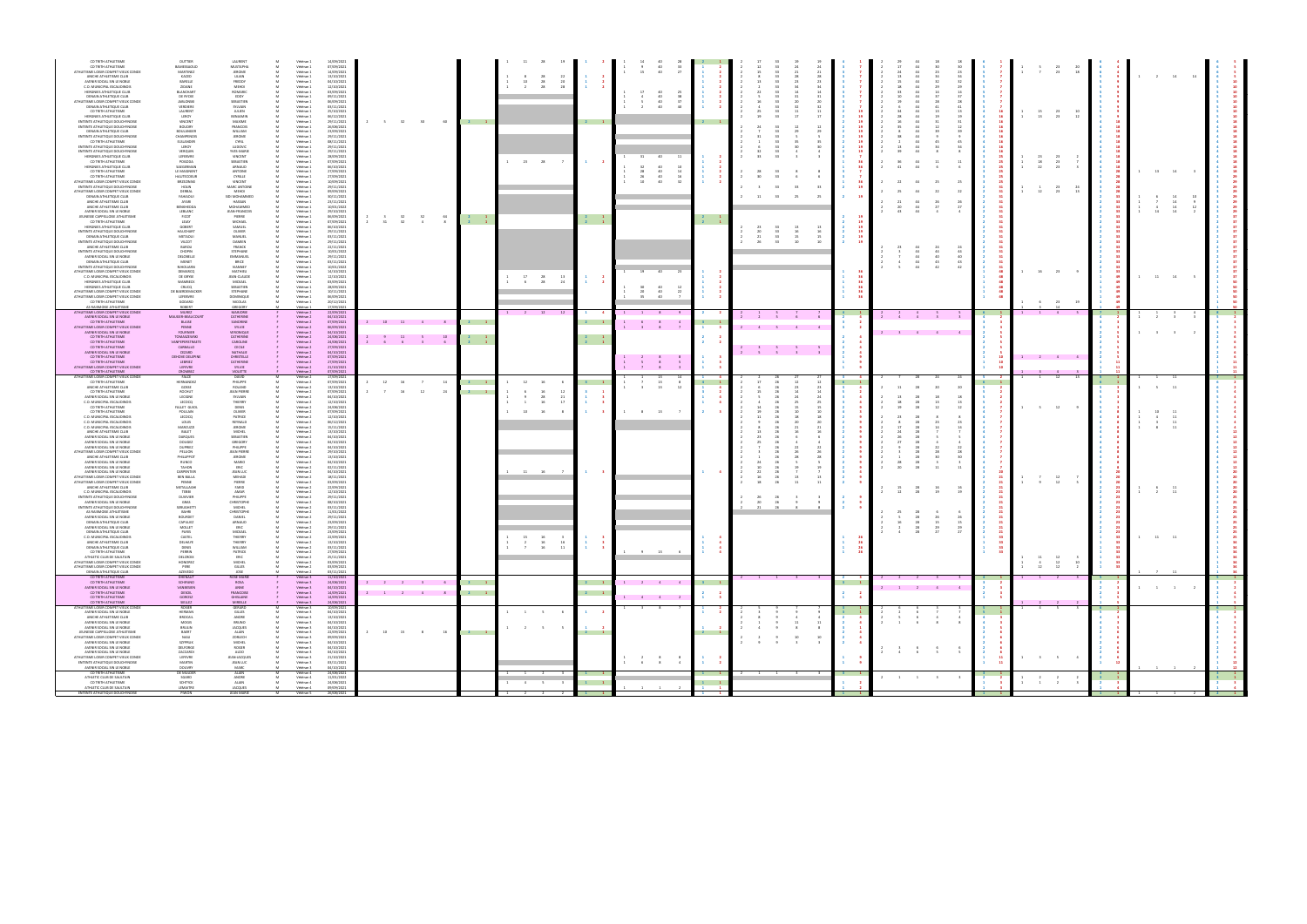| CO TRITH ATHLETISME                                                | <b>OUTTIER</b>                          | LAURENT                               | M                                                                                                               | Vétéran 1              | 14/09/2021               |
|--------------------------------------------------------------------|-----------------------------------------|---------------------------------------|-----------------------------------------------------------------------------------------------------------------|------------------------|--------------------------|
| CO TRITH ATHLETISME                                                | BAMESSAOUD                              | <b>MUSTAPHA</b>                       | M                                                                                                               | Vétéran 1              | 07/09/2021               |
| ATHLETISME LOISIR COMPET VIEUX CONDE                               | <b>MARTINEZ</b>                         | <b>JEROME</b>                         | M                                                                                                               | Vétéran 1              | 14/09/2021               |
| ANICHE ATHLETISME CLUB<br>AVENIR SOCIAL SIN LE NOBLE               | <b>KACED</b><br><b>BARELLE</b>          | LILIAN<br>FREDDY                      | M<br>M                                                                                                          | Vétéran 1<br>Vétéran 1 | 13/10/2021<br>04/10/2021 |
| C.O. MUNICIPAL ESCAUDINOIS                                         | ZIDANE                                  | <b>MEHDI</b>                          | M                                                                                                               | Vétéran 1              | 12/10/2021               |
| HERGNIES ATHLETIQUE CLUB                                           | <b>BLANCHART</b>                        | <b>ROMARIC</b>                        | M                                                                                                               | Vétéran 1              | 03/09/2021               |
| DENAIN ATHLETIQUE CLUB                                             | DE RYCKE                                | <b>EDDY</b>                           | M                                                                                                               | Vétéran 1              | 09/11/2021               |
| ATHLETISME LOISIR COMPET VIEUX CONDE                               | <b>JABLONSKI</b>                        | SEBASTIEN                             | M                                                                                                               | Vétéran 1              | 06/09/2021               |
| DENAIN ATHLETIQUE CLUB<br>CO TRITH ATHLETISME                      | <b>VERDIERE</b><br>LAURENT              | SYLVAIN<br><b>JULIEN</b>              | M<br>M                                                                                                          | Vétéran 1<br>Vétéran 1 | 03/11/2021<br>25/10/2021 |
| HERGNIES ATHLETIQUE CLUB                                           | LEROY                                   | <b>BENJAMIN</b>                       | M                                                                                                               | Vétéran 1              | 06/12/2021               |
| ENTENTE ATHLETIQUE DOUCHYNOISE                                     | <b>VINCENT</b>                          | <b>MAXIME</b>                         | M                                                                                                               | Vétéran 1              | 29/11/2021               |
| <b>ENTENTE ATHLETIQUE DOUCHYNOISE</b>                              | <b>BOUDRY</b>                           | <b>FRANCOIS</b>                       | M                                                                                                               | Vétéran 1              | 26/08/2021               |
| DENAIN ATHLETIQUE CLUB                                             | <b>BOULANGER</b>                        | <b>WILLIAM</b>                        | M                                                                                                               | Vétéran 1              | 23/09/2021               |
| ENTENTE ATHLETIQUE DOUCHYNOISE                                     | <b>CHAMPENOIS</b>                       | <b>JEROME</b>                         | M                                                                                                               | Vétéran 1              | 29/11/2021               |
| CO TRITH ATHLETISME<br>ENTENTE ATHLETIQUE DOUCHYNOISE              | <b>ELSLANDER</b><br><b>LEROY</b>        | <b>CYRIL</b><br><b>LUDOVIC</b>        | M                                                                                                               | Vétéran 1<br>Vétéran 1 | 08/11/2021               |
| ENTENTE ATHLETIQUE DOUCHYNOISE                                     | <b>VERQUIN</b>                          | <b>YVES-MARIE</b>                     | M<br>M                                                                                                          | Vétéran 1              | 29/11/2021<br>29/11/2021 |
| HERGNIES ATHLETIQUE CLUB                                           | LEFEBVRE                                | <b>VINCENT</b>                        | M                                                                                                               | Vétéran 1              | 28/09/2021               |
| CO TRITH ATHLETISME                                                | <b>POGODA</b>                           | SEBASTIEN                             | M                                                                                                               | Vétéran 1              | 07/09/2021               |
| HERGNIES ATHLETIQUE CLUB                                           | SAEGERMAN                               | ARNAUD                                | M                                                                                                               | Vétéran 1              | 06/10/2021               |
| CO TRITH ATHLETISME                                                | LE MAIGNENT                             | <b>ANTOINE</b>                        | M                                                                                                               | Vétéran 1              | 27/09/2021               |
| CO TRITH ATHLETISME<br>ATHLETISME LOISIR COMPET VIEUX CONDE        | <b>HAUTECOEUR</b><br><b>BRZEZINSKI</b>  | <b>CYRILLE</b><br><b>VINCENT</b>      | M<br>M                                                                                                          | Vétéran 1<br>Vétéran 1 | 27/09/2021<br>10/09/2021 |
| ENTENTE ATHLETIQUE DOUCHYNOISE                                     | <b>HOLIN</b>                            | <b>MARC ANTOINE</b>                   | M                                                                                                               | Vétéran 1              | 29/11/2021               |
| ATHLETISME LOISIR COMPET VIEUX CONDE                               | DERBAL                                  | <b>MEHDI</b>                          | M                                                                                                               | Vétéran 1              | 09/09/2021               |
| <b>DENAIN ATHLETIQUE CLUB</b>                                      | YAHIAOUI                                | SIDI MOHAMMED                         | M                                                                                                               | Vétéran 1              | 30/11/2021               |
| ANICHE ATHLETISME CLUB                                             | AYARI                                   | <b>HASSAN</b>                         | M                                                                                                               | Vétéran 1              | 23/11/2021               |
| ANICHE ATHLETISME CLUB                                             | <b>BENKHEDDA</b>                        | MOHAMMED                              | M                                                                                                               | Vétéran 1              | 10/01/2022               |
| AVENIR SOCIAL SIN LE NOBLE<br>JEUNESSE CAPPELLOISE ATHLETISME      | LEBLANC<br><b>FICOT</b>                 | <b>JEAN-FRANCOIS</b><br>PIERRE        | M<br>M                                                                                                          | Vétéran 1<br>Vétéran 1 | 29/10/2021<br>06/09/2021 |
| CO TRITH ATHLETISME                                                | LEJAY                                   | <b>MICHAEL</b>                        | M                                                                                                               | Vétéran 1              | 07/09/2021               |
| HERGNIES ATHLETIQUE CLUB                                           | <b>GOBERT</b>                           | SAMUEL                                | M                                                                                                               | Vétéran 1              | 06/10/2021               |
| <b>ENTENTE ATHLETIQUE DOUCHYNOISE</b>                              | <b>HAUCHART</b>                         | <b>OLIVIER</b>                        | M                                                                                                               | Vétéran 1              | 29/11/2021               |
| DENAIN ATHLETIQUE CLUB                                             | <b>METAOUI</b>                          | MANUEL                                | M                                                                                                               | Vétéran 1              | 03/11/2021               |
| <b>ENTENTE ATHLETIQUE DOUCHYNOISE</b>                              | <b>VILCOT</b>                           | <b>DAMIEN</b>                         | M                                                                                                               | Vétéran 1              | 29/11/2021               |
| ANICHE ATHLETISME CLUB<br><b>ENTENTE ATHLETIQUE DOUCHYNOISE</b>    | <b>BAROLI</b><br><b>CHOPIN</b>          | <b>FRANCK</b><br><b>STEPHANE</b>      | M<br>M                                                                                                          | Vétéran 1<br>Vétéran 1 | 22/11/2021<br>10/01/2022 |
| AVENIR SOCIAL SIN LE NOBLE                                         | <b>DELOBELLE</b>                        | <b>EMMANUEL</b>                       | M                                                                                                               | Vétéran 1              | 29/11/2021               |
| DENAIN ATHLETIQUE CLUB                                             | <b>MENET</b>                            | <b>BRICE</b>                          | M                                                                                                               | Vétéran 1              | 03/11/2021               |
| ENTENTE ATHLETIQUE DOUCHYNOISE                                     | <b>NIHOUARN</b>                         | <b>VIANNEY</b>                        | M                                                                                                               | Vétéran 1              | 10/01/2022               |
| ATHLETISME LOISIR COMPET VIEUX CONDE                               | <b>DEMARCQ</b>                          | MATHIEU                               | M                                                                                                               | Vétéran 1              | 14/10/2021               |
| C.O. MUNICIPAL ESCAUDINOIS                                         | DE GRYSE                                | JEAN-CLAUDE                           | M                                                                                                               | Vétéran 1              | 12/10/2021               |
| HERGNIES ATHLETIQUE CLUB<br>HERGNIES ATHLETIQUE CLUB               | WAMBECK<br><b>CRUCQ</b>                 | <b>MICKAEL</b><br>SEBASTIEN           | M<br>M                                                                                                          | Vétéran 1<br>Vétéran 1 | 03/09/2021<br>28/09/2021 |
| ATHLETISME LOISIR COMPET VIEUX CONDE                               | DE BAERDEMACKER                         | <b>STEPHANE</b>                       | M                                                                                                               | Vétéran 1              | 10/11/2021               |
| ATHLETISME LOISIR COMPET VIEUX CONDE                               | LEFEBVRE                                | <b>DOMINIQUE</b>                      | M                                                                                                               | Vétéran 1              | 06/09/2021               |
| CO TRITH ATHLETISME                                                | <b>GODARD</b>                           | <b>NICOLAS</b>                        | M                                                                                                               | Vétéran 1              | 20/12/2021               |
| AS RAISMOISE ATHLETISME                                            | <b>ROBERT</b>                           | <b>GREGORY</b>                        | M                                                                                                               | Vétéran 1              | 17/09/2021               |
| ATHLETISME LOISIR COMPET VIEUX CONDE                               | <b>MUREZ</b>                            | <b>MARJORIE</b>                       | F.                                                                                                              | Vétéran 2              | 22/09/2021               |
| AVENIR SOCIAL SIN LE NOBLE<br>CO TRITH ATHLETISME                  | MAUGER-BEAUCOURT<br><b>BLAISE</b>       | <b>CATHERINE</b><br>SANDRINE          |                                                                                                                 | Vétéran 2<br>Vétéran 2 | 04/10/2021<br>07/09/2021 |
| ATHLETISME LOISIR COMPET VIEUX CONDE                               | <b>PENNE</b>                            | <b>SYLVIE</b>                         |                                                                                                                 | Vétéran 2              | 06/09/2021               |
| AVENIR SOCIAL SIN LE NOBLE                                         | <b>FOURNIER</b>                         | <b>VERONIQUE</b>                      |                                                                                                                 | Vétéran 2              | 04/10/2021               |
| CO TRITH ATHLETISME                                                | <b>TOMASZEWSKI</b>                      | <b>CATHERINE</b>                      |                                                                                                                 | Vétéran 2              | 24/08/2021               |
| CO TRITH ATHLETISME                                                | VANPEPERSTRAETE                         | <b>CAROLINE</b>                       |                                                                                                                 | Vétéran 2              | 24/08/2021               |
| CO TRITH ATHLETISME                                                | CARBALLO                                | <b>CECILE</b>                         |                                                                                                                 | Vétéran 2              | 27/09/2021               |
| AVENIR SOCIAL SIN LE NOBLE<br>CO TRITH ATHLETISME                  | <b>CEZARD</b><br><b>DEHOVE DELEPINE</b> | <b>NATHALIE</b><br><b>CHRISTELLE</b>  |                                                                                                                 | Vétéran 2<br>Vétéran 2 | 04/10/2021<br>07/09/2021 |
| CO TRITH ATHLETISME                                                | <b>LEBRIEZ</b>                          | <b>CATHERINE</b>                      |                                                                                                                 | Vétéran 2              | 27/09/2021               |
| ATHLETISME LOISIR COMPET VIEUX CONDE                               | <b>LEFEVRE</b>                          | <b>SYLVIE</b>                         |                                                                                                                 | Vétéran 2              | 21/10/2021               |
| CO TRITH ATHLETISME                                                | <b>CROMBEZ</b>                          | <b>VIOLETTE</b>                       | F                                                                                                               | Vétéran 2              | 07/09/2021               |
| ATHLETISME LOISIR COMPET VIEUX CONDE                               | <b>FALCE</b>                            | <b>DAVID</b>                          | M                                                                                                               | Vétéran 2              | 17/09/2021               |
| CO TRITH ATHLETISME<br>ANICHE ATHLETISME CLUB                      | HERNANDEZ<br>GOSSE                      | <b>PHILIPPE</b><br><b>ROLAND</b>      | M<br>M                                                                                                          | Vétéran 2<br>Vétéran 2 | 07/09/2021<br>13/10/2021 |
| CO TRITH ATHLETISME                                                | <b>ROCHUT</b>                           | <b>JEAN PIERRE</b>                    | M                                                                                                               | Vétéran 2              | 07/09/2021               |
| AVENIR SOCIAL SIN LE NOBLE                                         | <b>LECIGNE</b>                          | SYLVAIN                               | M                                                                                                               | Vétéran 2              | 04/10/2021               |
| C.O. MUNICIPAL ESCAUDINOIS                                         | <b>LECOCQ</b>                           | <b>THIERRY</b>                        | M                                                                                                               | Vétéran 2              | 12/10/2021               |
| CO TRITH ATHLETISME                                                | <b>FALLET GUIOL</b>                     | <b>DENIS</b>                          | M                                                                                                               | Vétéran 2              | 24/08/2021               |
| CO TRITH ATHLETISME                                                | <b>POULAIN</b>                          | <b>OLIVIER</b>                        | M                                                                                                               | Vétéran 2              | 07/09/2021               |
| C.O. MUNICIPAL ESCAUDINOIS<br>C.O. MUNICIPAL ESCAUDINOIS           | <b>LECOCQ</b><br>LOUIS                  | <b>PATRICE</b><br><b>REYNALD</b>      | M<br>M                                                                                                          | Vétéran 2<br>Vétéran 2 | 12/10/2021<br>06/12/2021 |
| C.O. MUNICIPAL ESCAUDINOIS                                         | <b>MARCUZZI</b>                         | <b>JEROME</b>                         | M                                                                                                               | Vétéran 2              | 15/11/2021               |
| ANICHE ATHLETISME CLUB                                             | <b>BALET</b>                            | <b>MICHEL</b>                         | M                                                                                                               | Vétéran 2              | 13/10/2021               |
| AVENIR SOCIAL SIN LE NOBLE                                         | <b>DARQUES</b>                          | SEBASTIEN                             | M                                                                                                               | Vétéran 2              | 04/10/2021               |
| AVENIR SOCIAL SIN LE NOBLE                                         | <b>DOLIGEZ</b>                          | <b>GREGORY</b>                        | M                                                                                                               | Vétéran 2              | 04/10/2021               |
| AVENIR SOCIAL SIN LE NOBLE<br>ATHLETISME LOISIR COMPET VIEUX CONDE | <b>DUPRIEZ</b><br>PELLION               | <b>PHILIPPE</b><br><b>JEAN PIERRE</b> | M<br>M                                                                                                          | Vétéran 2<br>Vétéran 2 | 04/10/2021<br>29/10/2021 |
| ANICHE ATHLETISME CLUB                                             | PHILLIPPOT                              | <b>JEROME</b>                         | M                                                                                                               | Vétéran 2              | 13/10/2021               |
| AVENIR SOCIAL SIN LE NOBLE                                         | <b>RUNCO</b>                            | <b>MARIO</b>                          | M                                                                                                               | Vétéran 2              | 04/10/2021               |
| AVENIR SOCIAL SIN LE NOBLE                                         | <b>TAHON</b>                            | <b>ERIC</b>                           | M                                                                                                               | Vétéran 2              | 02/11/2021               |
| AVENIR SOCIAL SIN LE NOBLE                                         | <b>CARPENTIER</b>                       | <b>JEAN LUC</b>                       | M                                                                                                               | Vétéran 2              | 04/10/2021               |
| ATHLETISME LOISIR COMPET VIEUX CONDE                               | <b>BEN BALLA</b>                        | <b>MEHADI</b>                         | M                                                                                                               | Vétéran 2              | 18/11/2021               |
| ATHLETISME LOISIR COMPET VIEUX CONDE<br>ANICHE ATHLETISME CLUB     | <b>PENNE</b><br>METALLAGHI              | PIERRE<br>FARID                       | M                                                                                                               | Vétéran 2<br>Vétéran 2 | 03/09/2021               |
| C.O. MUNICIPAL ESCAUDINOIS                                         | <b>TEBBI</b>                            | AMAR                                  | M<br>M                                                                                                          | Vétéran 2              | 22/09/2021<br>12/10/2021 |
| <b>ENTENTE ATHLETIQUE DOUCHYNOISE</b>                              | <b>DUVIVIER</b>                         | <b>PHILIPPE</b>                       | M                                                                                                               | Vétéran 2              | 29/11/2021               |
| AVENIR SOCIAL SIN LE NOBLE                                         | GRAS                                    | <b>CHRISTOPHE</b>                     | M                                                                                                               | Vétéran 2              | 08/10/2021               |
| ENTENTE ATHLETIQUE DOUCHYNOISE                                     | <b>SERUGHETTI</b>                       | <b>MICHEL</b>                         | M                                                                                                               | Vétéran 2              | 03/11/2021               |
| AS RAISMOISE ATHLETISME<br>AVENIR SOCIAL SIN LE NOBLE              | <b>BAHRI</b><br><b>BOURDET</b>          | <b>CHRISTOPHE</b><br>DANIEL           | M<br>M                                                                                                          | Vétéran 2<br>Vétéran 2 | 11/01/2022<br>29/11/2021 |
| DENAIN ATHLETIQUE CLUB                                             | <b>CAPILLIEZ</b>                        | ARNAUD                                | M                                                                                                               | Vétéran 2              | 23/09/2021               |
| AVENIR SOCIAL SIN LE NOBLE                                         | <b>MOLLET</b>                           | ERIC                                  | M                                                                                                               | Vétéran 2              | 29/11/2021               |
| DENAIN ATHLETIQUE CLUB                                             | <b>PARIS</b>                            | <b>MICKAEL</b>                        | M                                                                                                               | Vétéran 2              | 23/09/2021               |
| C.O. MUNICIPAL ESCAUDINOIS                                         | <b>CASTEL</b>                           | <b>THIERRY</b>                        | M                                                                                                               | Vétéran 2              | 22/09/2021               |
| ANICHE ATHLETISME CLUB<br>DENAIN ATHLETIQUE CLUB                   | DELHAYE<br><b>DENIS</b>                 | <b>THIERRY</b><br>WILLIAM             | M<br>M                                                                                                          | Vétéran 2<br>Vétéran 2 | 13/10/2021<br>03/11/2021 |
| CO TRITH ATHLETISME                                                | PERRIN                                  | <b>PATRICK</b>                        | M                                                                                                               | Vétéran 2              | 27/09/2021               |
| ATHLETIC CLUB DE SAULTAIN                                          | <b>DELCROIX</b>                         | ERIC                                  | M                                                                                                               | Vétéran 2              | 25/11/2021               |
| ATHLETISME LOISIR COMPET VIEUX CONDE                               | <b>HONOREZ</b>                          | <b>MICHEL</b>                         | M                                                                                                               | Vétéran 2              | 03/09/2021               |
| ATHLETISME LOISIR COMPET VIEUX CONDE                               | PERE                                    | <b>GILLES</b>                         | M                                                                                                               | Vétéran 2              | 03/09/2021               |
| DENAIN ATHLETIQUE CLUB                                             | <b>AZEVEDO</b>                          | <b>JOSE</b>                           | M                                                                                                               | Vétéran 2              | 03/11/2021               |
| CO TRITH ATHLETISME<br>CO TRITH ATHLETISME                         | <b>DHENAUT</b><br><b>SCHIFANO</b>       | <b>ROSE MARIE</b><br><b>ROSA</b>      | F.                                                                                                              | Vétéran 3<br>Vétéran 3 | 11/10/2021<br>24/08/2021 |
| AVENIR SOCIAL SIN LE NOBLE                                         | VANBESIEN                               | <b>ANNE</b>                           |                                                                                                                 | Vétéran 3              | 04/10/2021               |
| CO TRITH ATHLETISME                                                | <b>DESOIL</b>                           | <b>FRANCOISE</b>                      |                                                                                                                 | Vétéran 3              | 14/09/2021               |
| CO TRITH ATHLETISME                                                | <b>GOROSZ</b>                           | <b>GHISLAINE</b>                      |                                                                                                                 | Vétéran 3              | 14/09/2021               |
| CO TRITH ATHLETISME                                                | <b>SIELLEZ</b>                          | <b>MIREILLE</b>                       | F                                                                                                               | Vétéran 3              | 24/08/2021               |
| ATHLETISME LOISIR COMPET VIEUX CONDE                               | <b>ROSIER</b>                           | GERARD                                | M                                                                                                               | Vétéran 3              | 10/09/2021               |
| AVENIR SOCIAL SIN LE NOBLE<br>ANICHE ATHLETISME CLUB               | <b>HERMAN</b><br><b>BROCAIL</b>         | <b>GILLES</b><br>ANDRE                | M<br>M                                                                                                          | Vétéran 3<br>Vétéran 3 | 04/10/2021<br>13/10/2021 |
| AVENIR SOCIAL SIN LE NOBLE                                         | <b>MOGIS</b>                            | <b>BRUNO</b>                          | M                                                                                                               | Vétéran 3              | 04/10/2021               |
| AVENIR SOCIAL SIN LE NOBLE                                         | <b>BRULIN</b>                           | <b>JACQUES</b>                        | M                                                                                                               | Vétéran 3              | 04/10/2021               |
| JEUNESSE CAPPELLOISE ATHLETISME                                    | <b>BAERT</b>                            | <b>ALAIN</b>                          | M                                                                                                               | Vétéran 3              | 22/09/2021               |
| ATHLETISME LOISIR COMPET VIEUX CONDE                               | <b>NAILI</b>                            | ZORLECH                               | M                                                                                                               | Vétéran 3              | 09/09/2021               |
| AVENIR SOCIAL SIN LE NOBLE                                         | <b>SZYPRUK</b>                          | <b>MICHEL</b>                         | M                                                                                                               | Vétéran 3              | 04/10/2021               |
| AVENIR SOCIAL SIN LE NOBLE<br>AVENIR SOCIAL SIN LE NOBLE           | <b>DELFORGE</b><br>ZACCARDI             | <b>ROGER</b><br><b>ALDO</b>           | M<br>M                                                                                                          | Vétéran 3<br>Vétéran 3 | 04/10/2021<br>04/10/2021 |
| ATHLETISME LOISIR COMPET VIEUX CONDE                               | LEFEVRE                                 | <b>JEAN-JACQUES</b>                   | M                                                                                                               | Vétéran 3              | 21/10/2021               |
| ENTENTE ATHLETIQUE DOUCHYNOISE                                     | <b>MARTIN</b>                           | <b>JEAN LUC</b>                       | M                                                                                                               | Vétéran 3              | 03/11/2021               |
| AVENIR SOCIAL SIN LE NOBLE                                         | <b>DOUVRY</b>                           | <b>MARC</b>                           | M                                                                                                               | Vétéran 3              | 04/10/2021               |
| CO TRITH ATHLETISME                                                | DE MULDER                               | <b>ALAIN</b>                          | M                                                                                                               | Vétéran 4              | 24/08/2021               |
| ATHLETIC CLUB DE SAULTAIN                                          |                                         |                                       |                                                                                                                 |                        |                          |
|                                                                    | SGARD                                   | ANDRE                                 | M                                                                                                               | Vétéran 4              | 11/01/2022               |
| CO TRITH ATHLETISME<br>ATHLETIC CLUB DE SAULTAIN                   | <b>SCHTYCK</b><br>LEMAITRE              | <b>ALAIN</b><br><b>JACQUES</b>        | M<br>$\mathsf{M}% _{T}=\mathsf{M}_{T}\!\left( a,b\right) ,\ \mathsf{M}_{T}=\mathsf{M}_{T}\!\left( a,b\right) ,$ | Vétéran 4<br>Vétéran 4 | 24/08/2021<br>09/09/2021 |
| ENTENTE ATHLETIQUE DOUCHYNOISE                                     | PIWON                                   | <b>JEAN MARIE</b>                     | M                                                                                                               | Vétéran 5              | 26/08/2021               |

| 2021<br>2021 | 2021<br>2021<br>2021<br>2021<br>2021<br>2022<br>'2021 | 2021<br>'2021<br>2021<br>2021<br>2021<br>2021<br>2021<br>'2021<br>2021<br>2021 | '2021<br>2021<br>2021<br>2021<br>2021                                            | '2021<br>2021<br>2021<br>2021<br>2021<br>2021<br>2021<br>2021<br>2021<br>2021 | 2021<br>2021<br>2021<br>2021<br>2021<br>2021<br>2021<br>2021<br>2021<br>2022 | 2021<br>2021<br>2021<br>2021<br>2021<br>2021<br>2021<br>2021<br>2021 | '2021<br>2021<br>2021<br>2021<br>2021<br>2021<br>2021<br>2021<br>2021 | 2021<br>2021<br>2021<br>2021<br>'2021<br>'2021<br>$\sqrt{2024}$<br>2021 | 2021<br>2021<br>2021<br>2021<br>2021                                   | 2021<br>2022<br>2021<br>2021<br>2021<br>2021<br>'2021<br>2021<br>2021<br>2021 | 2021<br>2021<br>2021<br>2021<br>2021<br>2021<br>2021<br>2021<br>2022<br>2021 | 2021<br>2021<br>2021                                                                                | 2021<br>2021<br>2021                      | 2021<br>2021<br>2021<br>2021<br>2021<br>2021                                                                                                                                                                                                                                                                          |
|--------------|-------------------------------------------------------|--------------------------------------------------------------------------------|----------------------------------------------------------------------------------|-------------------------------------------------------------------------------|------------------------------------------------------------------------------|----------------------------------------------------------------------|-----------------------------------------------------------------------|-------------------------------------------------------------------------|------------------------------------------------------------------------|-------------------------------------------------------------------------------|------------------------------------------------------------------------------|-----------------------------------------------------------------------------------------------------|-------------------------------------------|-----------------------------------------------------------------------------------------------------------------------------------------------------------------------------------------------------------------------------------------------------------------------------------------------------------------------|
|              |                                                       |                                                                                |                                                                                  |                                                                               |                                                                              |                                                                      |                                                                       |                                                                         |                                                                        |                                                                               |                                                                              |                                                                                                     |                                           |                                                                                                                                                                                                                                                                                                                       |
|              |                                                       |                                                                                |                                                                                  |                                                                               |                                                                              |                                                                      |                                                                       |                                                                         |                                                                        |                                                                               |                                                                              |                                                                                                     |                                           |                                                                                                                                                                                                                                                                                                                       |
|              |                                                       |                                                                                |                                                                                  |                                                                               |                                                                              |                                                                      |                                                                       |                                                                         |                                                                        |                                                                               | 31 32 4                                                                      |                                                                                                     |                                           |                                                                                                                                                                                                                                                                                                                       |
|              |                                                       |                                                                                |                                                                                  |                                                                               |                                                                              |                                                                      | 12 24                                                                 |                                                                         |                                                                        |                                                                               |                                                                              |                                                                                                     |                                           |                                                                                                                                                                                                                                                                                                                       |
|              |                                                       |                                                                                |                                                                                  |                                                                               |                                                                              |                                                                      |                                                                       |                                                                         |                                                                        |                                                                               |                                                                              |                                                                                                     |                                           |                                                                                                                                                                                                                                                                                                                       |
|              |                                                       | $2 \t 1$                                                                       |                                                                                  |                                                                               |                                                                              |                                                                      |                                                                       |                                                                         |                                                                        |                                                                               |                                                                              |                                                                                                     |                                           |                                                                                                                                                                                                                                                                                                                       |
|              |                                                       |                                                                                |                                                                                  |                                                                               |                                                                              |                                                                      |                                                                       |                                                                         |                                                                        |                                                                               |                                                                              |                                                                                                     |                                           |                                                                                                                                                                                                                                                                                                                       |
|              |                                                       |                                                                                |                                                                                  |                                                                               |                                                                              |                                                                      | 10                                                                    |                                                                         |                                                                        |                                                                               |                                                                              |                                                                                                     |                                           |                                                                                                                                                                                                                                                                                                                       |
|              |                                                       |                                                                                |                                                                                  | 16                                                                            | 11 16 7                                                                      |                                                                      | 28                                                                    |                                                                         | 12                                                                     |                                                                               |                                                                              |                                                                                                     |                                           |                                                                                                                                                                                                                                                                                                                       |
|              |                                                       |                                                                                |                                                                                  | 11                                                                            |                                                                              |                                                                      | 21<br>1 16 17<br>16 8                                                 |                                                                         | 12                                                                     | 17 28 13<br>6 28 24                                                           |                                                                              | $23 \t 28 \t 7 \t 1 \t 2$                                                                           |                                           | $\begin{array}{ccccccc} & 1 & & 8 & & 28 & & 22 \ 1 & & 10 & & 28 & & 20 \ 1 & & 2 & & 28 & & 28 \end{array}$                                                                                                                                                                                                         |
|              |                                                       | $\begin{array}{ccc} & 2 & \cdot & 1 \end{array}$                               |                                                                                  |                                                                               | $1 \quad 3$                                                                  |                                                                      |                                                                       |                                                                         |                                                                        |                                                                               |                                                                              |                                                                                                     |                                           | $\begin{array}{c} 1 \\ 1 \\ 1 \end{array}$                                                                                                                                                                                                                                                                            |
|              |                                                       |                                                                                | $\sim$ $\sim$ $\sim$ $\sim$ $\sim$ $\sim$                                        |                                                                               |                                                                              |                                                                      | 1 3 1                                                                 |                                                                         |                                                                        |                                                                               |                                                                              |                                                                                                     | $\sim$ $\sim$ $\sim$ $\sim$ $\sim$ $\sim$ |                                                                                                                                                                                                                                                                                                                       |
|              |                                                       |                                                                                |                                                                                  |                                                                               |                                                                              |                                                                      |                                                                       |                                                                         |                                                                        |                                                                               |                                                                              |                                                                                                     |                                           |                                                                                                                                                                                                                                                                                                                       |
|              |                                                       |                                                                                |                                                                                  |                                                                               |                                                                              |                                                                      |                                                                       |                                                                         |                                                                        |                                                                               |                                                                              |                                                                                                     |                                           |                                                                                                                                                                                                                                                                                                                       |
|              |                                                       |                                                                                | $\begin{array}{ c c c c c }\n\hline\n\text{4} & \text{4} \\ \hline\n\end{array}$ | 13                                                                            |                                                                              |                                                                      | $\begin{array}{ccc} 13 & & 8 \\ 13 & & 12 \end{array}$<br>13 7 2 3    |                                                                         |                                                                        |                                                                               |                                                                              | 40 10<br>40 14<br>$28$ 40 14 1<br>$26$ 40 16 1<br>$10$ 40 32 1                                      |                                           | $\begin{array}{cccccccccccc} 1 & 14 & 40 & 20 & 2 & 1 & 2 & 17 & 53 \ 1 & 9 & 40 & 33 & 1 & 2 & 2 & 12 & 33 \ 1 & 15 & 40 & 27 & 1 & 2 & 2 & 15 & 33 \ 2 & & 1 & 2 & 2 & 8 & 33 \ 2 & & & 1 & 2 & 2 & 13 & 33 \ 2 & & & 1 & 2 & 2 & 2 & 33 \ \end{array}$<br>$\frac{25}{38}$<br>$40 \qquad \qquad 40 \qquad \qquad 1$ |
|              |                                                       |                                                                                |                                                                                  |                                                                               |                                                                              |                                                                      |                                                                       |                                                                         |                                                                        |                                                                               |                                                                              |                                                                                                     |                                           |                                                                                                                                                                                                                                                                                                                       |
|              |                                                       |                                                                                |                                                                                  |                                                                               |                                                                              |                                                                      | $\overline{\mathbf{2}}$<br>$\overline{\mathbf{4}}$                    |                                                                         |                                                                        |                                                                               |                                                                              |                                                                                                     |                                           |                                                                                                                                                                                                                                                                                                                       |
|              |                                                       |                                                                                |                                                                                  |                                                                               |                                                                              |                                                                      |                                                                       |                                                                         |                                                                        |                                                                               |                                                                              |                                                                                                     |                                           |                                                                                                                                                                                                                                                                                                                       |
|              |                                                       |                                                                                |                                                                                  |                                                                               | 18                                                                           |                                                                      |                                                                       |                                                                         |                                                                        |                                                                               |                                                                              |                                                                                                     |                                           |                                                                                                                                                                                                                                                                                                                       |
|              |                                                       |                                                                                |                                                                                  |                                                                               | 26<br>26<br>26                                                               |                                                                      |                                                                       | 2 5 5 3                                                                 |                                                                        |                                                                               | $\frac{33}{33}$                                                              |                                                                                                     |                                           |                                                                                                                                                                                                                                                                                                                       |
|              |                                                       |                                                                                |                                                                                  |                                                                               | 11                                                                           |                                                                      |                                                                       |                                                                         |                                                                        |                                                                               |                                                                              |                                                                                                     | 17                                        |                                                                                                                                                                                                                                                                                                                       |
|              |                                                       |                                                                                |                                                                                  |                                                                               | 13<br>11                                                                     |                                                                      |                                                                       |                                                                         |                                                                        |                                                                               |                                                                              | $33 \t\t 33 \t\t 1 \t\t 36$<br>$2 \t\t 19$<br>25 2 19                                               | 17                                        | 24 3 7<br>21 3 7<br>28 3 7<br>28 3 7<br>23 3 7<br>34 3 7                                                                                                                                                                                                                                                              |
|              |                                                       |                                                                                |                                                                                  |                                                                               |                                                                              |                                                                      |                                                                       |                                                                         |                                                                        |                                                                               |                                                                              |                                                                                                     |                                           |                                                                                                                                                                                                                                                                                                                       |
|              |                                                       |                                                                                |                                                                                  |                                                                               |                                                                              |                                                                      | $\sim$ 4<br>$\overline{9}$                                            |                                                                         |                                                                        |                                                                               |                                                                              | $\begin{array}{ccc} 1 & 36 \\ 1 & 36 \end{array}$ 2                                                 |                                           |                                                                                                                                                                                                                                                                                                                       |
|              |                                                       |                                                                                |                                                                                  |                                                                               |                                                                              |                                                                      |                                                                       |                                                                         |                                                                        |                                                                               |                                                                              |                                                                                                     |                                           |                                                                                                                                                                                                                                                                                                                       |
|              |                                                       |                                                                                |                                                                                  |                                                                               | 15<br>12                                                                     |                                                                      | 11<br>19                                                              |                                                                         |                                                                        |                                                                               | 43                                                                           |                                                                                                     |                                           |                                                                                                                                                                                                                                                                                                                       |
|              |                                                       |                                                                                |                                                                                  |                                                                               | 28<br>28                                                                     |                                                                      | 28                                                                    |                                                                         |                                                                        | 44<br>44                                                                      | 44 4                                                                         |                                                                                                     |                                           |                                                                                                                                                                                                                                                                                                                       |
|              |                                                       |                                                                                |                                                                                  |                                                                               | 28 11 11<br>16<br>19                                                         |                                                                      | 20 20 20<br>12                                                        |                                                                         | $\begin{array}{ccccccccccccc}\n3 & & & 4 & & & 4 & & & 4\n\end{array}$ |                                                                               |                                                                              | 36  44  11  11<br>41  44  6  6                                                                      | $39$ $44$ $8$ $8$                         |                                                                                                                                                                                                                                                                                                                       |
|              |                                                       |                                                                                |                                                                                  |                                                                               | 16<br>19                                                                     |                                                                      | 18<br>12                                                              |                                                                         |                                                                        | 42                                                                            |                                                                              |                                                                                                     |                                           |                                                                                                                                                                                                                                                                                                                       |
|              |                                                       |                                                                                |                                                                                  |                                                                               | 21<br>21<br>21<br>21                                                         | $\overline{4}$ $\overline{7}$                                        | 4 7 1<br>$\begin{array}{ccc} & 4 & & 7 \end{array}$                   | <b>10</b>                                                               |                                                                        | 48                                                                            |                                                                              | $25$ $25$ $25$ $3$ $25$<br>$2 \t2$ $2 \t2$ $2 \t2$ $31$ $1$ $1$ $23$ $24$<br>$24$<br>$26$ $26$ $26$ |                                           |                                                                                                                                                                                                                                                                                                                       |
|              |                                                       |                                                                                |                                                                                  |                                                                               |                                                                              |                                                                      |                                                                       |                                                                         |                                                                        |                                                                               |                                                                              |                                                                                                     |                                           |                                                                                                                                                                                                                                                                                                                       |
|              |                                                       |                                                                                |                                                                                  |                                                                               |                                                                              |                                                                      |                                                                       |                                                                         |                                                                        | 16 23                                                                         |                                                                              |                                                                                                     |                                           |                                                                                                                                                                                                                                                                                                                       |
|              |                                                       |                                                                                |                                                                                  |                                                                               | $9$ 12 5                                                                     |                                                                      | $5 \t 12 \t 9$                                                        | $2 \t 4 \t 4$                                                           |                                                                        |                                                                               |                                                                              |                                                                                                     |                                           |                                                                                                                                                                                                                                                                                                                       |
|              |                                                       |                                                                                |                                                                                  |                                                                               |                                                                              |                                                                      |                                                                       |                                                                         |                                                                        |                                                                               |                                                                              |                                                                                                     |                                           |                                                                                                                                                                                                                                                                                                                       |
|              |                                                       |                                                                                |                                                                                  |                                                                               |                                                                              |                                                                      |                                                                       |                                                                         |                                                                        |                                                                               |                                                                              | $\begin{array}{c} 18 \\ 28 \\ 28 \end{array}$                                                       |                                           |                                                                                                                                                                                                                                                                                                                       |
|              |                                                       |                                                                                |                                                                                  |                                                                               | 23<br>23                                                                     |                                                                      |                                                                       |                                                                         |                                                                        |                                                                               |                                                                              |                                                                                                     |                                           |                                                                                                                                                                                                                                                                                                                       |
|              |                                                       |                                                                                |                                                                                  |                                                                               |                                                                              |                                                                      |                                                                       |                                                                         |                                                                        |                                                                               |                                                                              |                                                                                                     |                                           |                                                                                                                                                                                                                                                                                                                       |
|              |                                                       |                                                                                |                                                                                  | 11 11                                                                         | 2 11                                                                         | 8 11                                                                 | 10                                                                    |                                                                         |                                                                        | 11 14                                                                         | 14                                                                           | 13 14                                                                                               |                                           |                                                                                                                                                                                                                                                                                                                       |
|              |                                                       |                                                                                |                                                                                  |                                                                               |                                                                              |                                                                      |                                                                       |                                                                         |                                                                        |                                                                               |                                                                              |                                                                                                     |                                           |                                                                                                                                                                                                                                                                                                                       |
|              |                                                       |                                                                                |                                                                                  |                                                                               |                                                                              |                                                                      |                                                                       |                                                                         |                                                                        |                                                                               |                                                                              |                                                                                                     |                                           |                                                                                                                                                                                                                                                                                                                       |
|              |                                                       |                                                                                |                                                                                  |                                                                               |                                                                              |                                                                      |                                                                       |                                                                         |                                                                        |                                                                               |                                                                              |                                                                                                     |                                           |                                                                                                                                                                                                                                                                                                                       |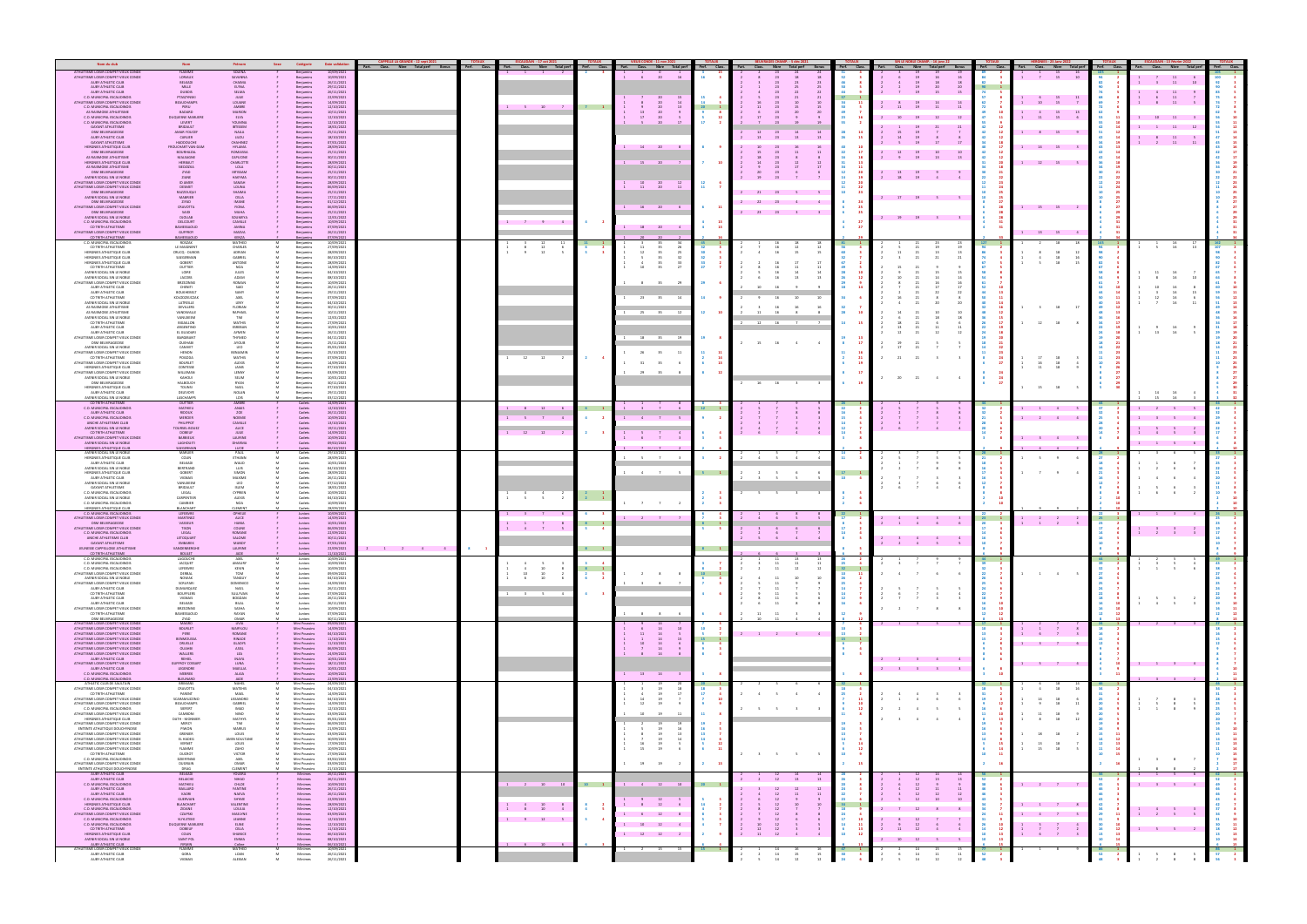| Nom du club                                                                                                          | <b>Nom</b>                                        | Prénom                                            | <b>Date validation</b><br><b>Sexe</b>                                                            | <b>CAPPELLE LA GRANDE - 12 sept 2021</b><br>Class. Nbre Total perf Bonus<br>Part. | <b>TOTAUX</b><br>Perf. Class. | <b>ESCAUDAIN - 17 oct 2021</b><br>Part.<br>Nbre Total perf<br><b>Class.</b>                                        | Perf.<br>Class. | VIEUX CONDE - 11 nov 2021<br>Nbre Total perf<br><b>Class.</b> | <b>TOTAUX</b><br>Perf. Class. | <b>BEUVRAGES CHAMP. - 5 déc 2021</b><br>Nbre Total perf Bonus<br>Part.<br>Class.                                                                                                                                                                                                                                                                    | <b>TOTAUX</b><br>Perf. Class. | SIN LE NOBLE CHAMP. - 16 jany 22<br>Nbre Total perf<br><b>Class.</b><br><b>Bonus</b> | Perf. Class. | <b>HERGNIES - 23 Jany 2022</b><br>Nbre Total perf<br>Part. Class. | <b>TOTAUX</b><br>Perf. Class.                       | <b>ESCAUDAIN - 13 Février 2022</b><br>Class. Nbre Total perf<br>Part. | <b>TOTAUX</b><br>Perf. Class. |
|----------------------------------------------------------------------------------------------------------------------|---------------------------------------------------|---------------------------------------------------|--------------------------------------------------------------------------------------------------|-----------------------------------------------------------------------------------|-------------------------------|--------------------------------------------------------------------------------------------------------------------|-----------------|---------------------------------------------------------------|-------------------------------|-----------------------------------------------------------------------------------------------------------------------------------------------------------------------------------------------------------------------------------------------------------------------------------------------------------------------------------------------------|-------------------------------|--------------------------------------------------------------------------------------|--------------|-------------------------------------------------------------------|-----------------------------------------------------|-----------------------------------------------------------------------|-------------------------------|
| ATHLETISME LOISIR COMPET VIEUX CONDE<br>ATHLETISME LOISIR COMPET VIEUX CONDE                                         | FLAMME<br>LORIAUX                                 | SOLENA<br>SAVANNA                                 | 10/09/2021<br>Benjamins<br>10/09/202<br><b>Benjamins</b>                                         |                                                                                   |                               |                                                                                                                    |                 |                                                               |                               |                                                                                                                                                                                                                                                                                                                                                     |                               |                                                                                      |              | - 15                                                              |                                                     |                                                                       |                               |
| <b>AUBY ATHLETIC CLUB</b><br><b>AUBY ATHLETIC CLUB</b>                                                               | BELKADI<br><b>MILLE</b>                           | <b>CHAIMA</b><br>ELYNA                            | 26/11/202<br>Benjamins<br>29/11/2021<br><b>Benjamins</b>                                         |                                                                                   |                               |                                                                                                                    |                 |                                                               |                               |                                                                                                                                                                                                                                                                                                                                                     |                               |                                                                                      |              |                                                                   |                                                     |                                                                       |                               |
| AUBY ATHLETIC CLUB<br>C.O. MUNICIPAL ESCAUDINOIS                                                                     | <b>DUBOIS</b><br>PTASZYNSKI                       | <b>SELMA</b><br><b>JULIE</b>                      | 26/11/2021<br><b>Benjamins</b><br>22/09/2021<br><b>Benjamins</b>                                 |                                                                                   |                               |                                                                                                                    |                 |                                                               |                               |                                                                                                                                                                                                                                                                                                                                                     |                               |                                                                                      |              |                                                                   |                                                     |                                                                       |                               |
| ATHLETISME LOISIR COMPET VIEUX CONDE<br><b>C.O. MUNICIPAL ESCAUDINOIS</b>                                            | <b>BEAUCHAMPS</b><br>PERU                         | LOUANE<br>AMBRE                                   | 14/09/202<br><b>Benjamins</b><br>12/10/202<br><b>Benjamins</b>                                   |                                                                                   |                               |                                                                                                                    |                 |                                                               |                               |                                                                                                                                                                                                                                                                                                                                                     |                               |                                                                                      |              |                                                                   |                                                     |                                                                       |                               |
| AS RAISMOISE ATHLETISME<br><b>C.O. MUNICIPAL ESCAUDINOIS</b>                                                         | <b>BADARD</b><br><b>DUQUESNE MARLIERE</b>         | <b>MARION</b><br>ELYA                             | 10/11/202<br><b>Benjamins</b><br>12/10/2021<br>Benjamin                                          |                                                                                   |                               |                                                                                                                    |                 |                                                               |                               |                                                                                                                                                                                                                                                                                                                                                     |                               |                                                                                      |              |                                                                   | 53                                                  |                                                                       |                               |
| C.O. MUNICIPAL ESCAUDINOIS<br><b>GAYANT ATHLETISME</b>                                                               | LEVERT<br><b>BRIDAULT</b>                         | <b>YOUMNA</b><br><b>IBTISSEM</b>                  | 12/10/2021<br>Benjamins<br>18/01/2022<br><b>Benjamins</b>                                        |                                                                                   |                               |                                                                                                                    |                 |                                                               |                               |                                                                                                                                                                                                                                                                                                                                                     |                               |                                                                                      |              |                                                                   | 42<br>$\overline{1}$                                |                                                                       |                               |
| <b>OSM BEUVRAGEOISE</b><br><b>AUBY ATHLETIC CLUB</b><br><b>GAYANT ATHLETISME</b>                                     | <b>AMAR YOUCEF</b><br><b>CARLIER</b><br>HADDOUCHE | <b>NAILA</b><br>LILOU<br><b>CHAHINEZ</b>          | 25/11/202<br>Benjamin<br>18/10/2021<br><b>Benjamins</b><br>07/01/2022                            |                                                                                   |                               |                                                                                                                    |                 |                                                               |                               | 13                                                                                                                                                                                                                                                                                                                                                  |                               |                                                                                      |              | 15                                                                |                                                     |                                                                       |                               |
| HERGNIES ATHLETIQUE CLUB<br>OSM BEUVRAGEOISE                                                                         | FROUCHART VAN-DAM<br>BOURHAZAL                    | HYLAMA<br>ROMAISSA                                | <b>Benjamins</b><br>28/09/2021<br><b>Benjamins</b><br>25/11/2021<br><b>Benjamins</b>             |                                                                                   |                               |                                                                                                                    |                 | 14                                                            |                               |                                                                                                                                                                                                                                                                                                                                                     |                               |                                                                                      |              | 14 15                                                             | 43<br>$\overline{\phantom{a}13}$<br>$\overline{11}$ |                                                                       |                               |
| AS RAISMOISE ATHLETISME<br><b>HERGNIES ATHLETIQUE CLUB</b>                                                           | MALSAGNE<br>HERBAUT                               | <b>CAPUCINE</b><br><b>CHARLOTTE</b>               | 30/11/2021<br><b>Benjamins</b><br>28/09/2021<br>Benjamins                                        |                                                                                   |                               |                                                                                                                    |                 |                                                               | $\overline{10}$               |                                                                                                                                                                                                                                                                                                                                                     |                               | 19<br>12                                                                             |              | 12                                                                | 42<br>$\overline{1}$<br>36<br>$\overline{18}$       |                                                                       |                               |
| AS RAISMOISE ATHLETISME<br><b>OSM BEUVRAGEOISE</b>                                                                   | SIEDZIZKA<br>ZYAD                                 | LOLA<br><b>IBTISSAM</b>                           | 30/11/2021<br><b>Benjamins</b><br>25/11/2021<br><b>Benjamins</b>                                 |                                                                                   |                               |                                                                                                                    |                 |                                                               |                               |                                                                                                                                                                                                                                                                                                                                                     |                               |                                                                                      |              |                                                                   | $\overline{\mathbf{10}}$<br>30 <sub>o</sub>         |                                                                       |                               |
| AVENIR SOCIAL SIN LE NOBLE<br>ATHLETISME LOISIR COMPET VIEUX CONDE                                                   | ZIANE<br><b>ID AMER</b>                           | HAKYMA<br>SAMAH                                   | 30/11/2021<br><b>Benjamins</b><br>28/09/202<br><b>Benjamins</b>                                  |                                                                                   |                               |                                                                                                                    |                 |                                                               |                               |                                                                                                                                                                                                                                                                                                                                                     |                               | 19                                                                                   |              |                                                                   | 22                                                  |                                                                       |                               |
| ATHLETISME LOISIR COMPET VIEUX CONDE<br><b>OSM BEUVRAGEOISE</b>                                                      | <b>DESMET</b><br>RAZZOUQUI                        | LOUNA<br><b>SHAIMA</b>                            | 06/09/2021<br><b>Benjamins</b><br>25/11/2021<br><b>Benjamins</b>                                 |                                                                                   |                               |                                                                                                                    |                 | $20 -$                                                        | 11                            | 21                                                                                                                                                                                                                                                                                                                                                  |                               |                                                                                      |              |                                                                   |                                                     |                                                                       |                               |
| AVENIR SOCIAL SIN LE NOBLE<br><b>OSM BEUVRAGEOISE</b>                                                                | <b>MABRIER</b><br>ZIYAD                           | <b>CELIA</b><br><b>IMANE</b>                      | 17/11/2021<br><b>Benjamins</b><br>01/12/2021<br>Benjamins                                        |                                                                                   |                               |                                                                                                                    |                 |                                                               |                               | 22 23<br>$\begin{array}{ccc} & 4 & 4 \end{array}$                                                                                                                                                                                                                                                                                                   |                               | 19                                                                                   |              |                                                                   |                                                     |                                                                       |                               |
| ATHLETISME LOISIR COMPET VIEUX CONDE<br>OSM BEUVRAGEOISE                                                             | CRAVOTTA<br>SAIDI                                 | <b>FIONA</b><br><b>IVIANA</b>                     | 06/09/2021<br><b>Benjamins</b><br>25/11/2021<br>Benjamins                                        |                                                                                   |                               |                                                                                                                    |                 |                                                               |                               | $2$ $23$ $23$ $3$ $3$                                                                                                                                                                                                                                                                                                                               |                               |                                                                                      |              | 15                                                                |                                                     |                                                                       |                               |
| AVENIR SOCIAL SIN LE NOBLE<br>C.O. MUNICIPAL ESCAUDINOIS                                                             | <b>DJOUAB</b><br><b>DELCOURT</b>                  | SOUMEYA<br>CAMILLE                                | 12/01/2022<br>Benjamins<br>10/09/2021<br>Benjamins<br>07/09/2021                                 |                                                                                   |                               | $\overline{7}$                                                                                                     |                 |                                                               | 4 13                          |                                                                                                                                                                                                                                                                                                                                                     |                               | 2 19 19 3                                                                            |              |                                                                   |                                                     |                                                                       |                               |
| CO TRITH ATHLETISME<br>ATHLETISME LOISIR COMPET VIEUX CONDE<br>CO TRITH ATHLETISME                                   | BAMESSAOUD<br><b>GUFFROY</b><br>BAMESSAOUD        | AMINA<br><b>MAEVA</b><br>KENZA                    | <b>Benjamins</b><br>26/11/2021<br><b>Benjamins</b><br>07/09/202<br>Benjamins                     |                                                                                   |                               |                                                                                                                    |                 |                                                               | 4 13                          |                                                                                                                                                                                                                                                                                                                                                     |                               |                                                                                      |              | $13 \t 15$                                                        |                                                     |                                                                       |                               |
| C.O. MUNICIPAL ESCAUDINOIS<br>CO TRITH ATHLETISME                                                                    | ROSZAK<br><b>LE MAIGNENT</b>                      | <b>MATHEO</b><br>CHARLES                          | 10/09/202<br><b>Benjamins</b><br>27/09/202<br>Benjamin                                           |                                                                                   |                               |                                                                                                                    |                 |                                                               |                               |                                                                                                                                                                                                                                                                                                                                                     |                               |                                                                                      |              |                                                                   |                                                     |                                                                       |                               |
| HERGNIES ATHLETIQUE CLUB<br>HERGNIES ATHLETIQUE CLUB                                                                 | CRUCQ - DUBOIS<br>SAEGERMAN                       | ADRIAN<br>GABRIEL                                 | 28/09/2021<br><b>Benjamins</b><br>06/10/202<br>Benjamin                                          |                                                                                   |                               |                                                                                                                    |                 |                                                               |                               |                                                                                                                                                                                                                                                                                                                                                     |                               |                                                                                      |              |                                                                   |                                                     |                                                                       |                               |
| HERGNIES ATHLETIQUE CLUB<br>CO TRITH ATHLETISME                                                                      | GOBERT<br><b>OUTTIER</b>                          | <b>ANTOINE</b><br><b>NOA</b>                      | 28/09/2021<br>Benjamin<br>14/09/202<br><b>Benjamins</b>                                          |                                                                                   |                               |                                                                                                                    |                 |                                                               | 27                            |                                                                                                                                                                                                                                                                                                                                                     |                               |                                                                                      |              |                                                                   |                                                     |                                                                       |                               |
| AVENIR SOCIAL SIN LE NOBLE<br>AVENIR SOCIAL SIN LE NOBLE                                                             | LOIRE<br><b>JACOBS</b>                            | <b>JULES</b><br>ADAM                              | 04/10/202<br><b>Benjamins</b><br>08/10/2021<br>Benjamin                                          |                                                                                   |                               |                                                                                                                    |                 |                                                               |                               |                                                                                                                                                                                                                                                                                                                                                     |                               |                                                                                      |              |                                                                   |                                                     |                                                                       |                               |
| ATHLETISME LOISIR COMPET VIEUX CONDE<br><b>AUBY ATHLETIC CLUB</b>                                                    | BRZEZINSKI<br><b>CHENITI</b>                      | ROMAN<br>SAID                                     | 10/09/202<br><b>Benjamins</b><br>26/11/2021<br>Benjamin                                          |                                                                                   |                               |                                                                                                                    |                 |                                                               | 29                            |                                                                                                                                                                                                                                                                                                                                                     |                               |                                                                                      |              |                                                                   |                                                     |                                                                       |                               |
| <b>AUBY ATHLETIC CLUB</b><br>CO TRITH ATHLETISME                                                                     | <b>BOUKHEBELT</b><br>KOLODZIEJCZAK                | SAMY                                              | 29/11/2021<br>Benjamins<br>07/09/2021<br>Benjamin                                                |                                                                                   |                               |                                                                                                                    |                 |                                                               | <b>14</b>                     |                                                                                                                                                                                                                                                                                                                                                     |                               |                                                                                      |              |                                                                   |                                                     |                                                                       |                               |
| AVENIR SOCIAL SIN LE NOBLE<br>AS RAISMOISE ATHLETISME<br>AS RAISMOISE ATHLETISME                                     | LATREILLE<br><b>DEVILLERS</b>                     | <b>FLORIAN</b><br><b>RAPHAEI</b>                  | 04/10/2021<br>Benjamin<br>30/11/2021<br>Benjamins                                                |                                                                                   |                               |                                                                                                                    |                 |                                                               |                               |                                                                                                                                                                                                                                                                                                                                                     |                               |                                                                                      |              |                                                                   | 49                                                  |                                                                       |                               |
| AVENIR SOCIAL SIN LE NOBLE<br>CO TRITH ATHLETISME                                                                    | VANDWALLE<br>VANUXEEM<br><b>BIGAILLON</b>         | <b>MATHIS</b>                                     | 10/11/2021<br>Benjamin<br>12/01/2022<br>Benjamin<br>27/09/2021<br><b>Benjamins</b>               |                                                                                   |                               |                                                                                                                    |                 |                                                               |                               |                                                                                                                                                                                                                                                                                                                                                     |                               |                                                                                      |              |                                                                   | 36<br>16                                            |                                                                       |                               |
| <b>AUBY ATHLETIC CLUB</b><br><b>AUBY ATHLETIC CLUB</b>                                                               | ARGENTINO<br><b>EL GUADARI</b>                    | ESREBAN<br>AYMEN                                  | 10/01/202<br>Benjamins<br>26/11/202<br>Benjamins                                                 |                                                                                   |                               |                                                                                                                    |                 |                                                               |                               |                                                                                                                                                                                                                                                                                                                                                     |                               |                                                                                      |              |                                                                   | - 15                                                |                                                                       |                               |
| ATHLETISME LOISIR COMPET VIEUX CONDE<br>OSM BEUVRAGEOISE                                                             | BARGIBANT<br>OUEHABI                              | THYMEC<br><b>AYOUB</b>                            | 04/11/2021<br>Benjamin<br>25/11/2021<br>Benjamin                                                 |                                                                                   |                               |                                                                                                                    |                 |                                                               | 19                            |                                                                                                                                                                                                                                                                                                                                                     |                               |                                                                                      |              |                                                                   |                                                     |                                                                       |                               |
| AVENIR SOCIAL SIN LE NOBLE<br>ATHLETISME LOISIR COMPET VIEUX CONDE                                                   | CANIVET<br><b>HENON</b>                           | BENJAMIN                                          | 05/01/202<br><b>Benjamins</b><br>25/10/202<br>Benjamin                                           |                                                                                   |                               |                                                                                                                    |                 |                                                               | <b>11</b>                     |                                                                                                                                                                                                                                                                                                                                                     |                               |                                                                                      |              |                                                                   | 14                                                  |                                                                       |                               |
| CO TRITH ATHLETISME<br>ATHLETISME LOISIR COMPET VIEUX CONDE                                                          | POGODA<br><b>BOURLET</b>                          | <b>MATHIS</b><br>ALEXIS                           | 07/09/2021<br>Benjamin<br>14/09/2021<br>Benjamin                                                 |                                                                                   |                               |                                                                                                                    |                 |                                                               |                               |                                                                                                                                                                                                                                                                                                                                                     |                               |                                                                                      |              |                                                                   | 11                                                  |                                                                       |                               |
| HERGNIES ATHLETIQUE CLUB<br>ATHLETISME LOISIR COMPET VIEUX CONDE                                                     | CONTESSE<br>WILLEMAN                              | <b>JANIS</b><br><b>LENNY</b>                      | 07/10/2021<br>Benjamins<br>03/09/2021                                                            |                                                                                   |                               |                                                                                                                    |                 |                                                               |                               |                                                                                                                                                                                                                                                                                                                                                     |                               |                                                                                      |              |                                                                   |                                                     |                                                                       |                               |
| AVENIR SOCIAL SIN LE NOBLE<br>OSM BEUVRAGEOISE                                                                       | KAHOUI<br>HALBOUCH                                | SELIM<br>RYAN                                     | 10/01/2022<br>Benjamin<br>30/11/2021<br>Benjamin                                                 |                                                                                   |                               |                                                                                                                    |                 |                                                               |                               |                                                                                                                                                                                                                                                                                                                                                     |                               |                                                                                      |              |                                                                   |                                                     |                                                                       |                               |
| HERGNIES ATHLETIQUE CLUB<br><b>AUBY ATHLETIC CLUB</b><br>AVENIR SOCIAL SIN LE NOBLE                                  | <b>TOUNSI</b><br>DELEVOYE<br>LASCHAMPS            | <b>NOLAN</b>                                      | 07/10/2021<br>Benjamin<br>29/11/2021<br>Benjamin<br>03/12/20<br><b>Benjamins</b>                 |                                                                                   |                               |                                                                                                                    |                 |                                                               |                               |                                                                                                                                                                                                                                                                                                                                                     |                               |                                                                                      |              |                                                                   |                                                     |                                                                       |                               |
| CO TRITH ATHLETISME<br><b>C.O. MUNICIPAL ESCAUDINOIS</b>                                                             | OUTTIER<br>MATHIEU                                | AMBRE<br>ANAIS                                    | 14/09/2021<br>Cadets<br>12/10/2021<br>Cadet                                                      |                                                                                   |                               |                                                                                                                    |                 |                                                               |                               |                                                                                                                                                                                                                                                                                                                                                     |                               |                                                                                      |              |                                                                   | 44                                                  |                                                                       |                               |
| <b>AUBY ATHLETIC CLUB</b><br>C.O. MUNICIPAL ESCAUDINOIS                                                              | RIDOUX<br><b>MERCIER</b>                          | <b>NOEMIE</b>                                     | 26/11/2021<br>Cadets<br>10/09/2021<br>Cadets                                                     |                                                                                   |                               |                                                                                                                    |                 |                                                               |                               |                                                                                                                                                                                                                                                                                                                                                     |                               |                                                                                      |              |                                                                   |                                                     |                                                                       |                               |
| ANICHE ATHLETISME CLUB<br>AVENIR SOCIAL SIN LE NOBLE                                                                 | PHILIPPOT<br>TOURSEL-BOUEZ                        | CAMILLE<br><b>ALICE</b>                           | 13/10/2021<br>Cadets<br>19/11/2021<br>Cadets                                                     |                                                                                   |                               |                                                                                                                    |                 |                                                               |                               |                                                                                                                                                                                                                                                                                                                                                     |                               |                                                                                      |              |                                                                   |                                                     |                                                                       |                               |
| CO TRITH ATHLETISME<br>ATHLETISME LOISIR COMPET VIEUX CONDE                                                          | <b>DOBEUF</b><br>BARBIEUX                         | <b>JULIE</b><br><b>LAURINE</b>                    | 14/09/2021<br>Cadets<br>Cadets<br>10/09/2021                                                     |                                                                                   |                               | 12<br>12                                                                                                           |                 |                                                               |                               |                                                                                                                                                                                                                                                                                                                                                     |                               |                                                                                      |              |                                                                   |                                                     |                                                                       |                               |
| AVENIR SOCIAL SIN LE NOBLE<br>HERGNIES ATHLETIQUE CLUB                                                               | LAGHOUITI<br>SAEGERMAN                            | <b>DHARMA</b><br>LUCIE                            | 09/02/2022<br>Cadets<br>Cadets<br>06/10/202                                                      |                                                                                   |                               |                                                                                                                    |                 |                                                               |                               |                                                                                                                                                                                                                                                                                                                                                     |                               |                                                                                      |              |                                                                   |                                                     | $\mathbf{1}$                                                          |                               |
| AVENIR SOCIAL SIN LE NOBLE<br>HERGNIES ATHLETIQUE CLUB                                                               | MARLIER<br><b>COLIN</b>                           | PAUL<br><b>ETHANN</b>                             | Cadets<br>29/10/20<br>28/09/202<br>Cadets                                                        |                                                                                   |                               |                                                                                                                    |                 |                                                               |                               |                                                                                                                                                                                                                                                                                                                                                     |                               |                                                                                      |              |                                                                   |                                                     |                                                                       |                               |
| <b>AUBY ATHLETIC CLUB</b><br>AVENIR SOCIAL SIN LE NOBLE                                                              | BELKADI<br>BERTRAND                               | <b>WALID</b>                                      | 10/01/2022<br>Cadets<br>04/10/202<br>Cadets                                                      |                                                                                   |                               |                                                                                                                    |                 |                                                               |                               |                                                                                                                                                                                                                                                                                                                                                     |                               |                                                                                      |              |                                                                   |                                                     |                                                                       |                               |
| HERGNIES ATHLETIQUE CLUB<br><b>AUBY ATHLETIC CLUB</b><br>AVENIR SOCIAL SIN LE NOBLE                                  | GOBERT<br><b>VIGNAIS</b><br>VANUXEEM              | SIMON<br><b>MAXIME</b>                            | 28/09/202<br>Cadets<br>Cadets<br>26/11/2021<br>Cadets<br>07/12/2021                              |                                                                                   |                               |                                                                                                                    |                 |                                                               |                               |                                                                                                                                                                                                                                                                                                                                                     | $\blacksquare$ 1              |                                                                                      |              |                                                                   |                                                     |                                                                       |                               |
| <b>GAYANT ATHLETISME</b><br>C.O. MUNICIPAL ESCAUDINOIS                                                               | <b>BRIDAULT</b><br>LEGAL                          | <b>ISLEM</b><br><b>CYPRIEN</b>                    | Cadets<br>18/01/2022<br>Cadets<br>10/09/2021                                                     |                                                                                   |                               |                                                                                                                    |                 |                                                               |                               |                                                                                                                                                                                                                                                                                                                                                     |                               |                                                                                      |              |                                                                   |                                                     |                                                                       |                               |
| AVENIR SOCIAL SIN LE NOBLE<br>C.O. MUNICIPAL ESCAUDINOIS                                                             | CARPENTIER<br>CAMBIER                             | <b>ALEXIS</b><br><b>NOA</b>                       | 04/10/202<br>Cadets<br>10/09/2021<br>Cadets                                                      |                                                                                   |                               |                                                                                                                    |                 |                                                               |                               |                                                                                                                                                                                                                                                                                                                                                     |                               |                                                                                      |              |                                                                   |                                                     |                                                                       |                               |
| HERGNIES ATHLETIQUE CLUB<br>C.O. MUNICIPAL ESCAUDINOIS                                                               | <b>BLANCHART</b><br>LEFEBVRE                      | <b>CLEMENT</b><br>OPHELIE                         | Cadets<br>28/09/20<br>10/09/2021<br><b>Juniors</b>                                               |                                                                                   |                               |                                                                                                                    |                 |                                                               |                               |                                                                                                                                                                                                                                                                                                                                                     |                               |                                                                                      |              |                                                                   | 22                                                  | $1 \qquad \qquad 3$<br>$\sim$ 4                                       |                               |
| ATHLETISME LOISIR COMPET VIEUX CONDE<br>OSM BEUVRAGEOISE                                                             | <b>MARTINEZ</b><br>VASSEUR                        | <b>ALICE</b><br>HANIA                             | 14/09/2021<br>Juniors<br>10/01/2022<br>Juniors                                                   |                                                                                   |                               |                                                                                                                    |                 |                                                               |                               |                                                                                                                                                                                                                                                                                                                                                     |                               |                                                                                      |              |                                                                   | 25                                                  |                                                                       |                               |
| ATHLETISME LOISIR COMPET VIEUX CONDE<br>C.O. MUNICIPAL ESCAUDINOIS                                                   | <b>TISON</b><br>LEGAL                             | <b>COLINE</b><br><b>ROMANE</b>                    | 06/09/2021<br>Juniors<br>22/09/2021<br><b>Junior</b>                                             |                                                                                   |                               | ح ہے ۔<br>مراجع اللہ اللہ اللہ اللہ میں اللہ اللہ میں اللہ میں اللہ میں اللہ میں اللہ میں اللہ میں اللہ میں اللہ م |                 |                                                               |                               | $\overline{a}$ , $\overline{a}$ , $\overline{a}$ , $\overline{a}$ , $\overline{a}$ , $\overline{a}$ , $\overline{a}$ , $\overline{a}$ , $\overline{a}$ , $\overline{a}$ , $\overline{a}$ , $\overline{a}$ , $\overline{a}$ , $\overline{a}$ , $\overline{a}$ , $\overline{a}$ , $\overline{a}$ , $\overline{a}$ , $\overline{a}$ , $\overline{a}$ , |                               |                                                                                      |              |                                                                   |                                                     | $1 \qquad 3 \qquad 3 \qquad 2$<br>$\overline{2}$                      |                               |
| ANICHE ATHLETISME CLUB<br><b>GAYANT ATHLETISME</b>                                                                   | LETOQUART<br>EMBAREK                              | SALOME<br><b>MANDY</b>                            | 30/11/2021<br>Juniors<br>07/01/2022<br>Juniors                                                   |                                                                                   |                               |                                                                                                                    |                 |                                                               |                               |                                                                                                                                                                                                                                                                                                                                                     |                               |                                                                                      |              |                                                                   |                                                     |                                                                       |                               |
| JEUNESSE CAPPELLOISE ATHLETISME<br>CO TRITH ATHLETISME<br>C.O. MUNICIPAL ESCAUDINOIS                                 | VANDENBERGHE<br><b>BOULET</b><br>LAGOUCHE         | LAURINE<br><b>JADE</b><br>AXEL                    | 22/09/20<br>Juniors<br>11/10/20<br>Juniors<br>10/09/202                                          |                                                                                   |                               |                                                                                                                    |                 |                                                               | $8 - 1$                       |                                                                                                                                                                                                                                                                                                                                                     |                               |                                                                                      |              |                                                                   |                                                     |                                                                       |                               |
| C.O. MUNICIPAL ESCAUDINOIS<br>C.O. MUNICIPAL ESCAUDINOIS                                                             | <b>JACQUET</b><br>LEFEBVRE                        | <b>AMAURY</b><br><b>KEVIN</b>                     | Juniors<br>10/09/202<br>10/09/2021<br><b>Junior</b>                                              |                                                                                   |                               |                                                                                                                    |                 |                                                               |                               |                                                                                                                                                                                                                                                                                                                                                     |                               |                                                                                      |              |                                                                   |                                                     |                                                                       |                               |
| ATHLETISME LOISIR COMPET VIEUX CONDE<br>AVENIR SOCIAL SIN LE NOBLE                                                   | DERBAL<br><b>NOWAK</b>                            | <b>TANGUY</b>                                     | 09/09/202<br><b>Junior</b><br>04/10/202<br>Juniors                                               |                                                                                   |                               |                                                                                                                    |                 |                                                               |                               |                                                                                                                                                                                                                                                                                                                                                     |                               |                                                                                      |              |                                                                   |                                                     |                                                                       |                               |
| ATHLETISME LOISIR COMPET VIEUX CONDE<br><b>AUBY ATHLETIC CLUB</b>                                                    | <b>SCRUFARI</b><br>DUMARQUEZ                      | <b>DOMENICO</b><br><b>NAEL</b>                    | 24/09/202<br>Juniors<br>26/11/2021<br>Juniors                                                    |                                                                                   |                               |                                                                                                                    |                 |                                                               |                               |                                                                                                                                                                                                                                                                                                                                                     |                               |                                                                                      |              |                                                                   |                                                     |                                                                       |                               |
| CO TRITH ATHLETISME<br><b>AUBY ATHLETIC CLUB</b>                                                                     | <b>BOUFFLERS</b><br><b>VIGNAIS</b>                | SULLYVAN<br><b>BOGDAN</b>                         | 07/09/2021<br>Juniors<br>26/11/2021<br>Juniors                                                   |                                                                                   |                               |                                                                                                                    |                 |                                                               |                               |                                                                                                                                                                                                                                                                                                                                                     |                               |                                                                                      |              |                                                                   |                                                     |                                                                       |                               |
| <b>AUBY ATHLETIC CLUB</b><br>ATHLETISME LOISIR COMPET VIEUX CONDE                                                    | BELKADI<br>BRZEZINSKI                             | BILAL<br>SASHA                                    | 26/11/2021<br>Juniors<br>10/09/2021<br>Junior                                                    |                                                                                   |                               |                                                                                                                    |                 |                                                               |                               |                                                                                                                                                                                                                                                                                                                                                     |                               |                                                                                      |              |                                                                   |                                                     |                                                                       |                               |
| CO TRITH ATHLETISME<br><b>OSM BEUVRAGEOISE</b>                                                                       | BAMESSAOUD<br>ZYAD                                | <b>OMAR</b>                                       | 07/09/2021<br><b>Junior</b><br>30/11/202<br><b>Juniors</b>                                       |                                                                                   |                               |                                                                                                                    |                 |                                                               |                               |                                                                                                                                                                                                                                                                                                                                                     |                               |                                                                                      |              |                                                                   |                                                     |                                                                       |                               |
| ATHLETISME LOISIR COMPET VIEUX CONDE<br>ATHLETISME LOISIR COMPET VIEUX CONDE<br>ATHLETISME LOISIR COMPET VIEUX CONDE | MAGRO<br><b>BOURLET</b><br>PERE                   | LIVIA<br>MARYLOU<br><b>ROMANE</b>                 | 09/09/2021<br>Mini Poussins<br>14/09/2021<br><b>Mini Poussins</b><br>04/10/2021<br>Mini Poussins |                                                                                   |                               |                                                                                                                    |                 |                                                               |                               | $\overline{4}$                                                                                                                                                                                                                                                                                                                                      |                               | $1 \qquad 3 \qquad 5$                                                                |              |                                                                   |                                                     |                                                                       |                               |
| ATHLETISME LOISIR COMPET VIEUX CONDE<br>ATHLETISME LOISIR COMPET VIEUX CONDE                                         | BENMOUSSA<br><b>DRUELLE</b>                       | <b>RINADE</b><br><b>GLADYS</b>                    | 11/10/2021<br>Mini Poussins<br>11/10/2021<br>Mini Poussins                                       |                                                                                   |                               |                                                                                                                    |                 |                                                               |                               |                                                                                                                                                                                                                                                                                                                                                     |                               |                                                                                      |              |                                                                   |                                                     |                                                                       |                               |
| ATHLETISME LOISIR COMPET VIEUX CONDE<br>ATHLETISME LOISIR COMPET VIEUX CONDE                                         | <b>OUAHBI</b><br>WALLERS                          |                                                   | 06/09/2021<br><b>Mini Poussins</b><br>24/09/2021<br>Mini Poussins                                |                                                                                   |                               |                                                                                                                    |                 |                                                               |                               |                                                                                                                                                                                                                                                                                                                                                     |                               |                                                                                      |              |                                                                   |                                                     |                                                                       |                               |
| AUBY ATHLETIC CLUB<br>ATHLETISME LOISIR COMPET VIEUX CONDE                                                           | REHIEL<br><b>GUFFROY COSSART</b>                  | <b>INAYA</b><br>LUNA                              | 10/01/2022<br>Mini Poussins<br><b>Mini Poussins</b><br>18/11/2021                                |                                                                                   |                               |                                                                                                                    |                 |                                                               |                               |                                                                                                                                                                                                                                                                                                                                                     |                               |                                                                                      |              | $5 \qquad \qquad 7$                                               | $\blacksquare$ 10                                   |                                                                       |                               |
| <b>AUBY ATHLETIC CLUB</b><br>C.O. MUNICIPAL ESCAUDINOIS                                                              | LEGENDRE<br><b>MEBREK</b>                         | <b>MAELLIA</b><br><b>ALAIA</b>                    | 10/01/2022<br>Mini Poussins<br>10/09/2021<br><b>Mini Poussins</b>                                |                                                                                   |                               |                                                                                                                    |                 |                                                               |                               |                                                                                                                                                                                                                                                                                                                                                     | $\overline{\mathbf{R}}$       | $\overline{\phantom{a}}$ 3                                                           |              |                                                                   |                                                     |                                                                       |                               |
| C.O. MUNICIPAL ESCAUDINOIS<br>ATHLETIC CLUB DE SAULTAIN                                                              | BLEUNARD<br>BRIMANS                               | NAHEI                                             | 22/09/2021<br><b>Mini Poussins</b><br>Mini Poussins<br>24/09/2021                                |                                                                                   |                               |                                                                                                                    |                 |                                                               |                               |                                                                                                                                                                                                                                                                                                                                                     |                               |                                                                                      |              |                                                                   |                                                     |                                                                       |                               |
| ATHLETISME LOISIR COMPET VIEUX CONDE<br>CO TRITH ATHLETISME                                                          | CRAVOTTA<br>PARENT                                | <b>MATEHIS</b><br>MAEL                            | 04/10/202<br>Mini Poussins<br>14/09/2021<br>Mini Poussins                                        |                                                                                   |                               |                                                                                                                    |                 |                                                               |                               |                                                                                                                                                                                                                                                                                                                                                     |                               |                                                                                      |              |                                                                   |                                                     |                                                                       |                               |
| ATHLETISME LOISIR COMPET VIEUX CONDE<br>ATHLETISME LOISIR COMPET VIEUX CONDE<br>C.O. MUNICIPAL ESCAUDINOIS           | SCARAMUZZINO<br><b>BEAUCHAMPS</b><br>SIEFERT      | <b>LISSANDRC</b><br><b>GABRIEL</b><br><b>IMAD</b> | 04/10/2021<br>Mini Poussins<br>14/09/202<br>Mini Poussins<br>Mini Poussins<br>12/10/2021         |                                                                                   |                               |                                                                                                                    |                 |                                                               |                               |                                                                                                                                                                                                                                                                                                                                                     |                               |                                                                                      |              |                                                                   |                                                     |                                                                       |                               |
| ATHLETISME LOISIR COMPET VIEUX CONDE<br>HERGNIES ATHLETIQUE CLUB                                                     | CAMBONI<br>DATH - MONNIER                         | <b>NINO</b><br><b>MATHYS</b>                      | 03/09/202<br>Mini Poussins<br>05/01/20<br>Mini Poussins                                          |                                                                                   |                               |                                                                                                                    |                 |                                                               | 11                            |                                                                                                                                                                                                                                                                                                                                                     |                               |                                                                                      |              |                                                                   |                                                     |                                                                       |                               |
| ATHLETISME LOISIR COMPET VIEUX CONDE<br>ENTENTE ATHLETIQUE DOUCHYNOISE                                               | <b>MERCY</b><br>PIWON                             | <b>MARIUS</b>                                     | 06/09/202<br>Mini Poussins<br>21/09/202<br>Mini Poussins                                         |                                                                                   |                               |                                                                                                                    |                 |                                                               |                               |                                                                                                                                                                                                                                                                                                                                                     |                               |                                                                                      |              |                                                                   |                                                     |                                                                       |                               |
| ATHLETISME LOISIR COMPET VIEUX CONDE<br>ATHLETISME LOISIR COMPET VIEUX CONDE                                         | GRENIER<br><b>EL HADEG</b>                        | LOUIS<br><b>AMIN SOULTANE</b>                     | 03/09/20<br>Mini Poussins<br>30/09/2021<br>Mini Poussins                                         |                                                                                   |                               |                                                                                                                    |                 |                                                               |                               |                                                                                                                                                                                                                                                                                                                                                     |                               |                                                                                      |              |                                                                   |                                                     |                                                                       |                               |
| ATHLETISME LOISIR COMPET VIEUX CONDE<br>ATHLETISME LOISIR COMPET VIEUX CONDE                                         | VERNET<br>FLAMME                                  | LOUIS<br>ZAHO                                     | Mini Poussins<br>.7/09/2021<br>Mini Poussins<br>10/09/20                                         |                                                                                   |                               |                                                                                                                    |                 |                                                               |                               |                                                                                                                                                                                                                                                                                                                                                     |                               |                                                                                      |              |                                                                   | 12<br>11<br>$\overline{11}$                         |                                                                       |                               |
| CO TRITH ATHLETISME<br>C.O. MUNICIPAL ESCAUDINOIS                                                                    | <b>DUCROT</b><br>DZIERYNSKI                       | <b>VICTOR</b>                                     | 27/09/202<br>Mini Poussins<br>03/02/20<br>Mini Poussins                                          |                                                                                   |                               |                                                                                                                    |                 |                                                               |                               |                                                                                                                                                                                                                                                                                                                                                     |                               |                                                                                      |              |                                                                   | <b>10</b><br>$-15$                                  |                                                                       |                               |
| ATHLETISME LOISIR COMPET VIEUX CONDE<br>ENTENTE ATHLETIQUE DOUCHYNOISE                                               | <b>DUGRAIN</b><br><b>DRAG</b>                     | <b>OMAF</b><br><b>CLEMENT</b>                     | 03/09/202<br>Mini Poussins<br>Mini Poussins<br>M.                                                |                                                                                   |                               |                                                                                                                    |                 |                                                               | $2 \t 13$                     |                                                                                                                                                                                                                                                                                                                                                     |                               |                                                                                      | 16           |                                                                   | $\overline{\mathbf{16}}$                            |                                                                       |                               |
| AUBY ATHLETIC CLUB<br><b>AUBY ATHLETIC CLUB</b>                                                                      | BELKADI<br><b>BELAICHE</b>                        | YOUSRA<br><b>NIHAD</b>                            | 26/11/2021<br>Minimes<br>26/11/2021<br>Minimes                                                   |                                                                                   |                               |                                                                                                                    |                 |                                                               |                               |                                                                                                                                                                                                                                                                                                                                                     |                               |                                                                                      |              |                                                                   | 56 -                                                |                                                                       |                               |
| C.O. MUNICIPAL ESCAUDINOIS<br><b>AUBY ATHLETIC CLUB</b><br><b>AUBY ATHLETIC CLUB</b>                                 | MATHIEU<br>BAILLARD<br>KADRI                      | CHLOE<br><b>FANTINE</b><br><b>NAEVA</b>           | 10/09/2021<br>Minimes<br>26/11/2021<br><b>Minimes</b><br>26/11/2021<br>Minimes                   |                                                                                   |                               | 10                                                                                                                 |                 | $\sqrt{12}$                                                   | $20 \t 1$                     |                                                                                                                                                                                                                                                                                                                                                     |                               |                                                                                      |              |                                                                   | 45                                                  | $3 \qquad 5$                                                          |                               |
| C.O. MUNICIPAL ESCAUDINOIS<br>HERGNIES ATHLETIQUE CLUB                                                               | <b>GUERVAIN</b><br><b>BLANCHART</b>               | SHYME<br>VALENTINE                                | 22/09/2021<br><b>Minimes</b><br>28/09/2021<br>Minimes                                            |                                                                                   |                               |                                                                                                                    |                 |                                                               |                               |                                                                                                                                                                                                                                                                                                                                                     |                               |                                                                                      |              |                                                                   | 43                                                  |                                                                       |                               |
| C.O. MUNICIPAL ESCAUDINOIS<br>ATHLETISME LOISIR COMPET VIEUX CONDE                                                   | ZIDANE<br><b>CZAPSKI</b>                          | LOULIA<br><b>MAELYNE</b>                          | 12/10/2021<br>Minimes<br>03/09/2021<br><b>Minimes</b>                                            |                                                                                   |                               | 10                                                                                                                 |                 | $6$ 12                                                        |                               |                                                                                                                                                                                                                                                                                                                                                     |                               | 12                                                                                   |              |                                                                   | 29                                                  |                                                                       |                               |
| C.O. MUNICIPAL ESCAUDINOIS<br>C.O. MUNICIPAL ESCAUDINOIS                                                             | VUYLSTEKE<br>DUQUESNE MARLIERE                    | LEANNE<br><b>ELINE</b>                            | 12/10/2021<br>Minimes<br>12/10/2021<br>Minimes                                                   |                                                                                   |                               | $1 \qquad \qquad 9 \qquad \qquad 12$                                                                               |                 | $10 \t 12$                                                    |                               |                                                                                                                                                                                                                                                                                                                                                     |                               |                                                                                      |              |                                                                   |                                                     |                                                                       |                               |
| CO TRITH ATHLETISME<br><b>HERGNIES ATHLETIQUE CLUB</b>                                                               | <b>DOBEUF</b><br><b>COLIN</b>                     | <b>CELIA</b><br><b>SHANICE</b>                    | 11/10/2021<br><b>Minimes</b><br>06/10/2021<br>Minimes                                            |                                                                                   |                               |                                                                                                                    |                 | $1$ $12$ $12$ $2$                                             |                               | 11                                                                                                                                                                                                                                                                                                                                                  |                               |                                                                                      |              |                                                                   | 16<br>$\overline{12}$<br>13 <sup>7</sup>            | 555                                                                   |                               |
| AVENIR SOCIAL SIN LE NOBLE<br><b>AUBY ATHLETIC CLUB</b>                                                              | SAINT POL<br><b>FIRMIN</b>                        | <b>EMMA</b><br>Coline                             | 08/10/2021<br>Minimes<br>06/10/2021<br>Minimes                                                   |                                                                                   |                               | $\begin{array}{ c c c c c c }\n\hline\n1 & 6 & 10 & 6 & 6 & 3 \\ \hline\n\end{array}$                              |                 |                                                               |                               |                                                                                                                                                                                                                                                                                                                                                     |                               | 12<br>10                                                                             |              |                                                                   |                                                     |                                                                       |                               |
| ATHLETISME LOISIR COMPET VIEUX CONDE<br><b>AUBY ATHLETIC CLUB</b>                                                    | FLAMME<br>GORA                                    | MATHEO<br>LOAN                                    | 10/09/2021<br>Minimes<br>26/11/2021<br>Minimes                                                   |                                                                                   |                               |                                                                                                                    |                 |                                                               |                               |                                                                                                                                                                                                                                                                                                                                                     |                               |                                                                                      |              |                                                                   |                                                     |                                                                       |                               |
| <b>AUBY ATHLETIC CLUB</b>                                                                                            | VIGNAIS                                           | ALEXIAN                                           | 26/11/2021<br><b>Minimes</b>                                                                     |                                                                                   |                               |                                                                                                                    |                 |                                                               |                               |                                                                                                                                                                                                                                                                                                                                                     |                               |                                                                                      |              |                                                                   |                                                     |                                                                       |                               |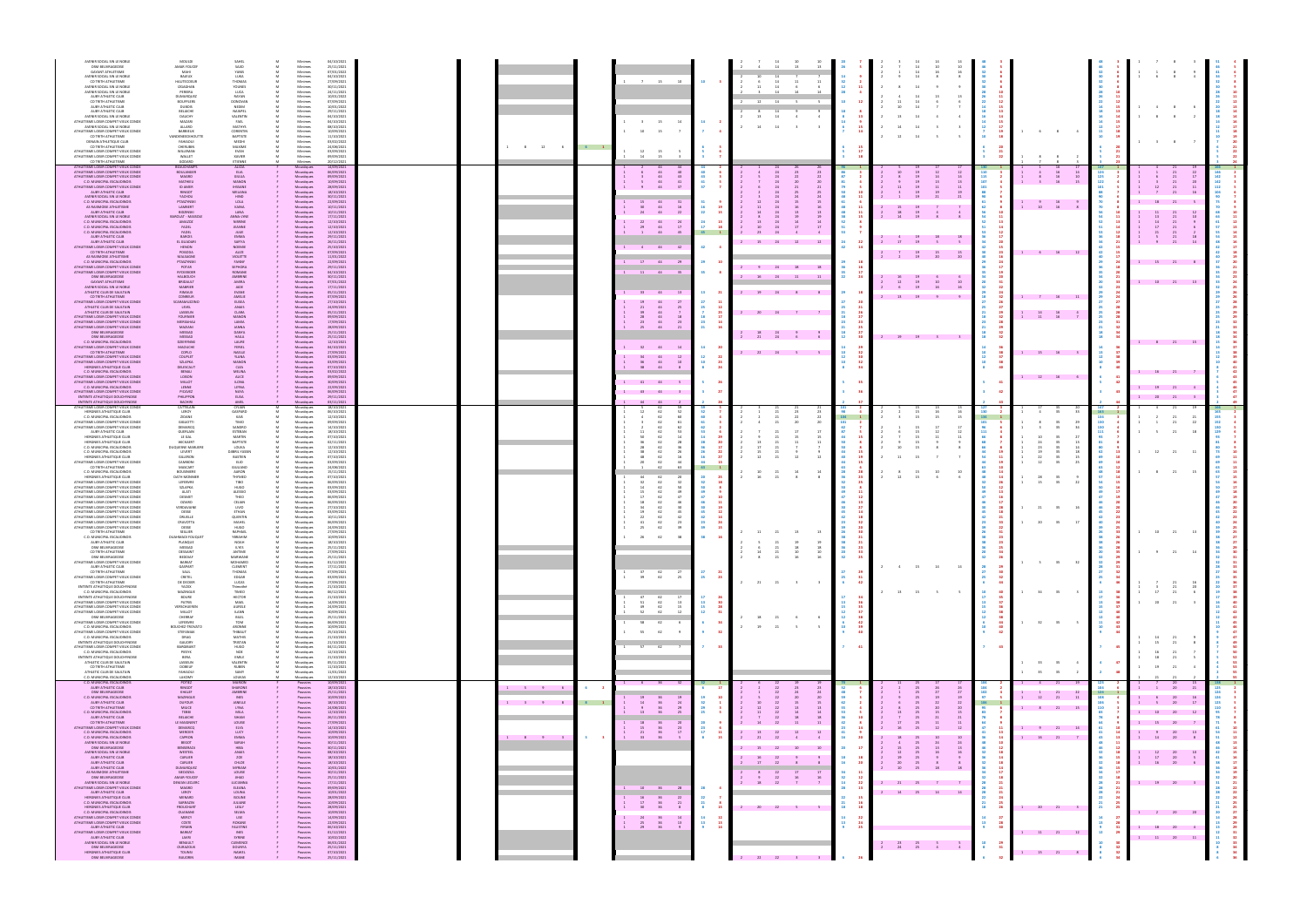| AVENIR SOCIAL SIN LE NOBLE                                                   | <b>MOULDI</b>                             | SAHEL                            | M      | Minimes                  | 04/10/2021               |
|------------------------------------------------------------------------------|-------------------------------------------|----------------------------------|--------|--------------------------|--------------------------|
| OSM BEUVRAGEOISE                                                             | <b>AMAR YOUCEF</b>                        | SAJID                            | M      | Minimes                  | 25/11/2021               |
| <b>GAYANT ATHLETISME</b>                                                     | <b>MAHI</b>                               | YANIS                            | M      | Minimes                  | 07/01/2022               |
| AVENIR SOCIAL SIN LE NOBLE                                                   | <b>BAJEUX</b>                             | LUKA                             | M      | Minimes                  | 04/10/2021               |
| CO TRITH ATHLETISME                                                          | <b>HAUTECOEUR</b>                         | <b>THOMAS</b>                    | M      | Minimes                  | 27/09/2021               |
| AVENIR SOCIAL SIN LE NOBLE                                                   | <b>IZGAGHAN</b>                           | <b>YOUNES</b>                    | M      | Minimes                  | 30/11/2021               |
| AVENIR SOCIAL SIN LE NOBLE                                                   | PEREIRA                                   | <b>LUCA</b>                      | M      | Minimes                  | 24/11/2021               |
| <b>AUBY ATHLETIC CLUB</b>                                                    | <b>DUMARQUEZ</b>                          | RAYAN                            | M      | Minimes                  | 10/01/2022               |
| CO TRITH ATHLETISME                                                          | <b>BOUFFLERS</b>                          | <b>DONOVAN</b>                   | M      | Minimes                  | 07/09/2021               |
| <b>AUBY ATHLETIC CLUB</b>                                                    | <b>DUBOIS</b>                             | <b>NEDIM</b>                     | M      | Minimes                  | 10/01/2022               |
| <b>AUBY ATHLETIC CLUB</b>                                                    | <b>BELAICHE</b>                           | <b>NAWFEL</b>                    | M      | Minimes                  | 29/11/2021               |
| AVENIR SOCIAL SIN LE NOBLE                                                   | <b>DAUCHY</b>                             | <b>VALENTIN</b>                  | M      | Minimes                  | 04/10/2021               |
| ATHLETISME LOISIR COMPET VIEUX CONDE<br>AVENIR SOCIAL SIN LE NOBLE           | MAZARI<br>ALLARD                          | <b>FAEL</b><br><b>MATHYS</b>     | M      | Minimes<br>Minimes       | 04/10/2021               |
| ATHLETISME LOISIR COMPET VIEUX CONDE                                         | <b>BARBIEUX</b>                           | <b>CORENTIN</b>                  | M<br>M | <b>Minimes</b>           | 08/10/2021<br>10/09/2021 |
| CO TRITH ATHLETISME                                                          | VANDENEECKHOUTTE                          | <b>BAPTISTE</b>                  | M      | Minimes                  | 11/10/2021               |
| <b>DENAIN ATHLETIQUE CLUB</b>                                                | YAHIAOUI                                  | <b>MEDHI</b>                     | M      | Minimes                  | 03/02/2022               |
| CO TRITH ATHLETISME                                                          | <b>CHERUBIN</b>                           | <b>MAXIME</b>                    | M      | Minimes                  | 24/08/2021               |
| ATHLETISME LOISIR COMPET VIEUX CONDE                                         | WILLEMAN                                  | <b>EVAN</b>                      | M      | Minimes                  | 03/09/2021               |
| ATHLETISME LOISIR COMPET VIEUX CONDE                                         | <b>WALLET</b>                             | <b>XAVIER</b>                    | M      | Minimes                  | 09/09/2021               |
| CO TRITH ATHLETISME                                                          | <b>GODARD</b>                             | <b>ETIENNE</b>                   | M      | Minimes                  | 20/12/2021               |
| ATHLETISME LOISIR COMPET VIEUX CONDE                                         | <b>BEAUCHAMPS</b>                         | <b>ALICIA</b>                    | F      | <b>Moustiques</b>        | 14/09/2021               |
| ATHLETISME LOISIR COMPET VIEUX CONDE                                         | <b>BOULANGER</b>                          | <b>ELIA</b>                      |        | Moustiques               | 06/09/2021               |
| ATHLETISME LOISIR COMPET VIEUX CONDE                                         | <b>MAGRO</b>                              | <b>GIULIA</b>                    |        | Moustiques               | 09/09/2021               |
| C.O. MUNICIPAL ESCAUDINOIS                                                   | <b>MATHIEU</b>                            | <b>MANON</b>                     |        | Moustiques               | 10/09/2021               |
| ATHLETISME LOISIR COMPET VIEUX CONDE                                         | <b>ID AMER</b>                            | <b>IHSSANE</b>                   |        | Moustiques               | 28/09/2021               |
| <b>AUBY ATHLETIC CLUB</b>                                                    | <b>RINGOT</b>                             | <b>MELIANA</b>                   |        | Moustiques               | 18/10/2021               |
| AVENIR SOCIAL SIN LE NOBLE                                                   | YACHOU                                    | <b>HIND</b>                      |        | Moustiques               | 30/11/2021               |
| C.O. MUNICIPAL ESCAUDINOIS                                                   | PTASZYNSKI                                | <b>LOLA</b>                      |        | Moustiques               | 22/09/2021               |
| AS RAISMOISE ATHLETISME                                                      | <b>LAMBERT</b>                            | <b>KAINA</b>                     |        | Moustiques               | 10/11/2021               |
| <b>AUBY ATHLETIC CLUB</b>                                                    | <b>BIDZINSKI</b>                          | LANA                             |        | Moustiques               | 10/11/2021               |
| AVENIR SOCIAL SIN LE NOBLE                                                   | <b>BAROLAT - MASSOLE</b>                  | <b>ANNA-LYNE</b>                 | F.     | Moustiques               | 17/11/2021               |
| <b>C.O. MUNICIPAL ESCAUDINOIS</b>                                            | <b>AMAZOZ</b>                             | <b>NISRINE</b>                   |        | Moustiques               | 12/10/2021               |
| C.O. MUNICIPAL ESCAUDINOIS                                                   | <b>FADEL</b>                              | <b>JEANNE</b>                    | F      | Moustiques               | 12/10/2021               |
| C.O. MUNICIPAL ESCAUDINOIS                                                   | <b>FADEL</b>                              | <b>JULIE</b>                     |        | Moustiques               | 12/10/2021               |
| <b>AUBY ATHLETIC CLUB</b>                                                    | <b>BAROIS</b>                             | <b>EMMA</b>                      |        | Moustiques               | 29/11/2021               |
| <b>AUBY ATHLETIC CLUB</b>                                                    | <b>EL GUADARI</b>                         | <b>SAFIYA</b>                    |        | Moustiques               | 26/11/2021               |
| ATHLETISME LOISIR COMPET VIEUX CONDE                                         | <b>HENON</b>                              | <b>NOEMIE</b>                    |        | Moustiques               | 25/10/2021               |
| CO TRITH ATHLETISME                                                          | <b>POGODA</b>                             | ALIZE                            |        | Moustiques               | 07/09/2021               |
| AS RAISMOISE ATHLETISME                                                      | <b>MALSAGNE</b>                           | <b>VIOLETTE</b>                  |        | Moustiques               | 11/01/2022               |
| C.O. MUNICIPAL ESCAUDINOIS                                                   | PTASZYNSKI                                | <b>FANNY</b>                     |        | Moustiques               | 22/09/2021               |
| ATHLETISME LOISIR COMPET VIEUX CONDE                                         | <b>POTAR</b>                              | <b>SEPHORA</b>                   |        | Moustiques               | 29/11/2021               |
| ATHLETISME LOISIR COMPET VIEUX CONDE                                         | <b>RYCKEBOER</b>                          | <b>ROMANE</b>                    | F      | Moustiques               | 04/10/2021               |
| OSM BEUVRAGEOISE                                                             | <b>HALBOUCH</b>                           | <b>AMBRINE</b>                   |        | Moustiques               | 30/11/2021               |
| <b>GAYANT ATHLETISME</b>                                                     | <b>BRIDAULT</b>                           | <b>AMIRA</b>                     |        | Moustiques               | 07/01/2022               |
| AVENIR SOCIAL SIN LE NOBLE                                                   | <b>MABRIER</b>                            | <b>JADE</b>                      |        | Moustiques               | 17/11/2021               |
| ATHLETIC CLUB DE SAULTAIN                                                    | <b>RIMAUX</b>                             | <b>EVANE</b>                     |        | Moustiques               | 05/11/2021               |
| CO TRITH ATHLETISME                                                          | <b>CONREUR</b>                            | <b>AMELIE</b>                    |        | Moustiques               | 07/09/2021               |
| ATHLETISME LOISIR COMPET VIEUX CONDE                                         | SCARAMUZZINO                              | <b>ELISEA</b>                    |        | Moustiques               | 27/10/2021               |
| ATHLETIC CLUB DE SAULTAIN                                                    | <b>LEVEL</b>                              | <b>ANAIS</b>                     |        | Moustiques               | 24/09/2021               |
| ATHLETIC CLUB DE SAULTAIN                                                    | LASSELIN                                  | <b>CLARA</b>                     |        | Moustiques               | 05/11/2021               |
| ATHLETISME LOISIR COMPET VIEUX CONDE                                         | <b>FOURNIER</b>                           | <b>MANON</b>                     |        | Moustiques               | 09/09/2021               |
| ATHLETISME LOISIR COMPET VIEUX CONDE                                         | <b>MERSAHALI</b>                          | LAMIA                            |        | Moustiques               | 17/09/2021               |
| ATHLETISME LOISIR COMPET VIEUX CONDE                                         | <b>MAZIANI</b>                            | <b>JANNA</b>                     |        | Moustiques               | 28/09/2021               |
| <b>OSM BEUVRAGEOISE</b>                                                      | <b>MESSAD</b>                             | <b>DANYA</b>                     |        | Moustiques               | 25/11/2021               |
| OSM BEUVRAGEOISE                                                             | <b>MESSAD</b>                             | <b>HAILA</b>                     |        | Moustiques               | 25/11/2021               |
| C.O. MUNICIPAL ESCAUDINOIS                                                   | <b>DZIERYNSKI</b>                         | LAURE                            |        | Moustiques               | 12/10/2021               |
| ATHLETISME LOISIR COMPET VIEUX CONDE                                         | <b>MAOUCHE</b>                            | <b>FERIEL</b>                    |        | Moustiques               | 04/10/2021               |
| CO TRITH ATHLETISME                                                          | <b>COPLO</b>                              | <b>NAELLE</b>                    |        | Moustiques               | 27/09/2021               |
| ATHLETISME LOISIR COMPET VIEUX CONDE                                         | <b>COUPLET</b>                            | <b>YLANA</b>                     |        | Moustiques               | 03/09/2021               |
| ATHLETISME LOISIR COMPET VIEUX CONDE                                         | <b>SZLAPKA</b>                            | <b>MANON</b>                     |        | Moustiques               | 03/09/2021               |
| HERGNIES ATHLETIQUE CLUB                                                     | <b>DELESCAUT</b>                          | <b>CLEA</b>                      | F.     | Moustiques               | 07/10/2021               |
| C.O. MUNICIPAL ESCAUDINOIS                                                   | BENALI                                    | <b>MELINA</b>                    |        | <b>Moustiques</b>        | 03/02/2022               |
| ATHLETISME LOISIR COMPET VIEUX CONDE                                         | <b>LOISON</b>                             | <b>ALICE</b>                     | F      | Moustiques               | 09/09/2021               |
| ATHLETISME LOISIR COMPET VIEUX CONDE                                         | <b>MILLOT</b>                             | <b>ILONA</b>                     |        | Moustiques               | 30/09/2021               |
| C.O. MUNICIPAL ESCAUDINOIS                                                   | <b>LENNE</b>                              | <b>LEYNA</b>                     |        | Moustiques               | 22/09/2021               |
| ATHLETISME LOISIR COMPET VIEUX CONDE                                         | <b>PICAVEZ</b>                            | <b>NAYA</b>                      |        | Moustiques               | 06/09/2021               |
| ENTENTE ATHLETIQUE DOUCHYNOISE                                               | <b>PHILIPPON</b>                          | <b>ELISA</b>                     |        | Moustiques               | 29/11/2021               |
| ENTENTE ATHLETIQUE DOUCHYNOISE                                               | <b>BACHIRI</b>                            | AMEL                             | F      | Moustiques               | 03/11/2021               |
| ATHLETISME LOISIR COMPET VIEUX CONDE                                         | CATTELAIN                                 | <b>CYLIAN</b>                    | M      | Moustiques               | 18/10/2021               |
| HERGNIES ATHLETIQUE CLUB                                                     | LEROY                                     | GASPARD<br>KAIS                  | M      | Moustiques               | 06/10/2021               |
| C.O. MUNICIPAL ESCAUDINOIS                                                   | ZIDANE                                    | <b>TIMO</b>                      | M      | Moustiques               | 12/10/2021               |
| ATHLETISME LOISIR COMPET VIEUX CONDE                                         | <b>GIGLIOTTI</b>                          |                                  | M      | Moustiques               | 09/09/2021               |
| ATHLETISME LOISIR COMPET VIEUX CONDE                                         | <b>DEMARCQ</b>                            | SANDRO                           | M      | Moustiques               | 14/10/2021               |
| <b>AUBY ATHLETIC CLUB</b>                                                    | <b>GUERLAIN</b>                           | <b>ESTEBAN</b>                   | M      | Moustiques               | 18/10/2021               |
| HERGNIES ATHLETIQUE CLUB                                                     | LE GAL<br><b>WICKAERT</b>                 | <b>MARTIN</b><br><b>BAPTISTE</b> | M      | Moustiques               | 07/10/2021               |
| HERGNIES ATHLETIQUE CLUB<br>C.O. MUNICIPAL ESCAUDINOIS                       | <b>DUQUESNE MARLIERE</b>                  | LOUKA                            | M<br>M | Moustiques<br>Moustiques | 02/11/2021<br>12/10/2021 |
| C.O. MUNICIPAL ESCAUDINOIS                                                   | <b>LEVERT</b>                             | <b>DJIBRIL YASSIN</b>            | M      | Moustiques               | 12/10/2021               |
| HERGNIES ATHLETIQUE CLUB                                                     | <b>GILLERON</b>                           | <b>BASTIEN</b>                   | M      | Moustiques               | 07/10/2021               |
| ATHLETISME LOISIR COMPET VIEUX CONDE                                         | <b>CAMBONI</b><br><b>MASCART</b>          | <b>ELIO</b>                      | M      | Moustiques               | 03/09/2021               |
| CO TRITH ATHLETISME                                                          | <b>BOUSINIERE</b>                         | <b>GIULIANO</b>                  | M      | Moustiques               | 24/08/2021               |
| C.O. MUNICIPAL ESCAUDINOIS                                                   |                                           | <b>AARON</b>                     | M      | Moustiques               | 15/11/2021               |
| HERGNIES ATHLETIQUE CLUB                                                     | <b>DATH MONNIER</b>                       | <b>THYMEO</b>                    | M      | Moustiques               | 07/10/2021               |
| ATHLETISME LOISIR COMPET VIEUX CONDE                                         | LEFEBVRE                                  | <b>TIBO</b>                      | M      | Moustiques               | 06/09/2021               |
| ATHLETISME LOISIR COMPET VIEUX CONDE                                         | <b>SZLAPKA</b>                            | <b>HUGO</b>                      | M      | Moustiques               | 03/09/2021               |
| ATHLETISME LOISIR COMPET VIEUX CONDE                                         | <b>ALATI</b>                              | <b>ALESSIO</b>                   | M      | Moustiques               | 03/09/2021               |
| ATHLETISME LOISIR COMPET VIEUX CONDE                                         | <b>DESMET</b>                             | <b>THEO</b>                      | M      | Moustiques               | 06/09/2021               |
| ATHLETISME LOISIR COMPET VIEUX CONDE                                         | <b>OZIARD</b>                             | CELIAN                           | M      | Moustiques               | 06/09/2021               |
| ATHLETISME LOISIR COMPET VIEUX CONDE                                         | VERDAVAINE                                | LIVIO                            | M      | Moustiques               | 27/10/2021               |
| ATHLETISME LOISIR COMPET VIEUX CONDE<br>ATHLETISME LOISIR COMPET VIEUX CONDE | <b>DESSE</b><br><b>DRUELLE</b>            | <b>ETHAN</b><br><b>QUENTIN</b>   | M      | Moustiques               | 03/09/2021               |
| ATHLETISME LOISIR COMPET VIEUX CONDE                                         | <b>CRAVOTTA</b>                           | <b>MAHEL</b>                     | M<br>M | Moustiques<br>Moustiques | 10/11/2021<br>06/09/2021 |
| ATHLETISME LOISIR COMPET VIEUX CONDE                                         | <b>DESSE</b>                              | <b>HUGO</b>                      | M      | <b>Moustiques</b>        | 24/09/2021               |
| CO TRITH ATHLETISME                                                          | <b>SEILLIER</b>                           | RAPHAEL                          | M      | Moustiques               | 27/09/2021               |
| C.O. MUNICIPAL ESCAUDINOIS<br><b>AUBY ATHLETIC CLUB</b>                      | <b>OUAHMADI FOUQUET</b><br><b>PLANQUE</b> | YBRAHIM<br><b>NOAH</b>           | M      | Moustiques               | 10/09/2021               |
| OSM BEUVRAGEOISE                                                             | MESSAD                                    | <b>ILYES</b>                     | M<br>M | Moustiques<br>Moustiques | 18/10/2021<br>25/11/2021 |
| CO TRITH ATHLETISME                                                          | <b>DESSAINT</b>                           | <b>ANTIME</b>                    | M      | Moustiques               | 27/09/2021               |
| OSM BEUVRAGEOISE                                                             | <b>BEDDIAF</b>                            | <b>MARWANE</b>                   | M      | Moustiques               | 25/11/2021               |
| ATHLETISME LOISIR COMPET VIEUX CONDE                                         | <b>BARKAT</b>                             | <b>MOHAMED</b>                   | M      | Moustiques               | 01/12/2021               |
| <b>AUBY ATHLETIC CLUB</b>                                                    | <b>GASPART</b>                            | <b>CLEMENT</b>                   | M      | Moustiques               | 17/11/2021               |
| CO TRITH ATHLETISME                                                          | SAUL                                      | <b>THOMAS</b>                    | M      | Moustiques               | 07/09/2021               |
| ATHLETISME LOISIR COMPET VIEUX CONDE                                         | <b>CRETEL</b>                             | <b>EDGAR</b>                     | M      | Moustiques               | 03/09/2021               |
| CO TRITH ATHLETISME                                                          | DE DECKER                                 | <b>LUCAS</b>                     | M      | Moustiques               | 27/09/2021               |
| ENTENTE ATHLETIQUE DOUCHYNOISE                                               | <b>YACKX</b>                              | Thimothé                         | M      | Moustiques               | 21/10/2021               |
| C.O. MUNICIPAL ESCAUDINOIS                                                   | <b>MAZINGUE</b>                           | <b>TIMEO</b>                     | M      | Moustiques               | 06/12/2021               |
| ENTENTE ATHLETIQUE DOUCHYNOISE                                               | <b>BOURE</b>                              | <b>HECTOR</b>                    | M      | Moustiques               | 21/10/2021               |
| ATHLETISME LOISIR COMPET VIEUX CONDE                                         | <b>PATRIS</b>                             | MAEL                             | M      | Moustiques               | 14/09/2021               |
| ATHLETISME LOISIR COMPET VIEUX CONDE                                         | VERSCHUEREN                               | <b>AURELE</b>                    | M      | Moustiques               | 24/09/2021               |
| ATHLETISME LOISIR COMPET VIEUX CONDE                                         | <b>MILLOT</b>                             | <b>ILANN</b>                     | M      | Moustiques               | 30/09/2021               |
| OSM BEUVRAGEOISE                                                             | CHERRAF                                   | <b>BILEL</b>                     | M      | Moustiques               | 25/11/2021               |
| ATHLETISME LOISIR COMPET VIEUX CONDE                                         | LEFEBVRE                                  | <b>TOM</b>                       | M      | Moustiques               | 06/09/2021               |
| C.O. MUNICIPAL ESCAUDINOIS                                                   | <b>BOUCHEZ-TROVATO</b>                    | <b>ARONNE</b>                    | M      | Moustiques               | 10/09/2021               |
| ATHLETISME LOISIR COMPET VIEUX CONDE                                         | <b>STEFANIAK</b>                          | <b>THIBAUT</b>                   | M      | Moustiques               | 25/10/2021               |
| C.O. MUNICIPAL ESCAUDINOIS                                                   | <b>DRAG</b>                               | <b>MATHIS</b>                    | M      | Moustiques               | 21/10/2021               |
| ENTENTE ATHLETIQUE DOUCHYNOISE                                               | <b>GAUDRY</b>                             | <b>TRISTAN</b>                   | M      | Moustiques               | 21/10/2021               |
| ATHLETISME LOISIR COMPET VIEUX CONDE                                         | <b>BARGIBANT</b>                          | <b>HUGO</b>                      | M      | Moustiques               | 04/11/2021               |
| C.O. MUNICIPAL ESCAUDINOIS                                                   | <b>PIESYK</b>                             | <b>NOE</b>                       | M      | Moustiques               | 12/10/2021               |
| ENTENTE ATHLETIQUE DOUCHYNOISE                                               | <b>BERA</b>                               | <b>EMILE</b>                     | M      | Moustiques               | 21/10/2021               |
| ATHLETIC CLUB DE SAULTAIN                                                    | LASSELIN                                  | <b>VALENTIN</b>                  | M      | Moustiques               | 05/11/2021               |
| CO TRITH ATHLETISME                                                          | <b>DOBEUF</b>                             | <b>RUBEN</b>                     | M      | Moustiques               | 11/10/2021               |
| ATHLETIC CLUB DE SAULTAIN                                                    | YAHIAOUI                                  | SAMY                             | M      | Moustiques               | 11/01/2022               |
| C.O. MUNICIPAL ESCAUDINOIS                                                   | LAKOMY                                    | <b>LOUKAS</b>                    | M      | Moustiques               | 12/10/2021               |
| C.O. MUNICIPAL ESCAUDINOIS                                                   | <b>POTIEZ</b>                             | <b>MARION</b>                    | F.     | Poussins                 | 10/09/2021               |
| <b>AUBY ATHLETIC CLUB</b>                                                    | <b>RINGOT</b>                             | <b>SHARONE</b>                   |        | Poussins                 | 18/10/2021               |
| <b>OSM BEUVRAGEOISE</b>                                                      | <b>KHALEF</b>                             | <b>AMBRINE</b>                   |        | Poussins                 | 25/11/2021               |
| C.O. MUNICIPAL ESCAUDINOIS                                                   | <b>MAZINGUE</b>                           | <b>INES</b>                      |        | <b>Poussins</b>          | 10/09/2021               |
| <b>AUBY ATHLETIC CLUB</b>                                                    | <b>DUFOUR</b>                             | <b>JANELLE</b>                   |        | <b>Poussins</b>          | 18/10/2021               |
| CO TRITH ATHLETISME                                                          | <b>MILICE</b>                             | <b>LYNA</b>                      |        | Poussins                 | 24/08/2021               |
| C.O. MUNICIPAL ESCAUDINOIS                                                   | <b>TEBBI</b>                              | <b>MILA</b>                      |        | Poussins                 | 12/10/2021               |
| <b>AUBY ATHLETIC CLUB</b>                                                    | <b>BELAICHE</b>                           | <b>SIHAM</b>                     |        | <b>Poussins</b>          | 26/11/2021               |
| CO TRITH ATHLETISME                                                          | LE MAIGNENT                               | <b>LOUISE</b>                    |        | Poussins                 | 27/09/2021               |
| ATHLETISME LOISIR COMPET VIEUX CONDE                                         | <b>DEMARCQ</b>                            | <b>ELYA</b>                      |        | Poussins                 | 14/10/2021               |
| C.O. MUNICIPAL ESCAUDINOIS                                                   | <b>MERCIER</b>                            | <b>LUCY</b>                      |        | <b>Poussins</b>          | 10/09/2021               |
| C.O. MUNICIPAL ESCAUDINOIS                                                   | <b>CAPRON</b>                             | <b>EMMA</b>                      |        | Poussins                 | 10/09/2021               |
| AVENIR SOCIAL SIN LE NOBLE                                                   | <b>BEGOT</b>                              | <b>SARAH</b>                     |        | Poussins                 | 30/11/2021               |
| OSM BEUVRAGEOISE                                                             | <b>BENSERADJ</b>                          | <b>HIBA</b>                      |        | <b>Poussins</b>          | 30/11/2021               |
| AVENIR SOCIAL SIN LE NOBLE                                                   | <b>WESTEEL</b>                            | <b>ANAIS</b>                     |        | <b>Poussins</b>          | 08/10/2021               |
| <b>AUBY ATHLETIC CLUB</b>                                                    | <b>CARLIER</b>                            | ZOE                              |        | <b>Poussins</b>          | 18/10/2021               |
| <b>AUBY ATHLETIC CLUB</b>                                                    | <b>CARLIER</b>                            | <b>CHLOE</b>                     |        | Poussins                 | 18/10/2021               |
| <b>AUBY ATHLETIC CLUB</b>                                                    | <b>DUMARQUEZ</b>                          | <b>MYRIAM</b>                    |        | Poussins                 | 10/01/2022               |
| AS RAISMOISE ATHLETISME                                                      | SIEDZIZKA                                 | <b>LOUISE</b>                    |        | <b>Poussins</b>          | 30/11/2021               |
| OSM BEUVRAGEOISE                                                             | AMAR-YOUCEF                               | <b>JIHAD</b>                     |        | Poussins                 | 25/11/2021               |
| AVENIR SOCIAL SIN LE NOBLE                                                   | <b>DEMAN LECLERC</b>                      | <b>LUCIANNA</b>                  |        | <b>Poussins</b>          | 17/11/2021               |
| ATHLETISME LOISIR COMPET VIEUX CONDE                                         | <b>MAGRO</b>                              | <b>ELEANA</b>                    |        | Poussins                 | 09/09/2021               |
| <b>AUBY ATHLETIC CLUB</b>                                                    | <b>LEROY</b>                              | <b>LOUNA</b>                     |        | Poussins                 | 10/01/2022               |
| HERGNIES ATHLETIQUE CLUB                                                     | <b>MENARD</b>                             | <b>ISOLINE</b>                   |        | <b>Poussins</b>          | 28/09/2021               |
| <b>C.O. MUNICIPAL ESCAUDINOIS</b>                                            | SARRAZIN                                  | <b>JULIANE</b>                   |        | Poussins                 | 10/09/2021               |
| <b>HERGNIES ATHLETIQUE CLUB</b>                                              | <b>FROUCHART</b>                          | <b>LESLY</b>                     |        | Poussins                 | 28/09/2021               |
| C.O. MUNICIPAL ESCAUDINOIS                                                   | <b>OUANANE</b>                            | <b>SELMA</b>                     |        | <b>Poussins</b>          | 10/09/2021               |
| ATHLETISME LOISIR COMPET VIEUX CONDE                                         | <b>MERCY</b>                              | <b>LISE</b>                      |        | Poussins                 | 14/09/2021               |
| ATHLETISME LOISIR COMPET VIEUX CONDE                                         | <b>COSTE</b>                              | <b>ROXANE</b>                    |        | Poussins                 | 22/09/2021               |
| <b>AUBY ATHLETIC CLUB</b>                                                    | <b>FIRMIN</b>                             | <b>FAUSTINE</b>                  |        | Poussins                 | 06/10/2021               |
| ATHLETISME LOISIR COMPET VIEUX CONDE                                         | <b>BARKAT</b>                             | <b>INES</b>                      |        | Poussins                 | 01/12/2021               |
| <b>AUBY ATHLETIC CLUB</b>                                                    | LAKRI                                     | <b>SYRINE</b>                    |        | Poussins                 | 10/02/2022               |
| AVENIR SOCIAL SIN LE NOBLE                                                   | <b>BENAULT</b>                            | <b>CLEMENCE</b>                  |        | <b>Poussins</b>          | 06/01/2022               |
| OSM BEUVRAGEOISE                                                             | <b>OURAZOUK</b>                           | <b>DOUNYA</b>                    | F      | Poussins                 | 25/11/2021               |
| <b>HERGNIES ATHLETIQUE CLUB</b>                                              | <b>TOUNSI</b>                             | <b>NAWEL</b>                     |        | Poussins                 | 07/10/2021               |

| NIR SOCIAL SIN LE NOBLE<br>OSM BEUVRAGEOISE<br><b>GAYANT ATHLETISME</b><br>NIR SOCIAL SIN LE NOBLE                                                                                                                                                                          | MOULDI<br>AMAR YOUCEF<br><b>BAJEUX</b>                                                                                            | SAJID                                                                                                               | 04/10/2021<br>Minimes<br>25/11/2021<br>Minime:<br>07/01/2022<br>Minime:<br>04/10/2021<br>Minime:                                                                                                                                                                       |  |                                |                         |                                                                |                                            |                             |                                     |                                     |                                            |             |            |                         |                                                   |            |                      |                                  |  |
|-----------------------------------------------------------------------------------------------------------------------------------------------------------------------------------------------------------------------------------------------------------------------------|-----------------------------------------------------------------------------------------------------------------------------------|---------------------------------------------------------------------------------------------------------------------|------------------------------------------------------------------------------------------------------------------------------------------------------------------------------------------------------------------------------------------------------------------------|--|--------------------------------|-------------------------|----------------------------------------------------------------|--------------------------------------------|-----------------------------|-------------------------------------|-------------------------------------|--------------------------------------------|-------------|------------|-------------------------|---------------------------------------------------|------------|----------------------|----------------------------------|--|
| O TRITH ATHLETISME<br>NIR SOCIAL SIN LE NOBLE<br>NIR SOCIAL SIN LE NOBLE<br><b>AUBY ATHLETIC CLUB</b><br><b>CO TRITH ATHLETISME</b><br>AUBY ATHLETIC CLUB<br>AUBY ATHLETIC CLUB<br>NIR SOCIAL SIN LE NOBLE                                                                  | HAUTECOEUR<br>IZGAGHAN<br>PEREIRA<br><b>DUMARQUEZ</b><br><b>BOUFFLERS</b><br><b>DUBOIS</b><br><b>BELAICHE</b><br><b>DAUCHY</b>    | YOUNES<br>LUCA<br>DONOVAN<br><b>NAWFE</b><br>VALENTIN                                                               | 27/09/2021<br>Minime:<br>30/11/2021<br>Minime<br>24/11/2021<br>Minime:<br>10/01/2022<br>Minimes<br>07/09/2021<br>Minime:<br>10/01/2022<br>Minime<br>29/11/2021<br>Minime:<br>04/10/2021<br>Minime:<br>04/10/2021                                                       |  |                                |                         |                                                                |                                            |                             |                                     |                                     | 10                                         |             |            |                         |                                                   |            |                      |                                  |  |
| E LOISIR COMPET VIEUX CONDE<br>NIR SOCIAL SIN LE NOBLE<br>E LOISIR COMPET VIEUX CONDE<br>O TRITH ATHLETISME<br>NAIN ATHLETIQUE CLUB<br>O TRITH ATHLETISME<br>E LOISIR COMPET VIEUX COND<br>E LOISIR COMPET VIEUX CONDI                                                      | MAZARI<br>ALLARD<br>BARBIEUX<br><b>VANDENEECKHOUTT</b><br>YAHIAOUI<br>CHERUBIN<br>WILLEMAN<br>WALLET                              | MATHYS<br><b>CORENTIN</b><br><b>BAPTISTE</b><br>MEDHI                                                               | Minime<br>08/10/2021<br>Minime<br>10/09/2021<br>Minime:<br>11/10/2021<br>Minimes<br>03/02/2022<br>Minime<br>24/08/2021<br>Minime<br>03/09/2021<br>Minime:<br>09/09/2021<br>Minimes                                                                                     |  | 8 12 6                         | $-6$ $-1$               |                                                                |                                            |                             |                                     |                                     | 12 14                                      |             |            |                         |                                                   |            |                      |                                  |  |
| O TRITH ATHLETISME<br>E LOISIR COMPET VIEUX CONDE<br>E LOISIR COMPET VIEUX CONDE<br>E LOISIR COMPET VIEUX CONDE<br>MUNICIPAL ESCAUDINOIS<br>E LOISIR COMPET VIEUX CONDE<br><b>AUBY ATHLETIC CLUB</b><br>NIR SOCIAL SIN LE NOBLE                                             | GODARD<br><b>BEAUCHAMPS</b><br>BOULANGER<br><b>MAGRO</b><br>MATHIEU<br><b>ID AMER</b><br><b>RINGOT</b><br>YACHOU                  | <b>ETIENNE</b><br>ALICIA<br><b>ELIA</b><br>GIULIA<br>MANON<br><b>MELIANA</b>                                        | <b>Minimes</b><br>20/12/2021<br>14/09/2021<br>Moustiques<br>06/09/2021<br>Moustiques<br>09/09/2021<br>Moustiques<br>10/09/2021<br>Moustiques<br>28/09/2021<br>Moustiques<br>18/10/2021<br>Moustiques<br>30/11/2021<br>Moustiques                                       |  |                                |                         | - 44                                                           | 44                                         |                             |                                     |                                     |                                            |             |            |                         |                                                   |            |                      |                                  |  |
| MUNICIPAL ESCAUDINOIS<br>RAISMOISE ATHLETISME<br>AUBY ATHLETIC CLUB<br>NIR SOCIAL SIN LE NOBLE<br>MUNICIPAL ESCAUDINOIS<br>MUNICIPAL ESCAUDINOIS<br>MUNICIPAL ESCAUDINOIS<br>AUBY ATHLETIC CLUB                                                                             | PTASZYNSKI<br>AMBERT<br><b>BIDZINSKI</b><br><b>BAROLAT - MASSOLE</b><br>AMAZOZ<br><b>BAROIS</b>                                   | <b>ANNA-LYNE</b><br><b>NISRINE</b><br>JULIE                                                                         | 22/09/2021<br>Moustiques<br>10/11/2021<br>Moustiques<br>10/11/2021<br>Moustiques<br>17/11/2021<br>Moustiques<br>12/10/2021<br>Moustiques<br>12/10/2021<br><b>Moustiques</b><br>12/10/2021<br>Moustiques<br>29/11/2021<br>Moustiques                                    |  |                                |                         | $1$ $24$ $44$                                                  |                                            |                             |                                     |                                     | 15 2 14 19 8                               | 18 19 4     |            |                         |                                                   |            |                      | 18 21 5<br>1 11 21 12            |  |
| AUBY ATHLETIC CLUB<br>E LOISIR COMPET VIEUX CONDE<br>O TRITH ATHLETISME<br>RAISMOISE ATHLETISME<br>MUNICIPAL ESCAUDINOIS<br>E LOISIR COMPET VIEUX CONDE<br>E LOISIR COMPET VIEUX CONDE<br>OSM BEUVRAGEOISE                                                                  | <b>EL GUADARI</b><br><b>HENON</b><br>POGODA<br>MALSAGNE<br>PTASZYNSKI<br>POTAR<br>RYCKEBOER<br>HALBOUCH                           | <b>SAFIYA</b><br><b>NOEMIE</b><br>ALIZE<br><b>VIOLETTE</b><br><b>SEPHORA</b><br><b>ROMANE</b><br>AMBRINI            | 26/11/2021<br>Moustiques<br>25/10/2021<br>Moustiques<br>07/09/2021<br><b>Moustiques</b><br>11/01/2022<br>Moustiques<br>22/09/2021<br><b>Moustiques</b><br>29/11/2021<br><b>Moustiques</b><br>04/10/2021<br>Moustiques<br>30/11/2021<br><b>Moustiques</b>               |  |                                |                         | 1 4 44 42<br>17 44<br>29<br>11 44                              | $\overline{42}$<br>29<br>$\blacksquare$ 10 | $16$ $24$                   | 2 15 24 12 12<br>2 9 24 18 18<br>11 |                                     | $\begin{array}{ccc} & 17 & 19 \end{array}$ | 2 19 20     |            | 23 1 6 16               |                                                   |            |                      | $1$ $15$ $21$ $8$                |  |
| <b>GAYANT ATHLETISME</b><br>NIR SOCIAL SIN LE NOBLE<br>LETIC CLUB DE SAULTAIN<br>O TRITH ATHLETISME<br>E LOISIR COMPET VIEUX CONDE<br>LETIC CLUB DE SAULTAIN<br>LETIC CLUB DE SAULTAIN<br>E LOISIR COMPET VIEUX CONDE                                                       | <b>BRIDAULT</b><br>MABRIER<br>RIMAUX<br>CONREUR<br>SCARAMUZZINO<br><b>LEVEL</b><br>LASSELIN<br><b>FOURNIER</b>                    | <b>ELISEA</b>                                                                                                       | 07/01/2022<br>Moustiques<br>17/11/2021<br>Moustiques<br>05/11/2021<br><b>Moustiques</b><br>07/09/2021<br>Moustiques<br>27/10/2021<br><b>Moustiques</b><br>24/09/2021<br><b>Moustiques</b><br>05/11/2021<br>Moustiques<br>09/09/2021<br>Moustiques                      |  |                                |                         | 1 33 44 13                                                     | 13                                         | 2 19 24 8 8<br>$22$ 20 24 7 |                                     | 29                                  |                                            | 13 19 9 9   | <b>18</b>  | 32 1 7 16 11<br>1 11 16 |                                                   |            |                      | 10 21 13                         |  |
| E LOISIR COMPET VIEUX CONDE<br>E LOISIR COMPET VIEUX CONDE<br>OSM BEUVRAGEOISE<br>OSM BEUVRAGEOISE<br>MUNICIPAL ESCAUDINOIS<br>E LOISIR COMPET VIEUX CONDE<br>O TRITH ATHLETISME<br>E LOISIR COMPET VIEUX CONDE                                                             | MERSAHALI<br>MAZIANI<br><b>MESSAD</b><br><b>MESSAD</b><br><b>DZIERYNSKI</b><br><b>MAOUCHE</b><br>COPLO<br><b>COUPLET</b>          |                                                                                                                     | 17/09/2021<br>Moustiques<br>28/09/2021<br>Moustiques<br>25/11/2021<br>Moustiques<br>25/11/2021<br>Moustiques<br>12/10/2021<br><b>Moustiques</b><br>04/10/2021<br><b>Moustiques</b><br>27/09/2021<br>Moustiques<br>03/09/2021<br><b>Moustiques</b>                      |  |                                |                         | 1 32 44 14<br>12                                               | 14<br>20<br>12 22                          | 21 24                       | $22 \t 24 \t 5 \t 5$                | 12<br>14 29                         | <b>30</b> 2 19 19 3                        |             |            | 38 1 15 16 3            |                                                   |            |                      | $1 \qquad 8 \qquad 21 \qquad 15$ |  |
| E LOISIR COMPET VIEUX CONDE<br><b>GNIES ATHLETIQUE CLUB</b><br>MUNICIPAL ESCAUDINOIS<br>E LOISIR COMPET VIEUX CONDE<br>E LOISIR COMPET VIEUX CONDE<br>MUNICIPAL ESCAUDINOIS<br>E LOISIR COMPET VIEUX CONDE<br><b>E ATHLETIQUE DOUCHYNOISE</b>                               | SZLAPKA<br>DELESCAUT<br><b>LOISON</b><br><b>MILLOT</b><br>LENNE<br><b>PICAVEZ</b><br>PHILIPPON<br><b>BACHIRI</b>                  | MANON<br>MELINA<br><b>ALICE</b><br><b>ILONA</b><br><b>LEYNA</b><br><b>NAYA</b><br><b>ELISA</b>                      | 03/09/2021<br>Moustiaues<br>07/10/2021<br>Moustiques<br>03/02/2022<br>Moustiaues<br>09/09/2021<br>Moustiques<br>30/09/2021<br>Moustiques<br>22/09/2021<br>Moustiques<br>06/09/2021<br>Moustiques<br>29/11/2021<br>Moustiques<br>03/11/2021                             |  |                                |                         | 1 41 44<br>$1 \t 43 \t 44$                                     | - 26                                       |                             |                                     |                                     |                                            |             | 41         | 1 12 16 6               |                                                   |            | 1 16 21              | 1 19 21 4<br>$1$ 20 21 3         |  |
| <b>E ATHLETIQUE DOUCHYNOISE</b><br>E LOISIR COMPET VIEUX CONDE<br><b>GNIES ATHLETIQUE CLUB</b><br>MUNICIPAL ESCAUDINOIS<br>E LOISIR COMPET VIEUX CONDE<br>E LOISIR COMPET VIEUX CONDE<br>AUBY ATHLETIC CLUB<br><b>GNIES ATHLETIQUE CLUB</b><br><b>GNIES ATHLETIQUE CLUB</b> | CATTELAIN<br>LEROY<br>ZIDANE<br><b>GIGLIOTTI</b><br>DEMARCQ<br>GUERLAIN<br>LE GAL<br>WICKAERT                                     | <b>AME</b><br>CYLIAN<br>GASPARD<br>SANDRO<br>ESTEBAN<br>MARTIN<br><b>BAPTISTE</b>                                   | Moustiques<br>Moustiques<br>18/10/2021<br>06/10/2021<br>Moustiques<br>12/10/2021<br><b>Moustiques</b><br>09/09/2021<br><b>Moustiques</b><br>14/10/2021<br>Moustiques<br>18/10/2021<br>Moustiques<br>07/10/2021<br><b>Moustiques</b><br>02/11/2021<br>Moustiques        |  |                                |                         |                                                                | - 59                                       |                             |                                     |                                     |                                            |             | 130        |                         |                                                   | 147<br>130 |                      | 4 21<br>21                       |  |
| MUNICIPAL ESCAUDINOIS<br>MUNICIPAL ESCAUDINOIS<br><b>GNIES ATHLETIQUE CLUB</b><br>E LOISIR COMPET VIEUX CONDE<br>O TRITH ATHLETISME<br>MUNICIPAL ESCAUDINOIS<br><b>GNIES ATHLETIQUE CLUB</b><br>E LOISIR COMPET VIEUX CONDE<br>E LOISIR COMPET VIEUX CONDE                  | DUQUESNE MARLIERE<br>LEVERT<br>GILLERON<br>CAMBONI<br>MASCART<br><b>BOUSINIERE</b><br>DATH MONNIER<br>LEFEBVRE<br>SZLAPKA         | LOUKA<br><b>DJIBRIL YASSIN</b><br>BASTIEN<br><b>ELIO</b><br>GIULIANO<br>AARON<br><b>THYMEO</b><br><b>HUGO</b>       | 12/10/2021<br>Moustiques<br>12/10/2021<br>Moustiques<br>07/10/2021<br>Moustiques<br>03/09/2021<br><b>Moustiques</b><br>24/08/2021<br>Moustiques<br>15/11/2021<br>Moustiques<br>07/10/2021<br><b>Moustiques</b><br>06/09/2021<br>Moustiques<br>03/09/2021<br>Moustiques |  |                                |                         |                                                                | 44<br>$-63$                                | 21                          |                                     |                                     | 11<br>12 15                                |             | 44         |                         |                                                   |            |                      | $\frac{1}{21}$                   |  |
| E LOISIR COMPET VIEUX CONDE<br>E LOISIR COMPET VIEUX CONDE<br>E LOISIR COMPET VIEUX CONDE<br>E LOISIR COMPET VIEUX CONDE<br>E LOISIR COMPET VIEUX CONDE<br>E LOISIR COMPET VIEUX CONDE<br>E LOISIR COMPET VIEUX CONDE<br>E LOISIR COMPET VIEUX CONDE                        | ALATI<br>DESMET<br>OZIARD<br>VERDAVAINE<br><b>DESSE</b><br><b>DRUELLE</b><br>CRAVOTTA<br><b>DESSE</b>                             | <b>ALESSIO</b><br>CELIAN<br>LIVIO<br>ETHAN<br><b>OUENTIN</b>                                                        | 03/09/2021<br><b>Moustiques</b><br>06/09/2021<br><b>Moustiques</b><br>06/09/2021<br><b>Moustiques</b><br>27/10/2021<br><b>Moustiques</b><br>03/09/2021<br><b>Moustiques</b><br>10/11/2021<br>Moustiques<br>06/09/2021<br>24/09/2021<br>Moustiques                      |  |                                |                         |                                                                |                                            |                             |                                     | 13<br>27<br>14                      |                                            |             |            |                         |                                                   |            |                      |                                  |  |
| O TRITH ATHLETISME<br>MUNICIPAL ESCAUDINOIS<br>AUBY ATHLETIC CLUB<br>OSM BEUVRAGEOISE<br><b>CO TRITH ATHLETISME</b><br>OSM BEUVRAGEOISE<br>E LOISIR COMPET VIEUX CONDI<br>AUBY ATHLETIC CLUB<br>O TRITH ATHLETISME                                                          | SEILLIER<br><b>UAHMADI FOUQUET</b><br>PLANQUE<br>MESSAD<br>DESSAINT<br><b>BEDDIAF</b><br><b>BARKAT</b><br>GASPART<br>SAUL         | RAPHAEL<br>YBRAHIN<br><b>NOAH</b><br><b>ILYES</b><br>ANTIME<br>MARWAN<br>MOHAMED<br><b>CLEMENT</b><br><b>THOMAS</b> | 27/09/2021<br>10/09/2021<br>Moustiques<br>18/10/2021<br>Moustiques<br>25/11/2021<br>Moustiques<br>27/09/2021<br>Moustiques<br>25/11/2021<br>Moustiques<br>01/12/2021<br>Moustiques<br>17/11/2021<br>Moustiques<br>07/09/2021<br>Moustiques                             |  |                                |                         | 26                                                             | 38                                         | 21                          |                                     |                                     |                                            |             |            |                         |                                                   |            |                      |                                  |  |
| E LOISIR COMPET VIEUX CONDE<br>O TRITH ATHLETISME<br>E ATHLETIQUE DOUCHYNOISE<br>MUNICIPAL ESCAUDINOIS<br><b>E ATHLETIQUE DOUCHYNOISE</b><br>E LOISIR COMPET VIEUX CONDE<br>E LOISIR COMPET VIEUX CONDE<br>E LOISIR COMPET VIEUX CONDE                                      | <b>CRETEL</b><br>DE DECKER<br>YACKX<br>MAZINGUE<br><b>BOURE</b><br><b>PATRIS</b><br>VERSCHUEREN<br><b>MILLOT</b>                  | EDGAR<br><b>LUCAS</b><br>Thimothé<br>AURELE                                                                         | 03/09/2021<br>27/09/2021<br>21/10/2021<br><b>Moustiques</b><br>06/12/2021<br>Moustiques<br>21/10/2021<br>Moustiques<br>14/09/2021<br>24/09/2021<br>Moustiques<br>30/09/2021<br>Moustiques                                                                              |  |                                |                         |                                                                |                                            |                             |                                     |                                     | 13 15                                      |             |            |                         |                                                   |            |                      |                                  |  |
| OSM BEUVRAGEOISE<br>E LOISIR COMPET VIEUX CONDE<br>MUNICIPAL ESCAUDINOIS<br>E LOISIR COMPET VIEUX CONDE<br>MUNICIPAL ESCAUDINOIS<br>E ATHLETIQUE DOUCHYNOISE<br>E LOISIR COMPET VIEUX CONDE<br>MUNICIPAL ESCAUDINOIS                                                        | CHERRAF<br>LEFEBVRE<br>BOUCHEZ-TROVATO<br>STEFANIAK<br>DRAG<br>GAUDRY<br>BARGIBANT<br>PIESYK                                      | <b>ARONNE</b><br><b>MATHIS</b><br><b>TRISTAN</b>                                                                    | 25/11/2021<br>Moustiques<br>06/09/2021<br>10/09/2021<br>Moustiques<br>25/10/2021<br>Moustiques<br>21/10/2021<br>Moustiques<br>21/10/2021<br><b>Moustiques</b><br>04/11/2021<br><b>Moustiques</b><br>12/10/2021<br>Moustiques                                           |  |                                |                         | 57                                                             |                                            |                             |                                     |                                     |                                            |             |            |                         |                                                   |            |                      |                                  |  |
| E ATHLETIQUE DOUCHYNOISE<br>LETIC CLUB DE SAULTAIN<br>O TRITH ATHLETISME<br>LETIC CLUB DE SAULTAIN<br>MUNICIPAL ESCAUDINOIS<br>MUNICIPAL ESCAUDINOIS<br><b>AUBY ATHLETIC CLUB</b><br>OSM BEUVRAGEOISE                                                                       | BERA<br>LASSELIN<br><b>DOBEUF</b><br>IUOAHAY<br>LAKOMY<br><b>POTIEZ</b><br><b>KHALEF</b>                                          | VALENTIN<br><b>RUBEN</b><br>MARION<br>SHARONI                                                                       | 21/10/2021<br>05/11/2021<br>11/10/2021<br>vioustiques<br>11/01/2022<br>Moustiques<br>12/10/2021<br><b>Moustiques</b><br>10/09/2021<br>Poussins<br>18/10/2021<br>25/11/2021                                                                                             |  |                                |                         | $\begin{array}{ccccccc} & 1 & & & 6 & & 36 & & 32 \end{array}$ | $-32$                                      |                             | - 19                                | $\overline{70}$ and $\overline{70}$ | $11 \t 25$                                 |             | <b>104</b> | 4 21                    |                                                   | 123        |                      |                                  |  |
| MUNICIPAL ESCAUDINOIS<br><b>AUBY ATHLETIC CLUB</b><br>O TRITH ATHLETISME<br>MUNICIPAL ESCAUDINOIS<br><b>AUBY ATHLETIC CLUB</b><br>O TRITH ATHLETISME<br>E LOISIR COMPET VIEUX CONDE<br>MUNICIPAL ESCAUDINOIS                                                                | <b>MAZINGUE</b><br><b>DUFOUR</b><br>VIILICI<br><b>BELAICHE</b><br>LE MAIGNENT<br><b>DEMARCQ</b><br><b>MERCIER</b>                 | LOUISE                                                                                                              | 10/09/2021<br>Poussins<br>18/10/2021<br>Poussins<br>24/08/2021<br>Poussins<br>12/10/2021<br>Poussins<br>26/11/2021<br>Poussins<br>27/09/2021<br><b>Poussins</b><br>14/10/2021<br>Poussins<br>10/09/2021<br>Poussins                                                    |  | $1 \qquad 3 \qquad 9 \qquad 8$ | $\overline{\mathbf{8}}$ |                                                                |                                            |                             |                                     |                                     |                                            |             | 47         |                         | $\begin{array}{cccc} 1 & 8 & 21 & 15 \end{array}$ |            |                      | 1 10 20 12<br>1 15 20 7          |  |
| MUNICIPAL ESCAUDINOIS<br>NIR SOCIAL SIN LE NOBLE<br>OSM BEUVRAGEOISE<br>NIR SOCIAL SIN LE NOBLE<br><b>AUBY ATHLETIC CLUB</b><br><b>AUBY ATHLETIC CLUB</b><br><b>AUBY ATHLETIC CLUB</b><br>RAISMOISE ATHLETISME                                                              | <b>CAPRON</b><br><b>BEGOT</b><br>BENSERADJ<br><b>WESTEEL</b><br><b>CARLIER</b><br><b>CARLIER</b><br>DUMARQUEZ<br>SIEDZIZKA        | <b>CHLOE</b><br><b>MYRIAM</b><br><b>LOUISE</b>                                                                      | 10/09/2021<br>Poussins<br>30/11/2021<br>Poussins<br>30/11/2021<br>Poussins<br>08/10/2021<br>Poussin<br>18/10/2021<br>Poussins<br>18/10/2021<br>Poussins<br>10/01/2022<br>Poussins<br>30/11/2021<br>Poussins                                                            |  |                                |                         |                                                                |                                            | 2 15 22 10 10               |                                     |                                     |                                            |             |            |                         | 1 16 21 7                                         |            | 1 14 20<br>$16$ $20$ |                                  |  |
| OSM BEUVRAGEOISE<br>NIR SOCIAL SIN LE NOBLE<br>E LOISIR COMPET VIEUX CONDE<br><b>AUBY ATHLETIC CLUB</b><br><b>GNIES ATHLETIQUE CLUB</b><br>MUNICIPAL ESCAUDINOIS<br><b>GNIES ATHLETIQUE CLUB</b><br>MUNICIPAL ESCAUDINOIS<br>E LOISIR COMPET VIEUX CONDE                    | AMAR-YOUCEF<br>DEMAN LECLERC<br><b>MAGRO</b><br>LEROY<br>MENARD<br>SARRAZIN<br><b>FROUCHART</b><br><b>OUANANE</b><br><b>MERCY</b> | <b>JIHAD</b><br><b>UCIANNA</b><br><b>ELEANA</b><br>LOUNA<br><b>ISOLINE</b><br><b>JULIANI</b><br><b>LESLY</b>        | 25/11/2021<br>Poussins<br>17/11/2021<br>Poussins<br>09/09/2021<br>Poussins<br>10/01/2022<br>Poussins<br>28/09/2021<br>Poussins<br>10/09/2021<br>Poussins<br>28/09/2021<br>Poussins<br>10/09/2021<br>Poussins<br>14/09/2021<br>Poussins                                 |  |                                |                         |                                                                | 28                                         |                             | 20 22 5 5                           | 14<br>22                            | $21$ 25                                    | 14 25 14 14 |            | 26 1 20 21 3            |                                                   |            |                      | 1 19 20 3<br>1 2 20 20           |  |
| E LOISIR COMPET VIEUX CONDE<br><b>AUBY ATHLETIC CLUB</b><br>E LOISIR COMPET VIEUX CONDE<br>AUBY ATHLETIC CLUB<br>NIR SOCIAL SIN LE NOBLE<br>OSM BEUVRAGEOISE<br>GNIES ATHLETIQUE CLUB<br>OSM BEUVRAGEOISE                                                                   | <b>COSTE</b><br><b>FIRMIN</b><br><b>BARKAT</b>                                                                                    | <b>ROXANI</b><br><b>FAUSTINE</b>                                                                                    | 22/09/2021<br>Poussins<br>06/10/2021<br>Poussins<br>01/12/2021<br>Poussin<br>10/02/2022                                                                                                                                                                                |  |                                |                         |                                                                |                                            |                             |                                     | 24                                  |                                            |             |            | $1$ 11 21 12            |                                                   |            |                      | 1 18 20 4<br>1 11 20 11          |  |

|              | L2 .                                                                           |                                                     |                                                                 |                            |                                        |                            | L6                                     |                                                                       |                                                                                     | 26 <sup>2</sup><br>27 <sub>2</sub>     | 20                                      | L6                                      | 21                               | LO                         |                                  |                            |                                               |                                  |                                         |                             |
|--------------|--------------------------------------------------------------------------------|-----------------------------------------------------|-----------------------------------------------------------------|----------------------------|----------------------------------------|----------------------------|----------------------------------------|-----------------------------------------------------------------------|-------------------------------------------------------------------------------------|----------------------------------------|-----------------------------------------|-----------------------------------------|----------------------------------|----------------------------|----------------------------------|----------------------------|-----------------------------------------------|----------------------------------|-----------------------------------------|-----------------------------|
|              | $\overline{2}$                                                                 |                                                     |                                                                 |                            |                                        |                            |                                        |                                                                       |                                                                                     |                                        |                                         |                                         |                                  |                            |                                  |                            |                                               |                                  |                                         |                             |
|              | 8<br>9<br>18<br>20                                                             | 13<br>21<br>15<br>16<br>17                          | 10<br>12<br>11<br>14                                            |                            | 18<br>19                               | 21                         | 14<br>8                                | 16<br>11                                                              | 13<br>17<br>15<br>12<br>10                                                          |                                        | 21<br>22                                | 20<br>18                                | 16<br>19                         | q                          | 13<br>10<br>23<br>15             |                            |                                               | 14                               | 12<br>8<br>13                           | 10                          |
|              | 22<br>$22$<br>22<br>22                                                         | 22<br>22<br>22<br>22<br>22                          | 22<br>22<br>22<br>22<br>22<br>22<br>22<br>22<br>22              |                            | 21<br>21                               | 21                         | 21<br>21<br>$21\,$<br>$21\,$           | 21<br>21                                                              | 21<br>21<br>21<br>21<br>21<br>21<br>21<br>21<br>21<br>21                            | 21                                     | 24<br>24                                | 24<br>24                                | 24<br>24                         | 24                         | 24<br>24<br>24<br>24             | 24<br>24<br>24<br>24       | 24<br>24<br>24<br>24<br>24<br>24              | 14                               | 14<br>14<br>14                          | 14<br>14<br>14<br>14        |
|              | 17<br>16<br>-5                                                                 | 12<br>10                                            | 19<br>23<br>24<br>20<br>15<br>13<br>14<br>18<br>11              |                            |                                        |                            | 19<br>18<br>10<br>16                   | 13                                                                    | 23<br>22<br>20<br>17<br>15<br>11<br>12<br>14                                        | 21                                     |                                         |                                         | 8                                | 18<br>11                   | 14<br>17<br>12                   | 24<br>15<br>19             | 26<br>23<br>22<br>20<br>21<br>25              |                                  |                                         | 10<br>13<br>11              |
|              | 17<br>16<br>$\overline{7}$<br>5 <sup>5</sup>                                   | 12<br>$\overline{4}$<br>10<br>9                     | 19<br>23<br>24<br>20<br>15<br>13<br>14<br>18<br>11              |                            | 5 <sup>1</sup>                         |                            | 19<br>18<br>10<br>16                   | 8<br>13                                                               | 23<br>22<br>20<br>17<br>15<br>11<br>9<br>12<br>14                                   | 21                                     | 5 <sup>1</sup>                          |                                         | 8                                | 18<br>11                   | 14<br>17<br>$\overline{4}$<br>12 | 24<br>15<br>16<br>13<br>19 | 26<br>23<br>22<br>20<br>21<br>25              | $\mathbf{3}$                     | 14<br>5<br>9                            | 10<br>13<br>11              |
|              | 34<br>32<br>14<br>28<br>22<br>21<br><b>18</b><br>14<br>13                      | 23<br>41<br><b>16</b><br>20<br>18<br><b>16</b>      | 70<br>52<br>48<br>59<br>62<br>55<br>53<br>36<br>42              |                            | 13<br>15<br>12<br>12<br><b>10</b>      | 27<br>25<br>17             | 38<br>38<br>36<br>20<br>32             | 36<br>32<br>50<br>49<br>46<br>30<br>45<br>42<br>23                    | 98<br>104<br><b>101</b><br>62<br>87<br>44<br>50<br>50<br>44<br>40<br>44<br>63<br>28 | - 5<br>$\mathbf{3}$<br><b>101</b>      | 12<br>14<br>10<br>12<br>10              | 25<br>21<br>18<br>23<br>21<br><b>18</b> | 29<br>27                         | 29<br>36<br>35<br>22       | 52<br>51<br>53<br>24<br>42       | 48<br>61                   | 96<br>86<br>81<br>79<br>50                    | 14                               | 12<br>28<br>10<br>18                    | <b>20</b><br>26<br>14<br>32 |
|              | 11<br>12<br>22<br>13<br>15<br><b>16</b><br>18<br>22<br>24<br>25                | 14<br>20<br>17<br>18<br>20                          | 10                                                              | 41                         | 36<br>35<br>37<br>42<br>39<br>40       | 29<br>31<br>42<br>34       | 21<br>21<br>23<br>33<br>25             | 23<br>25<br>11<br>12<br>13<br>27<br>14<br>18<br>32<br>20 <sub>1</sub> | 15<br>15<br>19<br>15<br>28                                                          | 35<br>36<br>37<br>$\overline{2}$       | 30 <sub>o</sub><br>29<br>32<br>30<br>32 | 21<br>26<br>27<br>23<br>25<br>27        | 18<br><b>20</b>                  | 18<br>16<br>17<br>24       | 22<br>14                         | 11<br>15                   | 18<br><b>10</b>                               | 15<br>14<br>15                   | 11<br>12<br>13                          |                             |
|              | <sup>2</sup>                                                                   |                                                     |                                                                 |                            |                                        |                            |                                        |                                                                       |                                                                                     |                                        |                                         |                                         | $2^{\circ}$                      |                            |                                  |                            |                                               |                                  |                                         |                             |
|              | 10<br>21<br>14                                                                 | 16<br>18<br>4<br>15<br>12<br>19<br>$20\,$           | 11<br>13<br>17                                                  |                            |                                        | 13                         |                                        | 12                                                                    | 9<br>10<br>11<br>8                                                                  |                                        | 19                                      |                                         | 16<br>12<br>13                   |                            | 17                               | 15<br>18<br>14             | 10<br>11                                      | 14<br>12                         | 11<br>10<br>13                          |                             |
|              | 25<br>25<br>25                                                                 | 25<br>25<br>25<br>25<br>25<br>25<br>25              | 25<br>25<br>25<br>25<br>25<br>25<br>25<br>25<br>25              |                            |                                        | 15                         |                                        | 15                                                                    | 15<br>15<br>15<br>15<br>15<br>15<br>15<br>15<br>15                                  | 15                                     | 19                                      |                                         | 19<br>19<br>19<br>19             | 19<br>19                   | 19<br>19                         | 19<br>19<br>19.<br>19      | 19<br>19<br>19<br>19<br>19<br>19              | 14<br>14                         | 14<br>14<br>14<br>14<br>14              | 14<br>14<br>14<br>14        |
|              | 18<br>14                                                                       | 12<br>10 <sub>1</sub><br>24<br>13<br>16<br>-9       | 17<br>26<br>27<br>19<br>22<br>20<br>15<br>21<br>11              |                            |                                        |                            |                                        | $6\overline{6}$                                                       | 16<br>15<br>17<br>12<br>11<br>9<br>10                                               | 13                                     |                                         |                                         | 10<br>16<br>9                    | 15<br>20                   | 18<br>5 <sup>1</sup>             | 21                         | 17<br>12<br>14<br>13<br><b>11</b><br>19       | -5                               | q<br>13                                 | 14<br>10<br>16              |
|              | 18<br>14                                                                       | 12<br>10 <sub>1</sub><br>24<br>13<br>16             | 17 <sub>2</sub><br>26<br>27<br>19<br>22<br>20<br>15<br>21<br>11 |                            |                                        |                            | 14                                     |                                                                       | 16<br>15<br>17<br>12<br>11<br>9<br>8<br>10                                          | 13                                     |                                         |                                         | 10 <sup>°</sup><br>16            | 15<br>20                   | 18                               | 21                         | 17 <sup>2</sup><br>12<br>14<br>13<br>11<br>19 |                                  | 13                                      | 14<br>10 <sup>°</sup><br>16 |
|              | 36<br>34<br>32<br>28<br>28<br>28<br>22<br>21<br>18<br>14<br>13<br>$\mathbf{q}$ | 47<br>41<br>36<br>48<br>46<br>32<br>36<br>32        | <b>104</b><br>104<br>102<br>97<br>106<br>95<br>83<br>78<br>64   |                            | 13<br>15<br>12<br>10                   | 27<br>25<br>10<br>17       | 32<br>28                               | 48<br>32<br>50<br>49<br>47<br>46<br>30<br>45<br>42<br>23              | 130<br>134<br>101<br>96<br>111<br>66<br>68<br>66<br>44<br>54<br>63<br>48            | 5<br>$\mathbf{3}$<br>127               | 18<br>14<br>10<br>12                    | 25<br>21<br>18<br>23<br>21<br>18        | 34<br>20<br>32<br>29<br>18<br>27 | 30<br>40<br>29<br>35       | 52<br>51<br>53<br>36<br>34       | 90<br>61<br>62             | <b>130</b><br>110<br>115<br>107<br>101<br>88  | 12<br>10                         | 30<br>28<br>26<br>22<br>14<br>18<br>16  | 32<br>30<br>32              |
|              | 14<br>17<br>18<br>21<br>21<br>21<br>24<br>25<br>26<br>27<br><b>28</b><br>30    | 11<br>13<br>14<br>10<br>12<br>18<br>14<br>18        |                                                                 | 43                         | 37<br>36<br>38<br>44<br>40<br>42       | 30<br>32<br>40<br>35       | 23<br>23<br>25<br>26<br>29             | 14<br>26<br>12<br>13<br>16<br>17<br>28<br>18<br>21<br>33              | <b>11</b><br>19<br>10<br>14                                                         | 41<br>42<br>43<br>$\mathbf{3}$         | 32 <sub>2</sub><br>36<br>38<br>37<br>38 | 27<br>29<br>32<br>28<br>29<br>32        | 20<br>31<br>22<br>24<br>32<br>26 | 23<br>16<br>24<br>17<br>19 | 13<br>14<br>12<br>17<br>20<br>15 | 11                         | 22                                            | 15<br>17<br>19<br>18<br>20<br>21 | <b>11</b><br>12<br>15<br>13             |                             |
|              |                                                                                |                                                     |                                                                 |                            |                                        |                            |                                        |                                                                       |                                                                                     |                                        |                                         |                                         |                                  |                            |                                  |                            |                                               |                                  |                                         |                             |
| 11           | 20 <sub>2</sub>                                                                | 9<br>16                                             | 12<br>8 <sup>°</sup>                                            | 33<br>35                   | 32                                     | 34                         |                                        | $\frac{28}{15}$<br>21<br>20                                           | 4<br>8<br>3<br>10<br>24<br>23<br>19<br>22<br>12                                     | 12<br>17                               | 15                                      | 14<br>11                                |                                  | 6                          |                                  | 10 <sup>°</sup>            |                                               | 6                                |                                         |                             |
| 21           | 21                                                                             | 21<br>21                                            | 21<br>21<br>21<br>21                                            | 35<br>35                   | 35                                     | 35                         | 35                                     | 35<br>35<br>35<br>35                                                  | 35<br>35<br>35<br>35<br>35<br>35<br>35<br>35<br>35                                  | 16<br>35                               | 16                                      | 16<br>16                                | 16                               | 16                         |                                  | 16<br>16                   | 16 <sup>1</sup><br>16<br>16<br>16             |                                  |                                         |                             |
| 12           | $\overline{\mathbf{3}}$                                                        | 14<br>$\overline{7}$                                | 19<br>22<br>11<br>15                                            |                            | - 5                                    | - 3                        | 32                                     | 9<br>22<br>16<br>17                                                   | 33<br>29<br>34<br>27<br>13<br>14<br>18<br>15<br>25                                  | 6<br>20                                | - 3                                     | - 7                                     | 11                               | 12                         |                                  |                            | 17<br>14<br>10<br>15                          |                                  |                                         |                             |
| 12           | 32<br>28<br>28<br>22<br>21<br>21<br>14<br>13                                   | 61<br>43                                            | 123<br>124<br>108<br>106<br><b>110</b><br>83<br>78              |                            |                                        | 27<br>25<br>13             | 20<br>28                               | 54                                                                    | <b>163</b><br>134<br>130<br><b>130</b><br>111<br>93<br>80<br>62<br>69<br>69<br>63   | 147                                    | 14<br>13 <sup>°</sup>                   | 25.<br>25.<br>23                        | 20<br>29<br>29<br>27.            | 29                         |                                  | 70                         | 147<br>124<br>125<br>122<br>101               | 11<br>10                         | 28<br>22                                | 32<br>30                    |
| 29           | 15<br>17<br>18<br>21<br>21<br>21<br>24<br>25<br>25<br>27<br>28<br>31           | 10<br>14<br>13<br><b>11</b><br>12<br>18<br>15<br>18 | 9                                                               | 45<br>47<br>48             | 38<br>37<br>40<br>40<br>42<br>43<br>44 | 32<br>34<br>46<br>38<br>36 | 26<br>26<br>28<br>35<br>29<br>29<br>31 | 14<br>15<br>16<br>17<br>19<br>20<br>20<br>22<br>23<br>24<br>33        | 13<br>10<br>10<br>12<br>18                                                          | 41<br>42<br>43<br>44<br>$\overline{2}$ | 34<br>36<br>37<br>38<br>39              | 28<br>28<br>28<br>31<br>32<br>34        | 21<br>33<br>23<br>24<br>24<br>27 | 15<br>17<br>24<br>18<br>20 | 13<br>14<br>12<br>18<br>21<br>15 | 10<br><b>11</b>            | 21<br>23                                      | 15<br>17<br>18<br>19<br>20<br>21 | 10<br><b>11</b><br>12<br>15<br>13<br>14 |                             |
| $\mathbf{1}$ | $\mathbf{1}$                                                                   |                                                     |                                                                 |                            |                                        |                            |                                        |                                                                       |                                                                                     | $\mathbf{1}$                           |                                         |                                         |                                  |                            |                                  |                            |                                               |                                  |                                         |                             |
| 11           | 19<br>$2^{\circ}$<br>18                                                        | 9<br>14<br>12<br>17<br>16                           | 6<br>5 <sub>1</sub><br>10<br>15                                 | 16<br>18<br>19<br>21       | 20<br>$\frac{14}{15}$                  | 17                         | 9                                      | 10                                                                    | 5<br>12<br>8                                                                        | 16<br>19<br>20                         | 8 <sup>8</sup>                          |                                         | 10 <sub>1</sub>                  | 15                         | 14<br>17<br>21<br>9 <sup>°</sup> | 18<br>11<br>13             | 12                                            |                                  | 8                                       | $\mathbf{1}$<br>6           |
| 20           | 20<br>20<br>20                                                                 | $20\degree$<br>20<br>20<br>20<br>20                 | $20\degree$<br>20<br>20<br>20<br>20<br>20                       | 21<br>21<br>21<br>21<br>21 | 21<br>21                               | 21<br>21<br>21             | 21                                     | 21                                                                    | 21<br>21<br>21<br>21<br>21                                                          | 21<br>21<br>21<br>21                   | 21                                      |                                         | 21                               | 21                         | 21<br>21<br>21<br>21<br>21       | 21<br>21<br>21             | 21<br>21<br>21<br>21<br>21<br>21              | 8                                | 8<br>8                                  | 8<br>8<br>8                 |
| 11           | 20                                                                             | 13<br>8<br>10 <sup>°</sup>                          | 15<br>21<br>16<br>17<br>12                                      |                            |                                        | 16<br>20                   | 14                                     | 13                                                                    | 21<br>22<br>18<br>11<br>15                                                          | 19                                     | 15                                      |                                         | 13                               | 8                          | -9<br>18<br>14                   | 12<br>10                   | 19<br>22<br>17<br>20<br>11<br>16              |                                  | 6                                       | -9                          |
|              | -31<br>21<br><b>20</b><br>13                                                   | -61<br>-54<br>-51<br>-41                            | <b>138</b><br>124<br>124<br>123<br><b>110</b>                   |                            |                                        |                            |                                        | -51                                                                   | 163<br>155<br>152<br>130<br>129<br>-93<br>73<br>-69<br>63<br>-63                    | <b>166</b>                             |                                         |                                         |                                  |                            |                                  |                            | 166<br>146<br>142<br>112                      |                                  | -22<br>-20                              |                             |
| 31<br>32     | 19<br>20<br>21<br>22<br>22<br>25<br>25<br>27<br>28<br>29<br>29                 | 11<br>12<br>13<br>15                                |                                                                 |                            |                                        |                            |                                        | 15<br>22<br>23                                                        | 13<br>13                                                                            |                                        |                                         |                                         |                                  |                            | 15                               |                            | 24                                            |                                  | 13                                      |                             |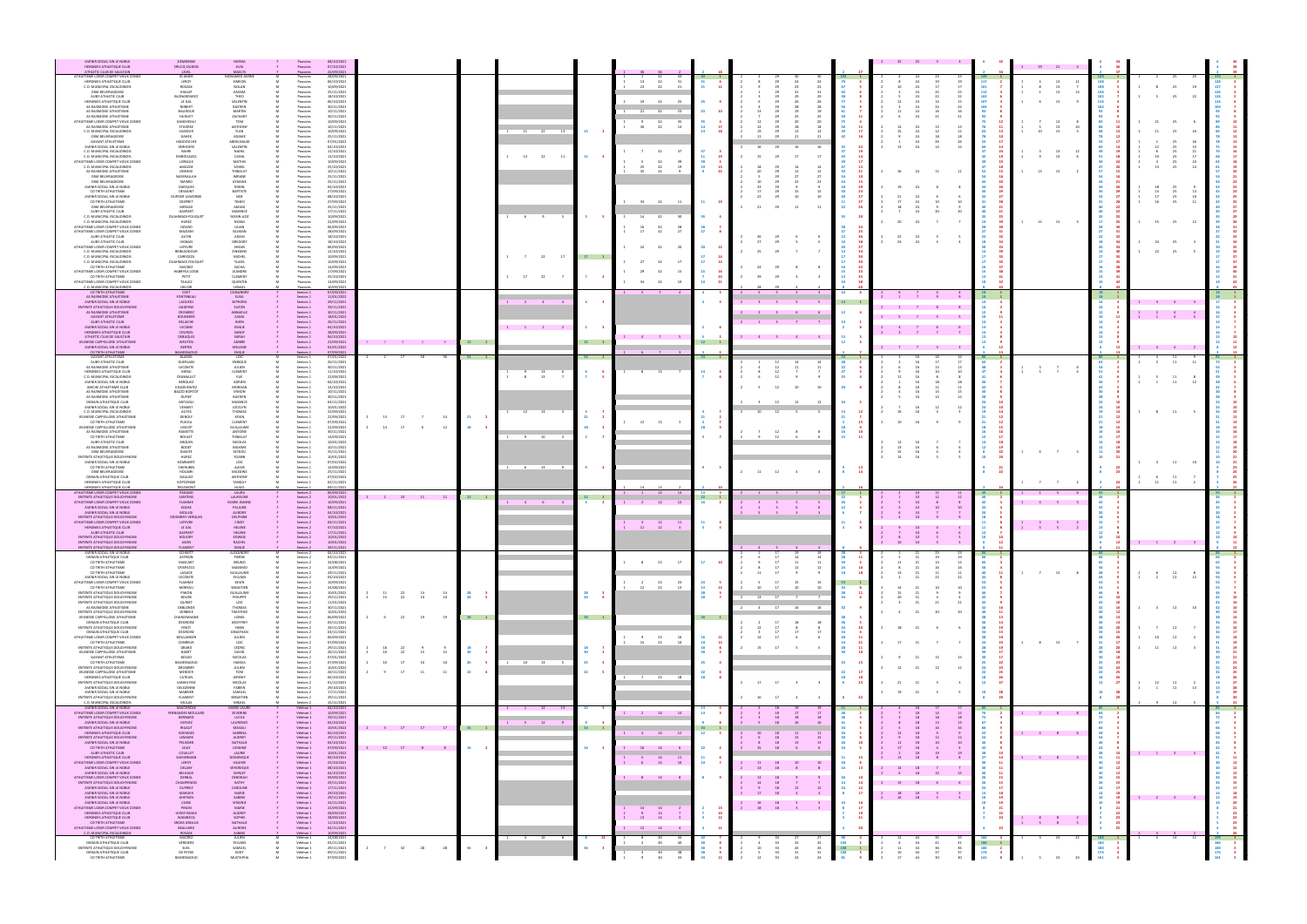| AVENIR SOCIAL SIN LE NOBLE                                                                  | ZIEMBINSKI                                       | <b>MONIA</b>                                        | F.          | Poussins                            | 08/10/2021                             |
|---------------------------------------------------------------------------------------------|--------------------------------------------------|-----------------------------------------------------|-------------|-------------------------------------|----------------------------------------|
| HERGNIES ATHLETIQUE CLUB                                                                    | <b>CRUCQ-DUBOIS</b>                              | <b>LIVIA</b>                                        | F           | Poussins                            | 07/10/2021                             |
| ATHLETIC CLUB DE SAULTAIN                                                                   | <b>LEVEL</b>                                     | <b>MAELYS</b>                                       | F           | Poussins                            | 24/09/2021                             |
| ATHLETISME LOISIR COMPET VIEUX CONDE                                                        | <b>ID AMER</b>                                   | MOHAMED AMINE                                       | M           | Poussins                            | 28/09/2021                             |
| <b>HERGNIES ATHLETIQUE CLUB</b>                                                             | <b>LEROY</b>                                     | <b>SIMEON</b>                                       | M           | Poussins                            | 06/10/2021                             |
| C.O. MUNICIPAL ESCAUDINOIS                                                                  | <b>ROSZAK</b>                                    | <b>NOLAN</b>                                        | M           | Poussins                            | 10/09/2021                             |
| OSM BEUVRAGEOISE                                                                            | <b>KHALEF</b>                                    | <b>KASSIM</b>                                       | M           | Poussins                            | 25/11/2021                             |
| <b>AUBY ATHLETIC CLUB</b>                                                                   | <b>BLONAROWICZ</b>                               | <b>THEO</b>                                         | M           | Poussins                            | 18/10/2021                             |
| HERGNIES ATHLETIQUE CLUB                                                                    | LE GAL                                           | VALENTIN                                            | M           | Poussins                            | 06/10/2021                             |
| AS RAISMOISE ATHLETISME                                                                     | <b>ROBERT</b>                                    | <b>BASTIEN</b>                                      | M           | Poussins                            | 30/11/2021                             |
| AS RAISMOISE ATHLETISME                                                                     | <b>BAUDOUX</b>                                   | <b>MARTIN</b>                                       | M           | Poussins                            | 10/11/2021                             |
| AS RAISMOISE ATHLETISME                                                                     | <b>HUGUET</b>                                    | ZACHARY                                             | M           | Poussins                            | 30/11/2021                             |
| ATHLETISME LOISIR COMPET VIEUX CONDE                                                        | <b>GANCHEGUI</b>                                 | <b>TOM</b>                                          | M           | Poussins                            | 10/09/2021                             |
| AS RAISMOISE ATHLETISME                                                                     | <b>STHOREZ</b>                                   | <b>ANTHONY</b>                                      | M           | Poussins                            | 10/11/2021                             |
| C.O. MUNICIPAL ESCAUDINOIS                                                                  | VASSEUR                                          | <b>YLAN</b>                                         | M           | Poussins                            | 10/09/2021                             |
| OSM BEUVRAGEOISE                                                                            | <b>DAHEK</b>                                     | ADAME                                               | M           | Poussins                            | 25/11/2021                             |
| <b>GAYANT ATHLETISME</b>                                                                    | <b>HADDOUCHE</b>                                 | ABDELMAJID                                          | M           | Poussins                            | 07/01/2022                             |
| AVENIR SOCIAL SIN LE NOBLE                                                                  | <b>VERHOEYE</b>                                  | VALENTIN                                            | M           | Poussins                            | 04/10/2021                             |
| C.O. MUNICIPAL ESCAUDINOIS                                                                  | <b>BAHRI</b>                                     | <b>NAHEL</b>                                        | M           | Poussins                            | 12/10/2021                             |
| C.O. MUNICIPAL ESCAUDINOIS                                                                  | EMBOUAZZA                                        | CAMIL                                               | M           | Poussins                            | 12/10/2021                             |
| ATHLETISME LOISIR COMPET VIEUX CONDE                                                        | <b>LORIAUX</b>                                   | <b>MATHIS</b>                                       | M           | Poussins                            | 10/09/2021                             |
| C.O. MUNICIPAL ESCAUDINOIS                                                                  | AMAZOZ                                           | <b>SOHEIL</b>                                       | M           | Poussins                            | 25/10/2021                             |
| AS RAISMOISE ATHLETISME                                                                     | <b>DEBIEVE</b>                                   | <b>THIBAULT</b>                                     | M           | Poussins                            | 10/11/2021                             |
| OSM BEUVRAGEOISE                                                                            | NASSRALLAH                                       | <b>IMRANE</b>                                       | M           | Poussins                            | 25/11/2021                             |
| OSM BEUVRAGEOISE                                                                            | SMIMID                                           | AYMANE                                              | M           | Poussins                            | 25/11/2021                             |
| AVENIR SOCIAL SIN LE NOBLE                                                                  | <b>DARQUES</b>                                   | <b>ROBIN</b>                                        | M           | Poussins                            | 04/10/2021                             |
| CO TRITH ATHLETISME                                                                         | <b>DESSAINT</b>                                  | <b>BAPTISTE</b>                                     | M           | Poussins                            | 27/09/2021                             |
| AVENIR SOCIAL SIN LE NOBLE                                                                  | <b>DUPONT JAWORSKI</b>                           | <b>NOE</b>                                          | M           | Poussins                            | 08/10/2021                             |
| CO TRITH ATHLETISME                                                                         | <b>DESPRET</b>                                   | <b>TIMEO</b>                                        | M           | Poussins                            | 27/09/2021                             |
| OSM BEUVRAGEOISE                                                                            | <b>MESSAD</b>                                    | AMJAD                                               | M           | Poussins                            | 25/11/2021                             |
| AUBY ATHLETIC CLUB                                                                          | <b>GASPART</b>                                   | <b>MAXENCE</b>                                      | M           | Poussins                            | 17/11/2021                             |
| C.O. MUNICIPAL ESCAUDINOIS                                                                  | OUAHMADI-FOUQUET                                 | YASSIN-AZIZ                                         | M           | Poussins                            | 10/09/2021                             |
| C.O. MUNICIPAL ESCAUDINOIS                                                                  | <b>HUREZ</b>                                     | <b>NOAM</b>                                         | M           | Poussins                            | 22/09/2021                             |
| ATHLETISME LOISIR COMPET VIEUX CONDE                                                        | <b>OZIARD</b>                                    | LILIAN                                              | M           | Poussins                            | 06/09/2021                             |
| ATHLETISME LOISIR COMPET VIEUX CONDE                                                        | MAZIANI                                          | SALMAN                                              | M           | Poussins                            | 28/09/2021                             |
| <b>AUBY ATHLETIC CLUB</b>                                                                   | <b>AUTIN</b>                                     | ADAM                                                | M           | Poussins                            | 18/10/2021                             |
| <b>AUBY ATHLETIC CLUB</b>                                                                   | <b>VIGNAIS</b>                                   | <b>GREGORY</b>                                      | M           | Poussins                            | 18/10/2021                             |
| ATHLETISME LOISIR COMPET VIEUX CONDE                                                        | LEFEVRE                                          | SHEAN                                               | M           | Poussins                            | 06/09/2021                             |
| C.O. MUNICIPAL ESCAUDINOIS                                                                  | <b>BENKADDOUR</b>                                | ZINEDINE                                            | M           | Poussins                            | 12/10/2021                             |
| C.O. MUNICIPAL ESCAUDINOIS                                                                  | CARROZZA                                         | <b>MICHEL</b>                                       | M           | Poussins                            | 10/09/2021                             |
| C.O. MUNICIPAL ESCAUDINOIS                                                                  | <b>OUAHMADI FOUQUET</b>                          | <b>YLIASS</b>                                       | M           | Poussins                            | 10/09/2021                             |
| CO TRITH ATHLETISME                                                                         | <b>MACREZ</b>                                    | SACHA                                               | M           | Poussins                            | 14/09/2021                             |
| ATHLETISME LOISIR COMPET VIEUX CONDE                                                        | <b>HABRYKA LOSSE</b>                             | LEANDRE                                             | M           | Poussins                            | 17/09/2021                             |
| CO TRITH ATHLETISME                                                                         | <b>PETIT</b>                                     | <b>CLEMENT</b>                                      | M           | Poussins                            | 25/10/2021                             |
| ATHLETISME LOISIR COMPET VIEUX CONDE                                                        | <b>TAILLEZ</b><br><b>HELOIR</b>                  | <b>QUENTIN</b>                                      | M           | Poussins                            | 14/09/2021                             |
| C.O. MUNICIPAL ESCAUDINOIS                                                                  | <b>COET</b>                                      | LENAEL                                              | M           | Poussins                            | 10/09/2021                             |
| CO TRITH ATHLETISME                                                                         |                                                  | CASSANDRE                                           | F.          | Seniors 1                           | 07/09/2021                             |
| AS RAISMOISE ATHLETISME                                                                     | <b>FONTENEAU</b>                                 | <b>ELISA</b>                                        |             | Seniors 1                           | 11/01/2022                             |
| AVENIR SOCIAL SIN LE NOBLE                                                                  | <b>LAOUEDJ</b>                                   | <b>SEPHORA</b>                                      |             | Seniors 1                           | 29/11/2021                             |
| ENTENTE ATHLETIQUE DOUCHYNOISE                                                              | <b>GADEYNE</b>                                   | <b>SUZON</b>                                        |             | Seniors 1                           | 29/11/2021                             |
| AS RAISMOISE ATHLETISME                                                                     | <b>CROMBEZ</b>                                   | <b>ANNAELLE</b>                                     |             | Seniors 1                           | 30/11/2021                             |
| <b>GAYANT ATHLETISME</b>                                                                    | <b>BOUBEKER</b>                                  | <b>ASMA</b>                                         |             | Seniors 1                           | 18/01/2022                             |
| <b>AUBY ATHLETIC CLUB</b>                                                                   | <b>BELAICHE</b>                                  | <b>IMEN</b>                                         |             | Seniors 1                           | 26/11/2021                             |
| AVENIR SOCIAL SIN LE NOBLE                                                                  | <b>LECIGNE</b>                                   | <b>EMILIE</b>                                       | F           | Seniors 1                           | 04/10/2021                             |
| <b>HERGNIES ATHLETIQUE CLUB</b>                                                             | <b>COURCEL</b>                                   | SANDY                                               |             | Seniors 1                           | 28/09/2021                             |
| ATHLETIC CLUB DE SAULTAIN                                                                   | <b>DEBLIQUIS</b>                                 | <b>SARAH</b>                                        |             | Seniors 1                           | 06/10/2021                             |
| JEUNESSE CAPPELLOISE ATHLETISME                                                             | <b>WEUTEN</b>                                    | AMBRE                                               |             | Seniors 1                           | 22/09/2021                             |
| AVENIR SOCIAL SIN LE NOBLE                                                                  | <b>BERTIN</b>                                    | <b>MELANIE</b>                                      | F           | Seniors 1                           | 04/01/2022                             |
| CO TRITH ATHLETISME                                                                         | <b>BAMESSAOUD</b>                                | <b>EMILIE</b>                                       |             | Seniors 1                           | 07/09/2021                             |
| <b>GAYANT ATHLETISME</b>                                                                    | <b>BLASSEL</b>                                   | LOIC                                                | M           | Seniors 1                           | 07/01/2022                             |
| <b>AUBY ATHLETIC CLUB</b>                                                                   | <b>GUERLAIN</b>                                  | <b>ENRIQUE</b>                                      | M           | Seniors 1                           | 26/11/2021                             |
| AS RAISMOISE ATHLETISME                                                                     | <b>LECOMTE</b>                                   | <b>JULIEN</b>                                       | M           | Seniors 1                           | 30/11/2021                             |
| HERGNIES ATHLETIQUE CLUB                                                                    | MENU                                             | <b>CLEMENT</b>                                      | M           | Seniors 1                           | 11/10/2021                             |
| C.O. MUNICIPAL ESCAUDINOIS                                                                  | CRASNAULT                                        | ELIE                                                | M           | Seniors 1                           | 22/09/2021                             |
| AVENIR SOCIAL SIN LE NOBLE                                                                  | <b>BERQUEZ</b>                                   | <b>ADRIEN</b>                                       | M           | Seniors 1                           | 04/10/2021                             |
| ANICHE ATHLETISME CLUB                                                                      | KSIAZKIEWICZ                                     | <b>MORGAN</b>                                       | M           | Seniors 1                           | 13/10/2021                             |
| AS RAISMOISE ATHLETISME                                                                     | <b>BAZZO BORTOT</b>                              | SYMON                                               | M           | Seniors 1                           | 10/11/2021                             |
| AS RAISMOISE ATHLETISME                                                                     | <b>DUFIEF</b>                                    | <b>BASTIEN</b>                                      | M           | Seniors 1                           | 30/11/2021                             |
| <b>DENAIN ATHLETIQUE CLUB</b>                                                               | <b>METAOUI</b>                                   | <b>MAXENCE</b>                                      | M           | Seniors 1                           | 03/11/2021                             |
| AVENIR SOCIAL SIN LE NOBLE                                                                  | <b>VENANT</b>                                    | <b>JOCELYN</b>                                      | M           | Seniors 1                           | 10/01/2022                             |
| C.O. MUNICIPAL ESCAUDINOIS                                                                  | <b>AUTES</b>                                     | <b>THOMAS</b>                                       | M           | Seniors 1                           | 22/09/2021                             |
| JEUNESSE CAPPELLOISE ATHLETISME                                                             | <b>DENOLF</b>                                    | <b>KEVIN</b>                                        | M           | Seniors 1                           | 22/09/2021                             |
| CO TRITH ATHLETISME                                                                         | <b>PUKICA</b>                                    | <b>CLEMENT</b>                                      | M           | Seniors 1                           | 07/09/2021                             |
| JEUNESSE CAPPELLOISE ATHLETISME                                                             | <b>LESCOP</b>                                    | <b>GUILLAUME</b>                                    | M           | Seniors 1                           | 22/09/2021                             |
| AS RAISMOISE ATHLETISME                                                                     | RAMETTE                                          | <b>ANTOINE</b>                                      | M           | Seniors 1                           | 30/11/2021                             |
| CO TRITH ATHLETISME                                                                         | <b>BOULET</b>                                    | THIBAULT                                            | M           | Seniors 1                           | 14/09/2021                             |
| <b>AUBY ATHLETIC CLUB</b>                                                                   | <b>ARQUIN</b>                                    | <b>NICOLAS</b>                                      | M           | Seniors 1                           | 10/01/2022                             |
| AS RAISMOISE ATHLETISME                                                                     | <b>BODET</b>                                     | <b>MAXIME</b>                                       | M           | Seniors 1                           | 10/11/2021                             |
| OSM BEUVRAGEOISE                                                                            | <b>DIAKITE</b>                                   | SEYDOU                                              | M           | Seniors 1                           | 25/11/2021                             |
| ENTENTE ATHLETIQUE DOUCHYNOISE                                                              | <b>HUREZ</b>                                     | <b>YOANN</b>                                        | M           | Seniors 1                           | 10/01/2022                             |
| AVENIR SOCIAL SIN LE NOBLE                                                                  | SOMBAERT                                         | LOIC                                                | M           | Seniors 1                           | 07/02/2022                             |
| CO TRITH ATHLETISME                                                                         | <b>CHERUBIN</b>                                  | <b>ALEXIS</b>                                       | M           | Seniors 1                           | 14/09/2021                             |
| OSM BEUVRAGEOISE                                                                            | <b>HOUAIRI</b>                                   | <b>MILEDINE</b>                                     | M           | Seniors 1                           | 25/11/2021                             |
| DENAIN ATHLETIQUE CLUB                                                                      | <b>GAILLIEZ</b>                                  | <b>ANTHONY</b>                                      | M           | Seniors 1                           | 07/02/2022                             |
| HERGNIES ATHLETIQUE CLUB                                                                    | <b>KOPCZINSKI</b>                                | <b>TANGUY</b>                                       | M           | Seniors 1                           | 02/11/2021                             |
| HERGNIES ATHLETIQUE CLUB                                                                    | <b>TIRLEMONT</b>                                 | <b>HUGO</b>                                         | M           | Seniors 1                           | 09/11/2021                             |
| ATHLETISME LOISIR COMPET VIEUX CONDE                                                        | <b>PAGANO</b>                                    | <b>LAURA</b>                                        | F.          | Seniors 2                           | 06/09/2021                             |
| ENTENTE ATHLETIQUE DOUCHYNOISE                                                              | <b>SANTENS</b>                                   | <b>LAURELINE</b>                                    | F           | Seniors 2                           | 10/01/2022                             |
| ATHLETISME LOISIR COMPET VIEUX CONDE                                                        | <b>FLAMME</b>                                    | <b>MARIE JEANNE</b>                                 | F           | Seniors 2                           | 10/09/2021                             |
| AVENIR SOCIAL SIN LE NOBLE                                                                  | <b>KOZAK</b>                                     | <b>PAULINE</b>                                      |             | Seniors 2                           | 08/11/2021                             |
| AVENIR SOCIAL SIN LE NOBLE                                                                  | <b>MOULDI</b>                                    | <b>AURORE</b>                                       |             | Seniors 2                           | 04/10/2021                             |
| ENTENTE ATHLETIQUE DOUCHYNOISE                                                              | DROMBRY-VERQUIN                                  | <b>DELPHINE</b>                                     | F           | Seniors 2                           | 10/01/2022                             |
| ATHLETISME LOISIR COMPET VIEUX CONDE                                                        | <b>LEFEVRE</b>                                   | <b>CINDY</b>                                        |             | Seniors 2                           | 04/11/2021                             |
| HERGNIES ATHLETIQUE CLUB                                                                    | LE GAL                                           | <b>HELENE</b>                                       | F           | Seniors 2                           | 07/10/2021                             |
| AUBY ATHLETIC CLUB                                                                          | <b>GASPART</b>                                   | <b>HELENE</b>                                       | F.          | Seniors 2                           | 17/11/2021                             |
| ENTENTE ATHLETIQUE DOUCHYNOISE<br>ENTENTE ATHLETIQUE DOUCHYNOISE                            | <b>BOUDRY</b><br><b>LISON</b>                    | <b>EDWIGE</b><br><b>RACHEL</b>                      | F           | Seniors 2<br>Seniors <sub>2</sub>   | 10/01/2022                             |
| ENTENTE ATHLETIQUE DOUCHYNOISE                                                              | <b>FLAMENT</b>                                   | <b>EMILIE</b>                                       | F           | Seniors 2                           | 10/01/2022                             |
| AVENIR SOCIAL SIN LE NOBLE                                                                  | <b>SCHMITT</b>                                   | ALEXANDRE                                           | M           |                                     | 29/11/2021                             |
| DENAIN ATHLETIQUE CLUB<br>CO TRITH ATHLETISME                                               | <b>ASTRION</b><br><b>MASCART</b>                 | PIERRE<br><b>BRUNO</b>                              | M<br>M      | Seniors 2<br>Seniors 2<br>Seniors 2 | 04/10/2021<br>03/11/2021<br>24/08/2021 |
| CO TRITH ATHLETISME                                                                         | CRISPATZU                                        | <b>MASSIMO</b>                                      | M           | Seniors 2                           | 14/09/2021                             |
| CO TRITH ATHLETISME                                                                         | LAGACE                                           | <b>GUILLAUME</b>                                    | M           | Seniors 2                           | 29/11/2021                             |
| AVENIR SOCIAL SIN LE NOBLE                                                                  | <b>LECOMTE</b>                                   | SYLVAIN                                             | M           | Seniors 2                           | 04/10/2021                             |
| ATHLETISME LOISIR COMPET VIEUX CONDE                                                        | <b>FLAMME</b>                                    | <b>KEVIN</b>                                        | M           | Seniors 2                           | 10/09/2021                             |
| CO TRITH ATHLETISME                                                                         | <b>MOREAU</b>                                    | SEBASTIEN                                           | M           | Seniors 2                           | 24/08/2021                             |
| ENTENTE ATHLETIQUE DOUCHYNOISE                                                              | PIWON                                            | <b>GUILLAUME</b>                                    | M           | Seniors 2                           | 10/01/2022                             |
| ENTENTE ATHLETIQUE DOUCHYNOISE                                                              | <b>BOURE</b>                                     | <b>PHILIPPE</b>                                     | M           | Seniors 2                           | 29/11/2021                             |
| ENTENTE ATHLETIQUE DOUCHYNOISE                                                              | <b>QUINET</b>                                    | LOIC                                                | M           | Seniors 2                           | 11/01/2022                             |
| AS RAISMOISE ATHLETISME                                                                     | <b>DEBLONDE</b>                                  | <b>THOMAS</b>                                       | M           | Seniors 2                           | 30/11/2021                             |
| ENTENTE ATHLETIQUE DOUCHYNOISE<br>JEUNESSE CAPPELLOISE ATHLETISME<br>DENAIN ATHLETIQUE CLUB | <b>VERBEKE</b><br>CHARLEMAGNE<br><b>DEGROISE</b> | <b>TIMOTHEE</b><br><b>LIONEL</b><br><b>GEOFFREY</b> | M<br>M      | Seniors 2<br>Seniors 2              | 10/01/2022<br>06/09/2021               |
| ENTENTE ATHLETIQUE DOUCHYNOISE<br>DENAIN ATHLETIQUE CLUB                                    | <b>FINOT</b><br><b>DEGROISE</b>                  | <b>YANN</b><br><b>JONATHAN</b>                      | M<br>M      | Seniors 2<br>Seniors 2              | 03/11/2021<br>29/11/2021<br>03/11/2021 |
| ATHLETISME LOISIR COMPET VIEUX CONDE<br>CO TRITH ATHLETISME                                 | <b>BOULANGER</b><br><b>CONREUR</b>               | <b>JULIEN</b><br>LOIC                               | M<br>M<br>M | Seniors 2<br>Seniors 2<br>Seniors 2 | 06/09/2021<br>07/09/2021               |
| ENTENTE ATHLETIQUE DOUCHYNOISE                                                              | GRARD                                            | <b>CEDRIC</b>                                       | M           | Seniors 2                           | 29/11/2021                             |
| JEUNESSE CAPPELLOISE ATHLETISME                                                             | <b>BAERT</b>                                     | <b>DAVID</b>                                        | M           | Seniors 2                           | 26/11/2021                             |
| <b>GAYANT ATHLETISME</b>                                                                    | <b>BOLDO</b>                                     | <b>NICOLAS</b>                                      | M           | Seniors 2                           | 07/01/2022                             |
| CO TRITH ATHLETISME                                                                         | <b>BAMESSAOUD</b>                                | HAMZA                                               | M           | Seniors 2                           | 07/09/2021                             |
| ENTENTE ATHLETIQUE DOUCHYNOISE                                                              | <b>DROMBRY</b>                                   | <b>JULIEN</b>                                       | M           | Seniors 2                           | 10/01/2022                             |
| JEUNESSE CAPPELLOISE ATHLETISME                                                             | <b>MERCIER</b>                                   | <b>TOM</b>                                          | M           | Seniors 2                           | 26/11/2021                             |
| HERGNIES ATHLETIQUE CLUB                                                                    | <b>CATELIN</b>                                   | <b>JEREMY</b>                                       | M           | Seniors 2                           | 06/10/2021                             |
| ENTENTE ATHLETIQUE DOUCHYNOISE                                                              | VANHUYSSE                                        | <b>NICOLAS</b>                                      | M           | Seniors 2                           | 01/12/2021                             |
| AVENIR SOCIAL SIN LE NOBLE                                                                  | DELEZENNE                                        | <b>FABIEN</b>                                       | M           | Seniors 2                           | 29/10/2021                             |
| AVENIR SOCIAL SIN LE NOBLE                                                                  | <b>MABRIER</b>                                   | SAMUEL                                              | M           | Seniors 2                           | 17/11/2021                             |
| ENTENTE ATHLETIQUE DOUCHYNOISE                                                              | <b>FLAMENT</b>                                   | SEBASTIEN                                           | M           | Seniors 2                           | 29/11/2021                             |
| C.O. MUNICIPAL ESCAUDINOIS                                                                  | <b>MULAS</b>                                     | MIKAEL                                              | M           | Seniors 2                           | 15/11/2021                             |
| AVENIR SOCIAL SIN LE NOBLE                                                                  | <b>MAJCHRZAK</b>                                 | MARIE-LAURE                                         | F.          | Vétéran 1                           | 04/10/2021                             |
| ATHLETISME LOISIR COMPET VIEUX CONDE                                                        | <b>FERNANDES MOULARD</b>                         | <b>SEVERINE</b>                                     |             | Vétéran 1                           | 10/09/2021                             |
| ENTENTE ATHLETIQUE DOUCHYNOISE                                                              | <b>BERNARD</b>                                   | <b>LUCILE</b>                                       |             | Vétéran 1                           | 29/11/2021                             |
| AVENIR SOCIAL SIN LE NOBLE                                                                  | <b>CAPLIEZ</b>                                   | <b>LAURENCE</b>                                     |             | Vétéran 1                           | 04/10/2021                             |
| ENTENTE ATHLETIQUE DOUCHYNOISE                                                              | <b>RIGAUT</b>                                    | <b>MAGALI</b>                                       |             | Vétéran 1                           | 10/01/2022                             |
| <b>HERGNIES ATHLETIQUE CLUB</b>                                                             | <b>GOEMAES</b>                                   | <b>SABRINA</b>                                      |             | Vétéran 1                           | 06/10/2021                             |
| <b>ENTENTE ATHLETIQUE DOUCHYNOISE</b>                                                       | <b>LEMAIRE</b>                                   | <b>AUDREY</b>                                       |             | Vétéran 1                           | 29/11/2021                             |
| AVENIR SOCIAL SIN LE NOBLE                                                                  | <b>PELISSIER</b>                                 | <b>NATHALIE</b>                                     |             | Vétéran 1                           | 04/10/2021                             |
| CO TRITH ATHLETISME                                                                         | LEJAY                                            | <b>LIDWINE</b>                                      |             | Vétéran 1                           | 07/09/2021                             |
| <b>AUBY ATHLETIC CLUB</b>                                                                   | <b>COUILLET</b>                                  | LAURIE                                              |             | Vétéran 1                           | 10/01/2022                             |
| <b>HERGNIES ATHLETIQUE CLUB</b>                                                             | SAEGERMAN                                        | <b>DOMINIQUE</b>                                    |             | Vétéran 1                           | 06/10/2021                             |
| ATHLETISME LOISIR COMPET VIEUX CONDE                                                        | <b>LEROY</b>                                     | <b>VALERIE</b>                                      |             | Vétéran 1                           | 25/10/2021                             |
| AVENIR SOCIAL SIN LE NOBLE                                                                  | <b>DELABY</b>                                    | <b>VERONIQUE</b>                                    |             | Vétéran 1                           | 08/10/2021                             |
| AVENIR SOCIAL SIN LE NOBLE                                                                  | <b>BELHADJI</b>                                  | <b>SHIRLEY</b>                                      |             | Vétéran 1                           | 04/10/2021                             |
| ATHLETISME LOISIR COMPET VIEUX CONDE                                                        | <b>DERBAL</b>                                    | <b>DEBORAH</b>                                      |             | Vétéran 1                           | 09/09/2021                             |
| <b>ENTENTE ATHLETIQUE DOUCHYNOISE</b>                                                       | <b>CHAMPENOIS</b>                                | <b>KATHY</b>                                        |             | Vétéran 1                           | 29/11/2021                             |
| AVENIR SOCIAL SIN LE NOBLE                                                                  | <b>DUPRIEZ</b>                                   | <b>CAROLINE</b>                                     |             | Vétéran 1                           | 17/11/2021                             |
| AVENIR SOCIAL SIN LE NOBLE                                                                  | <b>MARLIER</b>                                   | <b>MARIE</b>                                        |             | Vétéran 1                           | 29/10/2021                             |
| AVENIR SOCIAL SIN LE NOBLE                                                                  | <b>GHEYSEN</b>                                   | <b>SABINE</b>                                       |             | Vétéran 1                           | 29/11/2021                             |
| AVENIR SOCIAL SIN LE NOBLE                                                                  | CASSE                                            | <b>VIRGINIE</b>                                     |             | Vétéran 1                           | 24/11/2021                             |
| ATHLETISME LOISIR COMPET VIEUX CONDE                                                        | <b>PINON</b>                                     | <b>MARIE</b>                                        |             | Vétéran 1                           | 22/09/2021                             |
| HERGNIES ATHLETIQUE CLUB                                                                    | LEROY-BASILE                                     | <b>AUDREY</b>                                       |             | Vétéran 1                           | 28/09/2021                             |
| HERGNIES ATHLETIQUE CLUB                                                                    | <b>WAMBECQ</b>                                   | <b>SOPHIE</b>                                       |             | Vétéran 1                           | 28/09/2021                             |
| CO TRITH ATHLETISME                                                                         | <b>SROKA GREAUX</b>                              | <b>NATHALIE</b>                                     |             | Vétéran 1                           | 11/10/2021                             |
| ATHLETISME LOISIR COMPET VIEUX CONDE                                                        | <b>BEAUJARD</b>                                  | <b>AURORE</b>                                       |             | Vétéran 1                           | 04/11/2021                             |
| C.O. MUNICIPAL ESCAUDINOIS<br>CO TRITH ATHLETISME                                           |                                                  |                                                     | F           | Vétéran 1                           | 10/09/2021                             |
|                                                                                             | <b>ROSZAK</b><br><b>MACREZ</b>                   | <b>SABINE</b><br><b>JULIEN</b>                      | M           | Vétéran 1                           | 24/08/2021                             |
| DENAIN ATHLETIQUE CLUB                                                                      | <b>VERDIERE</b>                                  | SYLVAIN                                             | M           | Vétéran 1                           | 03/11/2021                             |
| ENTENTE ATHLETIQUE DOUCHYNOISE                                                              | <b>SUEL</b>                                      | SAMUEL                                              | M           | Vétéran 1                           | 29/11/2021                             |
| DENAIN ATHLETIQUE CLUB                                                                      | DE RYCKE                                         | EDDY                                                | M           | Vétéran 1                           | 09/11/2021                             |

|                                  | 7 22 17<br>$17$ 17                     | $17 \qquad 42 \qquad 27$<br>$27$ 8<br>24 42 20<br>12 |                      |                 |  |
|----------------------------------|----------------------------------------|------------------------------------------------------|----------------------|-----------------|--|
|                                  |                                        |                                                      |                      |                 |  |
|                                  | $2 \t 4 \t 4$<br>$1 \qquad 1 \qquad 2$ | $4^{\circ}$ 3                                        | $12 \qquad \qquad 4$ |                 |  |
| - 36<br>$54$ 1                   | $12 \t 1$<br>$54$ 1                    | $54$ 1                                               |                      |                 |  |
| 14                               |                                        |                                                      |                      |                 |  |
| 12                               |                                        |                                                      |                      | 10 <sup>1</sup> |  |
|                                  | 13 9                                   |                                                      |                      |                 |  |
| 11                               |                                        |                                                      |                      |                 |  |
|                                  |                                        |                                                      |                      |                 |  |
| 14<br>10<br>10<br>22<br>15<br>20 |                                        |                                                      | 32 <sup>7</sup>      | 53              |  |
| 19                               | 38<br>$\blacksquare$<br><b>18</b>      |                                                      | $\overline{10}$      |                 |  |
| 10<br>11<br>$22$ 4               | $22 \hspace{1.5cm} 5$                  | 23                                                   | 25 15<br>22 17       |                 |  |
| $\overline{\mathbf{34}}$<br>17   | 12 13<br>34                            |                                                      |                      | 29              |  |
|                                  |                                        | 14 12<br>14 11<br>14<br>10                           |                      |                 |  |
|                                  |                                        | 14                                                   |                      | $16$ $18$       |  |
|                                  | 12                                     | 11                                                   |                      | 23              |  |
|                                  |                                        |                                                      |                      |                 |  |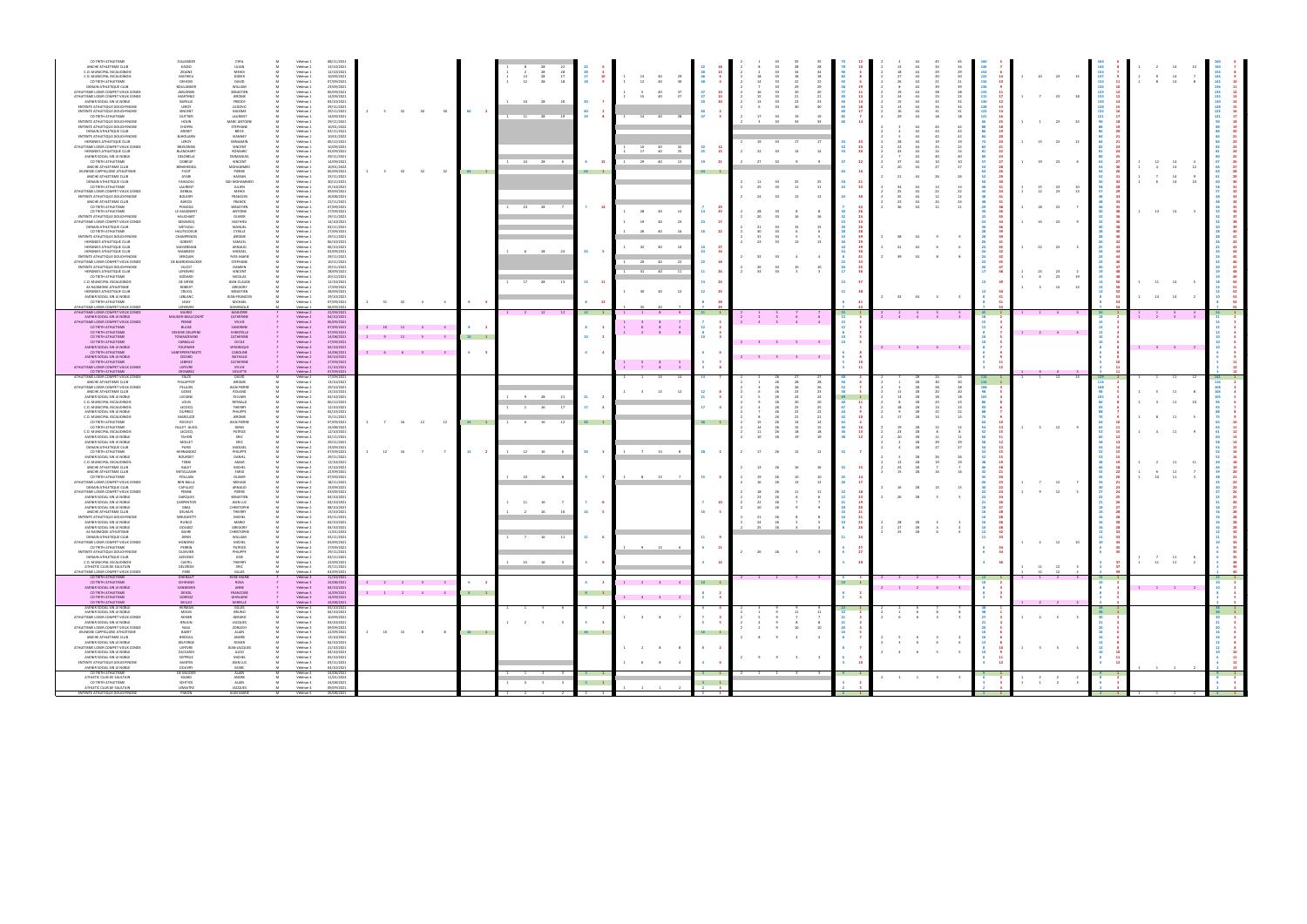| CO TRITH ATHLETISME                                                     | <b>ELSLANDER</b>                    | <b>CYRIL</b>                        | M         | Vétéran 1              | 08/11/2021               |
|-------------------------------------------------------------------------|-------------------------------------|-------------------------------------|-----------|------------------------|--------------------------|
| ANICHE ATHLETISME CLUB                                                  | <b>KACED</b>                        | LILIAN                              | M         | Vétéran 1              | 13/10/2021               |
| C.O. MUNICIPAL ESCAUDINOIS                                              | ZIDANE                              | <b>MEHDI</b>                        | M         | Vétéran 1              | 12/10/2021               |
| <b>C.O. MUNICIPAL ESCAUDINOIS</b>                                       | <b>MATHIEU</b>                      | <b>DIDIER</b>                       | M         | Vétéran 1              | 10/09/2021               |
| CO TRITH ATHLETISME                                                     | <b>DEHOVE</b>                       | <b>DAVID</b>                        | M         | Vétéran 1              | 07/09/2021               |
| DENAIN ATHLETIQUE CLUB                                                  | <b>BOULANGER</b>                    | <b>WILLIAM</b>                      | M         | Vétéran 1              | 23/09/2021               |
| ATHLETISME LOISIR COMPET VIEUX CONDE                                    | <b>JABLONSKI</b>                    | SEBASTIEN                           | M         | Vétéran 1              | 06/09/2021               |
| ATHLETISME LOISIR COMPET VIEUX CONDE<br>AVENIR SOCIAL SIN LE NOBLE      | <b>MARTINEZ</b>                     | <b>JEROME</b><br><b>FREDDY</b>      | M         | Vétéran 1<br>Vétéran 1 | 14/09/2021               |
| ENTENTE ATHLETIQUE DOUCHYNOISE                                          | <b>BARELLE</b><br><b>LEROY</b>      | <b>LUDOVIC</b>                      | M<br>M    | Vétéran 1              | 04/10/2021<br>29/11/2021 |
| ENTENTE ATHLETIQUE DOUCHYNOISE                                          | <b>VINCENT</b>                      | <b>MAXIME</b>                       | M         | Vétéran 1              | 29/11/2021               |
| CO TRITH ATHLETISME                                                     | <b>OUTTIER</b>                      | LAURENT                             | M         | Vétéran 1              | 14/09/2021               |
| ENTENTE ATHLETIQUE DOUCHYNOISE                                          | <b>HOLIN</b>                        | <b>MARC ANTOINE</b>                 | M         | Vétéran 1              | 29/11/2021               |
| ENTENTE ATHLETIQUE DOUCHYNOISE                                          | <b>CHOPIN</b>                       | <b>STEPHANE</b>                     | M         | Vétéran 1              | 10/01/2022               |
| DENAIN ATHLETIQUE CLUB                                                  | <b>MENET</b>                        | <b>BRICE</b>                        | M         | Vétéran 1              | 03/11/2021               |
| ENTENTE ATHLETIQUE DOUCHYNOISE                                          | <b>NIHOUARN</b>                     | <b>VIANNEY</b>                      | M         | Vétéran 1              | 10/01/2022               |
| HERGNIES ATHLETIQUE CLUB                                                | <b>LEROY</b>                        | <b>BENJAMIN</b>                     | M         | Vétéran 1              | 06/12/2021               |
| ATHLETISME LOISIR COMPET VIEUX CONDE                                    | <b>BRZEZINSKI</b>                   | <b>VINCENT</b>                      | M         | Vétéran 1              | 10/09/2021               |
| HERGNIES ATHLETIQUE CLUB                                                | <b>BLANCHART</b>                    | <b>ROMARIC</b>                      | M         | Vétéran 1              | 03/09/2021               |
| AVENIR SOCIAL SIN LE NOBLE                                              | <b>DELOBELLE</b>                    | <b>EMMANUEL</b>                     | M         | Vétéran 1              | 29/11/2021               |
| CO TRITH ATHLETISME                                                     | <b>DOBEUF</b>                       | <b>VINCENT</b>                      | M         | Vétéran 1              | 14/09/2021               |
| ANICHE ATHLETISME CLUB                                                  | <b>BENKHEDDA</b>                    | MOHAMMED                            | M         | Vétéran 1              | 10/01/2022               |
| JEUNESSE CAPPELLOISE ATHLETISME                                         | <b>FICOT</b>                        | PIERRE                              | M         | Vétéran 1              | 06/09/2021               |
| ANICHE ATHLETISME CLUB                                                  | AYARI                               | <b>HASSAN</b>                       | M         | Vétéran 1              | 23/11/2021               |
| DENAIN ATHLETIQUE CLUB                                                  | YAHIAOUI                            | SIDI MOHAMMED                       | M         | Vétéran 1              | 30/11/2021               |
| CO TRITH ATHLETISME                                                     | <b>LAURENT</b>                      | <b>JULIEN</b>                       | M         | Vétéran 1              | 25/10/2021               |
| ATHLETISME LOISIR COMPET VIEUX CONDE                                    | DERBAL                              | <b>MEHDI</b>                        | M         | Vétéran 1              | 09/09/2021               |
| ENTENTE ATHLETIQUE DOUCHYNOISE                                          | <b>BOUDRY</b>                       | <b>FRANCOIS</b>                     | M         | Vétéran 1              | 26/08/2021               |
| ANICHE ATHLETISME CLUB                                                  | <b>BAROLI</b>                       | <b>FRANCK</b>                       | M         | Vétéran 1              | 22/11/2021               |
| CO TRITH ATHLETISME                                                     | <b>POGODA</b>                       | SEBASTIEN                           | M         | Vétéran 1              | 07/09/2021               |
| CO TRITH ATHLETISME                                                     | LE MAIGNENT                         | <b>ANTOINE</b>                      | M         | Vétéran 1              | 27/09/2021               |
| ENTENTE ATHLETIQUE DOUCHYNOISE                                          | <b>HAUCHART</b>                     | <b>OLIVIER</b>                      | M         | Vétéran 1              | 29/11/2021               |
| ATHLETISME LOISIR COMPET VIEUX CONDE                                    | <b>DEMARCQ</b><br><b>METAOUI</b>    | MATHIEU                             | M         | Vétéran 1<br>Vétéran 1 | 14/10/2021<br>03/11/2021 |
| DENAIN ATHLETIQUE CLUB<br>CO TRITH ATHLETISME                           | <b>HAUTECOEUR</b>                   | MANUEL<br><b>CYRILLE</b>            | M<br>M    | Vétéran 1              | 27/09/2021               |
| ENTENTE ATHLETIQUE DOUCHYNOISE                                          | <b>CHAMPENOIS</b>                   | <b>JEROME</b>                       | M         | Vétéran 1              | 29/11/2021               |
| HERGNIES ATHLETIQUE CLUB                                                | <b>GOBERT</b>                       | SAMUEL                              | M         | Vétéran 1              | 06/10/2021               |
| HERGNIES ATHLETIQUE CLUB                                                | SAEGERMAN                           | <b>ARNAUD</b>                       | M         | Vétéran 1              | 06/10/2021               |
| <b>HERGNIES ATHLETIQUE CLUB</b>                                         | <b>WAMBECK</b>                      | <b>MICKAEL</b>                      | M         | Vétéran 1              | 03/09/2021               |
| ENTENTE ATHLETIQUE DOUCHYNOISE                                          | <b>VERQUIN</b>                      | <b>YVES-MARIE</b>                   | M         | Vétéran 1              | 29/11/2021               |
| ATHLETISME LOISIR COMPET VIEUX CONDE                                    | DE BAERDEMACKER                     | <b>STEPHANE</b>                     | M         | Vétéran 1              | 10/11/2021               |
| ENTENTE ATHLETIQUE DOUCHYNOISE                                          | <b>VILCOT</b>                       | <b>DAMIEN</b>                       | M         | Vétéran 1              | 29/11/2021               |
| HERGNIES ATHLETIQUE CLUB                                                | LEFEBVRE                            | <b>VINCENT</b>                      | M         | Vétéran 1              | 28/09/2021               |
| CO TRITH ATHLETISME                                                     | GODARD                              | <b>NICOLAS</b>                      | M         | Vétéran 1              | 20/12/2021               |
| C.O. MUNICIPAL ESCAUDINOIS                                              | DE GRYSE                            | JEAN-CLAUDE                         | M         | Vétéran 1              | 12/10/2021               |
| AS RAISMOISE ATHLETISME                                                 | <b>ROBERT</b>                       | <b>GREGORY</b>                      | M         | Vétéran 1              | 17/09/2021               |
| HERGNIES ATHLETIQUE CLUB                                                | <b>CRUCQ</b>                        | SEBASTIEN                           | M         | Vétéran 1              | 28/09/2021               |
| AVENIR SOCIAL SIN LE NOBLE                                              | <b>LEBLANC</b>                      | <b>JEAN-FRANCOIS</b>                | M         | Vétéran 1              | 29/10/2021               |
| CO TRITH ATHLETISME                                                     | LEJAY                               | <b>MICHAEL</b>                      | M         | Vétéran 1              | 07/09/2021               |
| ATHLETISME LOISIR COMPET VIEUX CONDE                                    | LEFEBVRE                            | <b>DOMINIQUE</b>                    | M         | Vétéran 1              | 06/09/2021               |
| ATHLETISME LOISIR COMPET VIEUX CONDE                                    | <b>MUREZ</b>                        | <b>MARJORIE</b>                     | F.        | Vétéran 2              | 22/09/2021               |
| AVENIR SOCIAL SIN LE NOBLE                                              | MAUGER-BEAUCOURT                    | <b>CATHERINE</b>                    | F         | Vétéran 2              | 04/10/2021               |
| ATHLETISME LOISIR COMPET VIEUX CONDE                                    | <b>PENNE</b>                        | <b>SYLVIE</b>                       | F         | Vétéran 2              | 06/09/2021               |
| CO TRITH ATHLETISME                                                     | <b>BLAISE</b>                       | SANDRINE                            | F         | Vétéran 2              | 07/09/2021               |
| CO TRITH ATHLETISME                                                     | <b>DEHOVE DELEPINE</b>              | <b>CHRISTELLE</b>                   | F         | Vétéran 2              | 07/09/2021               |
| CO TRITH ATHLETISME                                                     | <b>TOMASZEWSKI</b>                  | <b>CATHERINE</b>                    |           | Vétéran 2              | 24/08/2021               |
| CO TRITH ATHLETISME                                                     | <b>CARBALLO</b>                     | <b>CECILE</b>                       |           | Vétéran 2              | 27/09/2021               |
| AVENIR SOCIAL SIN LE NOBLE                                              | <b>FOURNIER</b>                     | <b>VERONIQUE</b>                    | F         | Vétéran 2              | 04/10/2021               |
| CO TRITH ATHLETISME                                                     | VANPEPERSTRAETE                     | <b>CAROLINE</b>                     |           | Vétéran 2              | 24/08/2021               |
| AVENIR SOCIAL SIN LE NOBLE                                              | <b>CEZARD</b>                       | <b>NATHALIE</b>                     |           | Vétéran 2              | 04/10/2021               |
| CO TRITH ATHLETISME                                                     | <b>LEBRIEZ</b>                      | <b>CATHERINE</b>                    |           | Vétéran 2              | 27/09/2021               |
| ATHLETISME LOISIR COMPET VIEUX CONDE<br>CO TRITH ATHLETISME             | <b>LEFEVRE</b><br><b>CROMBEZ</b>    | <b>SYLVIE</b><br><b>VIOLETTE</b>    | F<br>F    | Vétéran 2<br>Vétéran 2 | 21/10/2021               |
| ATHLETISME LOISIR COMPET VIEUX CONDE                                    | <b>FALCE</b>                        | <b>DAVID</b>                        | M         | Vétéran 2              | 07/09/2021<br>17/09/2021 |
| ANICHE ATHLETISME CLUB                                                  | PHILLIPPOT                          | <b>JEROME</b>                       | M         | Vétéran 2              | 13/10/2021               |
| ATHLETISME LOISIR COMPET VIEUX CONDE                                    | PELLION                             | <b>JEAN PIERRE</b>                  | M         | Vétéran 2              | 29/10/2021               |
| ANICHE ATHLETISME CLUB                                                  | GOSSE                               | <b>ROLAND</b>                       | M         | Vétéran 2              | 13/10/2021               |
| AVENIR SOCIAL SIN LE NOBLE                                              | <b>LECIGNE</b>                      | SYLVAIN                             | M         | Vétéran 2              | 04/10/2021               |
| <b>C.O. MUNICIPAL ESCAUDINOIS</b>                                       | LOUIS                               | REYNALD                             | M         | Vétéran 2              | 06/12/2021               |
| <b>C.O. MUNICIPAL ESCAUDINOIS</b>                                       | <b>LECOCQ</b>                       | <b>THIERRY</b>                      | M         | Vétéran 2              | 12/10/2021               |
| AVENIR SOCIAL SIN LE NOBLE                                              | <b>DUPRIEZ</b>                      | <b>PHILIPPE</b>                     | M         | Vétéran 2              | 04/10/2021               |
| <b>C.O. MUNICIPAL ESCAUDINOIS</b>                                       | <b>MARCUZZI</b>                     | <b>JEROME</b>                       | M         | Vétéran 2              | 15/11/2021               |
| CO TRITH ATHLETISME                                                     | <b>ROCHUT</b>                       | <b>JEAN PIERRE</b>                  | M         | Vétéran 2              | 07/09/2021               |
| CO TRITH ATHLETISME                                                     | <b>FALLET GUIOL</b>                 | <b>DENIS</b>                        | M         | Vétéran 2              | 24/08/2021               |
| <b>C.O. MUNICIPAL ESCAUDINOIS</b>                                       | <b>LECOCQ</b>                       | <b>PATRICE</b>                      | M         | Vétéran 2              | 12/10/2021               |
| AVENIR SOCIAL SIN LE NOBLE                                              | <b>TAHON</b>                        | <b>ERIC</b>                         | M         | Vétéran 2              | 02/11/2021               |
| AVENIR SOCIAL SIN LE NOBLE                                              | <b>MOLLET</b>                       | <b>ERIC</b>                         | M         | Vétéran 2              | 29/11/2021               |
| <b>DENAIN ATHLETIQUE CLUB</b>                                           | <b>PARIS</b>                        | <b>MICKAEL</b>                      | M         | Vétéran 2              | 23/09/2021               |
| CO TRITH ATHLETISME                                                     | HERNANDEZ                           | <b>PHILIPPE</b>                     | M         | Vétéran 2              | 07/09/2021               |
| AVENIR SOCIAL SIN LE NOBLE                                              | <b>BOURDET</b>                      | DANIEL                              | M         | Vétéran 2              | 29/11/2021               |
| C.O. MUNICIPAL ESCAUDINOIS                                              | <b>TEBBI</b>                        | AMAR                                | M         | Vétéran 2              | 12/10/2021               |
| ANICHE ATHLETISME CLUB                                                  | <b>BALET</b>                        | <b>MICHEL</b>                       | M         | Vétéran 2              | 13/10/2021               |
| ANICHE ATHLETISME CLUB                                                  | METALLAGHI                          | FARID                               | M         | Vétéran 2              | 22/09/2021               |
| CO TRITH ATHLETISME                                                     | <b>POULAIN</b>                      | <b>OLIVIER</b>                      | M         | Vétéran 2              | 07/09/2021               |
| ATHLETISME LOISIR COMPET VIEUX CONDE                                    | <b>BEN BALLA</b>                    | <b>MEHADI</b>                       | M         | Vétéran 2              | 18/11/2021               |
| DENAIN ATHLETIQUE CLUB                                                  | <b>CAPILLIEZ</b>                    | ARNAUD                              | M         | Vétéran 2              | 23/09/2021               |
| ATHLETISME LOISIR COMPET VIEUX CONDE                                    | <b>PENNE</b>                        | PIERRE                              | M         | Vétéran 2              | 03/09/2021               |
| AVENIR SOCIAL SIN LE NOBLE<br>AVENIR SOCIAL SIN LE NOBLE                | <b>DARQUES</b><br><b>CARPENTIER</b> | SEBASTIEN<br><b>JEAN LUC</b>        | M<br>M    | Vétéran 2<br>Vétéran 2 | 04/10/2021<br>04/10/2021 |
|                                                                         |                                     |                                     |           |                        |                          |
| AVENIR SOCIAL SIN LE NOBLE<br>ANICHE ATHLETISME CLUB                    | <b>GRAS</b><br>DELHAYE              | <b>CHRISTOPHE</b><br><b>THIERRY</b> | M<br>M    | Vétéran 2<br>Vétéran 2 | 08/10/2021<br>13/10/2021 |
| ENTENTE ATHLETIQUE DOUCHYNOISE                                          | <b>SERUGHETTI</b>                   | <b>MICHEL</b>                       | M         | Vétéran 2              | 03/11/2021               |
| AVENIR SOCIAL SIN LE NOBLE                                              | <b>RUNCO</b>                        | <b>MARIO</b>                        | M         | Vétéran 2              | 04/10/2021               |
| AVENIR SOCIAL SIN LE NOBLE                                              | <b>DOLIGEZ</b>                      | <b>GREGORY</b>                      | M         | Vétéran 2              | 04/10/2021               |
| AS RAISMOISE ATHLETISME                                                 | <b>BAHRI</b>                        | <b>CHRISTOPHE</b>                   | M         | Vétéran 2              | 11/01/2022               |
| DENAIN ATHLETIQUE CLUB                                                  | <b>DENIS</b>                        | WILLIAM                             | M         | Vétéran 2              | 03/11/2021               |
| ATHLETISME LOISIR COMPET VIEUX CONDE                                    | <b>HONOREZ</b>                      | <b>MICHEL</b>                       | M         | Vétéran 2              | 03/09/2021               |
| CO TRITH ATHLETISME                                                     | PERRIN                              | <b>PATRICK</b>                      | M         | Vétéran 2              | 27/09/2021               |
| ENTENTE ATHLETIQUE DOUCHYNOISE                                          | <b>DUVIVIER</b>                     | <b>PHILIPPE</b>                     | M         | Vétéran 2              | 29/11/2021               |
| DENAIN ATHLETIQUE CLUB                                                  | <b>AZEVEDO</b>                      | <b>JOSE</b>                         | M         | Vétéran 2              | 03/11/2021               |
| C.O. MUNICIPAL ESCAUDINOIS                                              | <b>CASTEL</b>                       | <b>THIERRY</b>                      | M         | Vétéran 2              | 22/09/2021               |
| ATHLETIC CLUB DE SAULTAIN                                               | <b>DELCROIX</b>                     | <b>ERIC</b>                         | M         | Vétéran 2              | 25/11/2021               |
| ATHLETISME LOISIR COMPET VIEUX CONDE                                    | <b>PERE</b>                         | <b>GILLES</b>                       | M         | Vétéran 2              | 03/09/2021               |
| CO TRITH ATHLETISME                                                     | <b>DHENAUT</b>                      | <b>ROSE MARIE</b>                   | F.        | Vétéran 3              | 11/10/2021               |
| CO TRITH ATHLETISME                                                     | <b>SCHIFANO</b>                     | <b>ROSA</b>                         |           | Vétéran 3              | 24/08/2021               |
| AVENIR SOCIAL SIN LE NOBLE                                              | <b>VANBESIEN</b>                    | <b>ANNE</b>                         |           | Vétéran 3              | 04/10/2021               |
| CO TRITH ATHLETISME                                                     | <b>DESOIL</b>                       | <b>FRANCOISE</b>                    |           | Vétéran 3              | 14/09/2021               |
| CO TRITH ATHLETISME                                                     | <b>GOROSZ</b>                       | <b>GHISLAINE</b>                    | F         | Vétéran 3              | 14/09/2021               |
| CO TRITH ATHLETISME                                                     | <b>SIELLEZ</b>                      | <b>MIREILLE</b>                     | F         | Vétéran 3              | 24/08/2021               |
| AVENIR SOCIAL SIN LE NOBLE                                              | <b>HERMAN</b>                       | <b>GILLES</b>                       | M         | Vétéran 3              | 04/10/2021               |
| AVENIR SOCIAL SIN LE NOBLE                                              | <b>MOGIS</b>                        | <b>BRUNO</b>                        | M         | Vétéran 3<br>Vétéran 3 | 04/10/2021               |
| ATHLETISME LOISIR COMPET VIEUX CONDE<br>AVENIR SOCIAL SIN LE NOBLE      | <b>ROSIER</b>                       | GERARD                              | M         | Vétéran 3              | 10/09/2021               |
|                                                                         | <b>BRULIN</b>                       | <b>JACQUES</b>                      | M         |                        | 04/10/2021               |
| ATHLETISME LOISIR COMPET VIEUX CONDE<br>JEUNESSE CAPPELLOISE ATHLETISME | <b>NAILI</b><br><b>BAERT</b>        | ZORLECH<br><b>ALAIN</b>             | M<br>M    | Vétéran 3<br>Vétéran 3 | 09/09/2021<br>22/09/2021 |
| ANICHE ATHLETISME CLUB                                                  | <b>BROCAIL</b>                      | ANDRE                               | M         | Vétéran 3              | 13/10/2021               |
| AVENIR SOCIAL SIN LE NOBLE                                              | <b>DELFORGE</b>                     | <b>ROGER</b>                        | M         | Vétéran 3              | 04/10/2021               |
| ATHLETISME LOISIR COMPET VIEUX CONDE                                    | LEFEVRE                             | JEAN-JACQUES                        | M         | Vétéran 3              | 21/10/2021               |
| AVENIR SOCIAL SIN LE NOBLE                                              | ZACCARDI                            | <b>ALDO</b>                         | M         | Vétéran 3              | 04/10/2021               |
| AVENIR SOCIAL SIN LE NOBLE                                              | <b>SZYPRUK</b>                      | <b>MICHEL</b>                       | M         | Vétéran 3              | 04/10/2021               |
| ENTENTE ATHLETIQUE DOUCHYNOISE                                          | <b>MARTIN</b>                       | <b>JEAN LUC</b>                     | M         | Vétéran 3              | 03/11/2021               |
| AVENIR SOCIAL SIN LE NOBLE                                              | <b>DOUVRY</b>                       | <b>MARC</b>                         | M         | Vétéran 3              | 04/10/2021               |
| CO TRITH ATHLETISME                                                     | DE MULDER                           | <b>ALAIN</b>                        | M         | Vétéran 4              | 24/08/2021               |
| ATHLETIC CLUB DE SAULTAIN                                               | SGARD                               | ANDRE                               | M         | Vétéran 4              | 11/01/2022               |
| CO TRITH ATHLETISME                                                     | <b>SCHTYCK</b>                      | <b>ALAIN</b>                        | М         | Vétéran 4              | 24/08/2021               |
| ATHLETIC CLUB DE SAULTAIN                                               | LEMAITRE                            | <b>JACQUES</b>                      | ${\sf M}$ | Vétéran 4              | 09/09/2021               |
|                                                                         |                                     |                                     |           |                        |                          |
| ENTENTE ATHLETIQUE DOUCHYNOISE                                          | PIWON                               | <b>JEAN MARIE</b>                   | ${\sf M}$ | Vétéran 5              | 26/08/2021               |

|  | $\begin{array}{ c c c }\n\hline\n& 16 & 1 \\ \hline\n\end{array}$ |                               |    |                          |                         |                          | 14 2     |    |        |                         | $10 \t 1$ |           |                |                |                          |          |    |    |    |  |
|--|-------------------------------------------------------------------|-------------------------------|----|--------------------------|-------------------------|--------------------------|----------|----|--------|-------------------------|-----------|-----------|----------------|----------------|--------------------------|----------|----|----|----|--|
|  |                                                                   |                               |    |                          |                         |                          |          |    |        |                         |           |           |                |                |                          |          |    |    |    |  |
|  |                                                                   |                               |    |                          |                         |                          |          |    |        |                         |           |           |                |                |                          |          |    |    |    |  |
|  |                                                                   |                               |    |                          |                         |                          |          |    |        |                         |           |           |                |                |                          |          |    |    |    |  |
|  |                                                                   |                               |    | 16 11                    |                         |                          |          |    |        |                         |           | $12$ $12$ | 28 13          | 6 28 24        |                          |          |    |    |    |  |
|  |                                                                   |                               |    |                          |                         |                          |          |    |        |                         |           |           |                |                |                          |          |    |    |    |  |
|  | $16 \qquad \qquad 1$                                              |                               |    |                          |                         |                          |          |    |        |                         |           |           |                |                |                          |          | 64 |    |    |  |
|  |                                                                   |                               |    |                          | $\overline{\mathbf{8}}$ |                          |          |    |        | $\overline{\mathbf{4}}$ |           |           | 11<br>12       |                |                          |          |    |    |    |  |
|  |                                                                   |                               |    |                          |                         |                          |          |    |        |                         |           |           |                |                |                          |          |    |    |    |  |
|  |                                                                   |                               |    |                          |                         |                          |          |    |        |                         |           |           |                |                |                          |          |    |    |    |  |
|  |                                                                   |                               |    |                          |                         |                          |          |    |        |                         |           |           |                |                | 40                       |          |    |    |    |  |
|  |                                                                   |                               |    |                          |                         |                          |          |    |        |                         |           |           | 40 12          |                |                          |          |    |    |    |  |
|  |                                                                   |                               |    |                          |                         |                          |          |    |        |                         |           |           |                |                | $\overline{\mathbf{10}}$ | 23 23 17 |    |    |    |  |
|  | $16$ 1                                                            |                               |    | $\overline{\mathbf{11}}$ | $16$ 5                  | 15 6                     | 28       |    | $17$ 4 |                         | $10$ 3    |           | 13 24<br>12 25 | 22 18<br>11 26 | 16 22                    |          |    |    |    |  |
|  |                                                                   |                               | 12 |                          |                         |                          |          |    |        |                         |           |           |                |                | 27                       |          |    |    |    |  |
|  |                                                                   |                               |    |                          |                         |                          |          |    |        |                         |           |           |                |                |                          |          |    |    |    |  |
|  |                                                                   |                               |    | 25 D                     |                         |                          |          |    |        |                         |           |           |                | 33             |                          |          |    |    |    |  |
|  |                                                                   |                               |    |                          |                         |                          |          |    |        |                         |           |           |                |                | 33                       |          |    |    |    |  |
|  |                                                                   |                               |    |                          |                         |                          | 19       |    |        |                         |           |           |                | $33$ $3$       | 13                       |          |    |    |    |  |
|  |                                                                   |                               |    |                          |                         |                          |          |    |        |                         |           |           |                |                |                          |          |    |    |    |  |
|  |                                                                   |                               |    |                          |                         |                          | 19<br>12 |    |        |                         |           |           |                |                |                          |          |    | 17 |    |  |
|  |                                                                   |                               |    |                          |                         | 26                       |          |    |        |                         |           |           |                | 17             |                          |          |    |    |    |  |
|  |                                                                   | $\blacksquare$ $\blacksquare$ |    | 11 24                    |                         | $\overline{\mathbf{17}}$ |          |    |        |                         |           |           | 13 37<br>12 38 |                |                          |          |    |    |    |  |
|  |                                                                   |                               |    |                          |                         |                          |          |    |        |                         |           |           |                |                |                          |          |    |    |    |  |
|  |                                                                   |                               |    |                          |                         |                          |          |    |        |                         |           |           |                |                |                          |          |    |    |    |  |
|  |                                                                   |                               |    |                          |                         |                          |          |    |        |                         |           |           |                |                |                          |          |    |    |    |  |
|  |                                                                   |                               |    |                          |                         |                          |          |    |        |                         |           |           |                |                |                          |          |    |    |    |  |
|  |                                                                   |                               |    |                          |                         |                          |          |    |        |                         |           |           |                |                |                          |          |    |    |    |  |
|  |                                                                   |                               |    |                          |                         |                          |          |    |        |                         |           |           |                |                |                          |          |    |    |    |  |
|  |                                                                   |                               |    | 11                       |                         |                          |          |    |        |                         |           |           |                |                |                          |          |    |    |    |  |
|  |                                                                   |                               |    | 33                       |                         |                          |          |    |        |                         |           |           | 13 49          | 48             |                          |          |    |    |    |  |
|  |                                                                   |                               |    |                          |                         |                          |          |    |        |                         |           |           |                |                |                          |          |    |    |    |  |
|  |                                                                   |                               |    |                          |                         |                          |          |    |        |                         |           |           |                |                |                          |          |    |    |    |  |
|  |                                                                   |                               |    |                          |                         |                          |          |    |        |                         |           |           | 14             |                |                          |          |    |    |    |  |
|  |                                                                   |                               |    |                          |                         |                          |          |    |        |                         |           |           |                |                |                          |          |    |    |    |  |
|  |                                                                   |                               |    |                          |                         |                          |          |    |        |                         |           |           |                |                |                          |          |    |    |    |  |
|  |                                                                   |                               |    |                          |                         |                          |          |    |        |                         |           |           |                |                |                          |          |    |    |    |  |
|  |                                                                   |                               |    |                          |                         |                          |          | 15 |        |                         |           |           |                |                |                          |          |    |    | 11 |  |
|  |                                                                   |                               |    |                          |                         |                          |          |    |        |                         |           |           |                |                |                          |          |    |    |    |  |
|  |                                                                   |                               |    |                          |                         |                          |          |    |        |                         |           |           |                |                |                          |          |    |    |    |  |
|  |                                                                   |                               |    |                          |                         |                          |          |    |        |                         |           |           |                |                |                          |          |    |    |    |  |
|  |                                                                   |                               |    |                          |                         |                          |          |    |        |                         |           |           |                |                |                          |          |    |    |    |  |
|  |                                                                   |                               |    |                          |                         |                          |          |    |        |                         |           |           |                |                |                          |          |    |    |    |  |
|  |                                                                   |                               |    |                          |                         |                          |          |    |        |                         |           |           |                |                |                          |          |    |    |    |  |
|  |                                                                   |                               |    |                          |                         |                          |          |    |        |                         |           |           |                |                |                          |          |    |    |    |  |